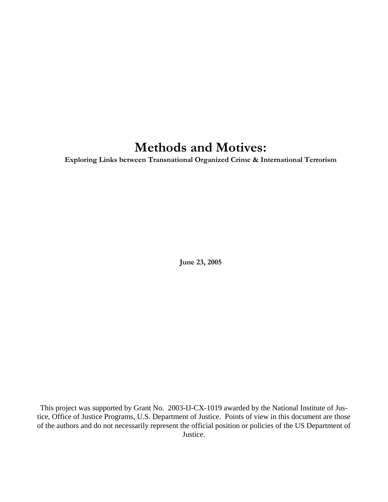# **Methods and Motives:**

**Exploring Links between Transnational Organized Crime & International Terrorism** 

**June 23, 2005** 

This project was supported by Grant No. 2003-IJ-CX-1019 awarded by the National Institute of Justice, Office of Justice Programs, U.S. Department of Justice. Points of view in this document are those of the authors and do not necessarily represent the official position or policies of the US Department of Justice.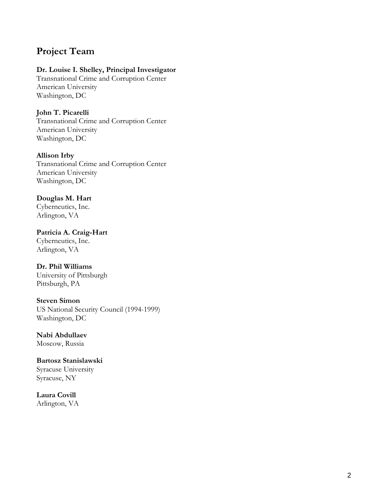## **Project Team**

### **Dr. Louise I. Shelley, Principal Inv estigator**

Transnational Crime and Corruption Center American U niversity Washington, DC

### **John T. Pic arelli**

Transnational Crime and Corruption Center American U niversity Washington, DC

**Allison Irby** Transnational Crime and Corruption Center American U niversity Washington, DC

## **Douglas M. Hart**

Cyberneutics, Inc. Arlington, VA

## **Patricia A. Craig-Hart**

Cyberneutics, Inc. Arlington, VA

## **Dr. Phil Wil liams**

University of Pittsburgh Pittsburgh, PA

### **Steven Simon**

US National Security Council (1994-1999) Washington, DC

## **Nabi Abdullaev**

Moscow, Russia

#### **Bartosz Stanislawski**  Syracuse University

Syracuse, NY

#### **Laura Covill**  Arlington, VA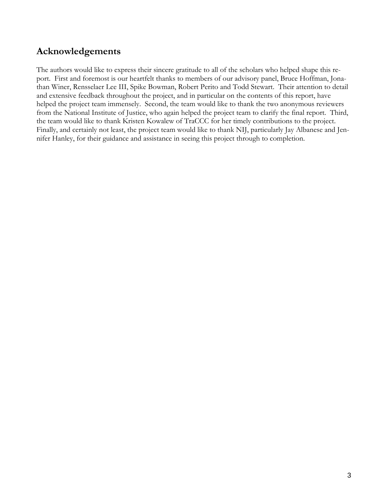## **Acknowledgements**

The authors would like to express their sincere gratitude to all of the scholars who helped shape this report. First and foremost is our heartfelt thanks to members of our advisory panel, Bruce Hoffman, Jonathan Winer, Rensselaer Lee III, Spike Bowman, Robert Perito and Todd Stewart. Their attention to detail and extensive feedback throughout the project, and in particular on the contents of this report, have helped the project team immensely. Second, the team would like to thank the two anonymous reviewers from the National Institute of Justice, who again helped the project team to clarify the final report. Third, the team would like to thank Kristen Kowalew of TraCCC for her timely contributions to the project. Finally, and certainly not least, the project team would like to thank NIJ, particularly Jay Albanese and Jennifer Hanley, for their guidance and assistance in seeing this project through to completion.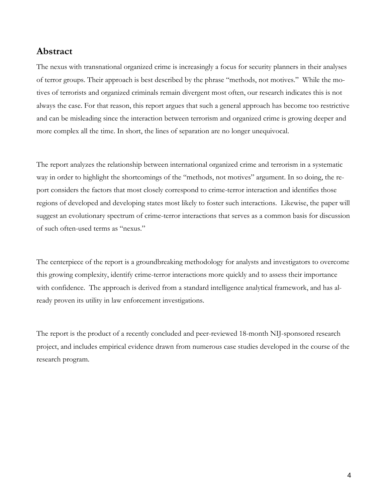## **Abstract**

The nexus with transnational organized crime is increasingly a focus for security planners in their analyses of terror groups. Their approach is best described by the phrase "methods, not motives." While the motives of terrorists and organized criminals remain divergent most often, our research indicates this is not always the case. For that reason, this report argues that such a general approach has become too restrictive and can be misleading since the interaction between terrorism and organized crime is growing deeper and more complex all the time. In short, the lines of separation are no longer unequivocal.

The report analyzes the relationship between international organized crime and terrorism in a systematic way in order to highlight the shortcomings of the "methods, not motives" argument. In so doing, the report considers the factors that most closely correspond to crime-terror interaction and identifies those regions of developed and developing states most likely to foster such interactions. Likewise, the paper will suggest an evolutionary spectrum of crime-terror interactions that serves as a common basis for discussion of such often-used terms as "nexus."

The centerpiece of the report is a groundbreaking methodology for analysts and investigators to overcome this growing complexity, identify crime-terror interactions more quickly and to assess their importance with confidence. The approach is derived from a standard intelligence analytical framework, and has already proven its utility in law enforcement investigations.

The report is the product of a recently concluded and peer-reviewed 18-month NIJ-sponsored research project, and includes empirical evidence drawn from numerous case studies developed in the course of the research program.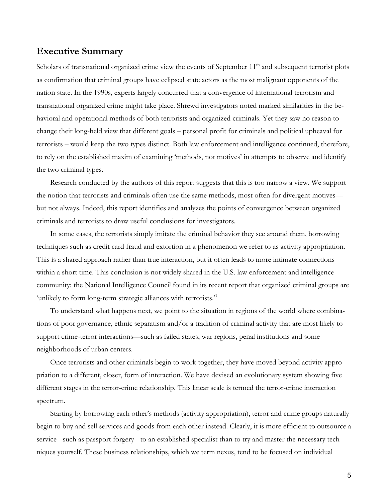## **Executive Summary**

Scholars of transnational organized crime view the events of September 11<sup>th</sup> and subsequent terrorist plots as confirmation that criminal groups have eclipsed state actors as the most malignant opponents of the nation state. In the 1990s, experts largely concurred that a convergence of international terrorism and transnational organized crime might take place. Shrewd investigators noted marked similarities in the behavioral and operational methods of both terrorists and organized criminals. Yet they saw no reason to change their long-held view that different goals – personal profit for criminals and political upheaval for terrorists – would keep the two types distinct. Both law enforcement and intelligence continued, therefore, to rely on the established maxim of examining 'methods, not motives' in attempts to observe and identify the two criminal types.

Research conducted by the authors of this report suggests that this is too narrow a view. We support the notion that terrorists and criminals often use the same methods, most often for divergent motives but not always. Indeed, this report identifies and analyzes the points of convergence between organized criminals and terrorists to draw useful conclusions for investigators.

In some cases, the terrorists simply imitate the criminal behavior they see around them, borrowing techniques such as credit card fraud and extortion in a phenomenon we refer to as activity appropriation. This is a shared approach rather than true interaction, but it often leads to more intimate connections within a short time. This conclusion is not widely shared in the U.S. law enforcement and intelligence community: the National Intelligence Council found in its recent report that organized criminal groups are 'unlikely to form long-term strategic alliances with terrorists.'<sup>[1](#page-113-0)</sup>

To understand what happens next, we point to the situation in regions of the world where combinations of poor governance, ethnic separatism and/or a tradition of criminal activity that are most likely to support crime-terror interactions—such as failed states, war regions, penal institutions and some neighborhoods of urban centers.

Once terrorists and other criminals begin to work together, they have moved beyond activity appropriation to a different, closer, form of interaction. We have devised an evolutionary system showing five different stages in the terror-crime relationship. This linear scale is termed the terror-crime interaction spectrum.

Starting by borrowing each other's methods (activity appropriation), terror and crime groups naturally begin to buy and sell services and goods from each other instead. Clearly, it is more efficient to outsource a service - such as passport forgery - to an established specialist than to try and master the necessary techniques yourself. These business relationships, which we term nexus, tend to be focused on individual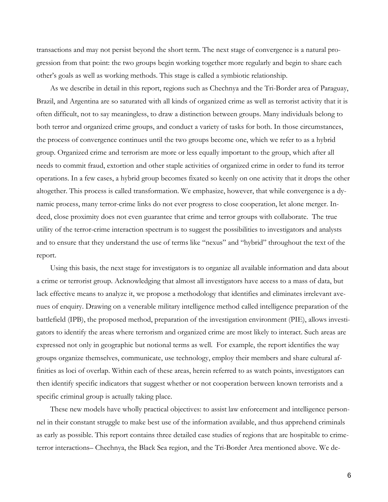transactions and may not persist beyond the short term. The next stage of convergence is a natural progression from that point: the two groups begin working together more regularly and begin to share each other's goals as well as working methods. This stage is called a symbiotic relationship.

As we describe in detail in this report, regions such as Chechnya and the Tri-Border area of Paraguay, Brazil, and Argentina are so saturated with all kinds of organized crime as well as terrorist activity that it is often difficult, not to say meaningless, to draw a distinction between groups. Many individuals belong to both terror and organized crime groups, and conduct a variety of tasks for both. In those circumstances, the process of convergence continues until the two groups become one, which we refer to as a hybrid group. Organized crime and terrorism are more or less equally important to the group, which after all needs to commit fraud, extortion and other staple activities of organized crime in order to fund its terror operations. In a few cases, a hybrid group becomes fixated so keenly on one activity that it drops the other altogether. This process is called transformation. We emphasize, however, that while convergence is a dynamic process, many terror-crime links do not ever progress to close cooperation, let alone merger. Indeed, close proximity does not even guarantee that crime and terror groups with collaborate. The true utility of the terror-crime interaction spectrum is to suggest the possibilities to investigators and analysts and to ensure that they understand the use of terms like "nexus" and "hybrid" throughout the text of the report.

Using this basis, the next stage for investigators is to organize all available information and data about a crime or terrorist group. Acknowledging that almost all investigators have access to a mass of data, but lack effective means to analyze it, we propose a methodology that identifies and eliminates irrelevant avenues of enquiry. Drawing on a venerable military intelligence method called intelligence preparation of the battlefield (IPB), the proposed method, preparation of the investigation environment (PIE), allows investigators to identify the areas where terrorism and organized crime are most likely to interact. Such areas are expressed not only in geographic but notional terms as well. For example, the report identifies the way groups organize themselves, communicate, use technology, employ their members and share cultural affinities as loci of overlap. Within each of these areas, herein referred to as watch points, investigators can then identify specific indicators that suggest whether or not cooperation between known terrorists and a specific criminal group is actually taking place.

These new models have wholly practical objectives: to assist law enforcement and intelligence personnel in their constant struggle to make best use of the information available, and thus apprehend criminals as early as possible. This report contains three detailed case studies of regions that are hospitable to crimeterror interactions– Chechnya, the Black Sea region, and the Tri-Border Area mentioned above. We de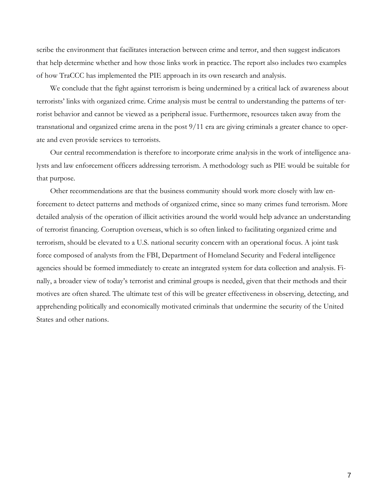scribe the environment that facilitates interaction between crime and terror, and then suggest indicators that help determine whether and how those links work in practice. The report also includes two examples of how TraCCC has implemented the PIE approach in its own research and analysis.

We conclude that the fight against terrorism is being undermined by a critical lack of awareness about terrorists' links with organized crime. Crime analysis must be central to understanding the patterns of terrorist behavior and cannot be viewed as a peripheral issue. Furthermore, resources taken away from the transnational and organized crime arena in the post 9/11 era are giving criminals a greater chance to operate and even provide services to terrorists.

Our central recommendation is therefore to incorporate crime analysis in the work of intelligence analysts and law enforcement officers addressing terrorism. A methodology such as PIE would be suitable for that purpose.

Other recommendations are that the business community should work more closely with law enforcement to detect patterns and methods of organized crime, since so many crimes fund terrorism. More detailed analysis of the operation of illicit activities around the world would help advance an understanding of terrorist financing. Corruption overseas, which is so often linked to facilitating organized crime and terrorism, should be elevated to a U.S. national security concern with an operational focus. A joint task force composed of analysts from the FBI, Department of Homeland Security and Federal intelligence agencies should be formed immediately to create an integrated system for data collection and analysis. Finally, a broader view of today's terrorist and criminal groups is needed, given that their methods and their motives are often shared. The ultimate test of this will be greater effectiveness in observing, detecting, and apprehending politically and economically motivated criminals that undermine the security of the United States and other nations.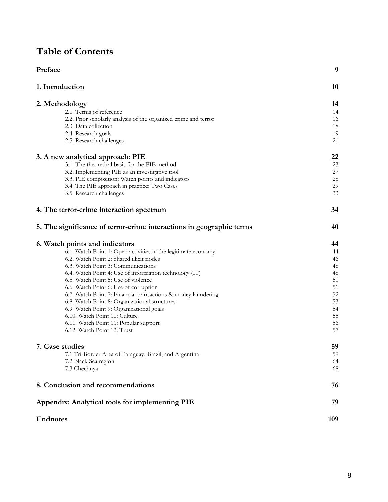# **Table of Contents**

| Preface                                                              | 9   |
|----------------------------------------------------------------------|-----|
| 1. Introduction                                                      | 10  |
| 2. Methodology                                                       | 14  |
| 2.1. Terms of reference                                              | 14  |
| 2.2. Prior scholarly analysis of the organized crime and terror      | 16  |
| 2.3. Data collection                                                 | 18  |
| 2.4. Research goals                                                  | 19  |
| 2.5. Research challenges                                             | 21  |
| 3. A new analytical approach: PIE                                    | 22  |
| 3.1. The theoretical basis for the PIE method                        | 23  |
| 3.2. Implementing PIE as an investigative tool                       | 27  |
| 3.3. PIE composition: Watch points and indicators                    | 28  |
| 3.4. The PIE approach in practice: Two Cases                         | 29  |
| 3.5. Research challenges                                             | 33  |
| 4. The terror-crime interaction spectrum                             | 34  |
| 5. The significance of terror-crime interactions in geographic terms | 40  |
| 6. Watch points and indicators                                       | 44  |
| 6.1. Watch Point 1: Open activities in the legitimate economy        | 44  |
| 6.2. Watch Point 2: Shared illicit nodes                             | 46  |
| 6.3. Watch Point 3: Communications                                   | 48  |
| 6.4. Watch Point 4: Use of information technology (IT)               | 48  |
| 6.5. Watch Point 5: Use of violence                                  | 50  |
| 6.6. Watch Point 6: Use of corruption                                | 51  |
| 6.7. Watch Point 7: Financial transactions & money laundering        | 52  |
| 6.8. Watch Point 8: Organizational structures                        | 53  |
| 6.9. Watch Point 9: Organizational goals                             | 54  |
| 6.10. Watch Point 10: Culture                                        | 55  |
| 6.11. Watch Point 11: Popular support                                | 56  |
| 6.12. Watch Point 12: Trust                                          | 57  |
| 7. Case studies                                                      | 59  |
| 7.1 Tri-Border Area of Paraguay, Brazil, and Argentina               | 59  |
| 7.2 Black Sea region                                                 | 64  |
| 7.3 Chechnya                                                         | 68  |
| 8. Conclusion and recommendations                                    | 76  |
| Appendix: Analytical tools for implementing PIE                      | 79  |
| <b>Endnotes</b>                                                      | 109 |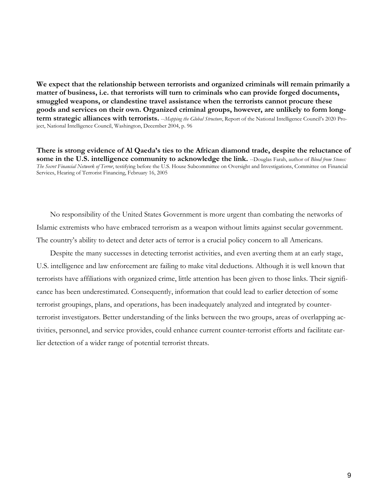**We expect that the relationship between terrorists and organized criminals will remain primarily a matter of business, i.e. that terrorists will turn to criminals who can provide forged documents, smuggled weapons, or clandestine travel assistance when the terrorists cannot procure these goods and services on their own. Organized criminal groups, however, are unlikely to form longterm strategic alliances with terrorists.** --*Mapping the Global Structure*, Report of the National Intelligence Council's 2020 Project, National Intelligence Council, Washington, December 2004, p. 96

**There is strong evidence of Al Qaeda's ties to the African diamond trade, despite the reluctance of some in the U.S. intelligence community to acknowledge the link.** --Douglas Farah, author of *Blood from Stones: The Secret Financial Network of Terror*, testifying before the U.S. House Subcommittee on Oversight and Investigations, Committee on Financial Services, Hearing of Terrorist Financing, February 16, 2005

No responsibility of the United States Government is more urgent than combating the networks of Islamic extremists who have embraced terrorism as a weapon without limits against secular government. The country's ability to detect and deter acts of terror is a crucial policy concern to all Americans.

Despite the many successes in detecting terrorist activities, and even averting them at an early stage, U.S. intelligence and law enforcement are failing to make vital deductions. Although it is well known that terrorists have affiliations with organized crime, little attention has been given to those links. Their significance has been underestimated. Consequently, information that could lead to earlier detection of some terrorist groupings, plans, and operations, has been inadequately analyzed and integrated by counterterrorist investigators. Better understanding of the links between the two groups, areas of overlapping activities, personnel, and service provides, could enhance current counter-terrorist efforts and facilitate earlier detection of a wider range of potential terrorist threats.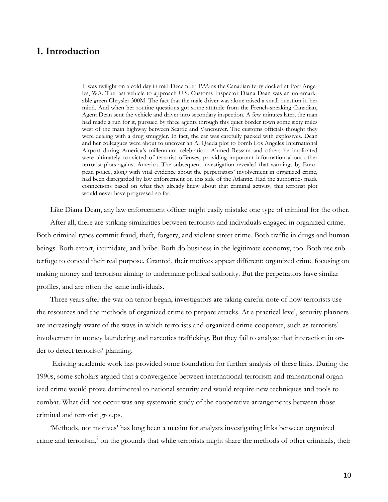## **1. Introduction**

It was twilight on a cold day in mid-December 1999 as the Canadian ferry docked at Port Angeles, WA. The last vehicle to approach U.S. Customs Inspector Diana Dean was an unremarkable green Chrysler 300M. The fact that the male driver was alone raised a small question in her mind. And when her routine questions got some attitude from the French-speaking Canadian, Agent Dean sent the vehicle and driver into secondary inspection. A few minutes later, the man had made a run for it, pursued by three agents through this quiet border town some sixty miles west of the main highway between Seattle and Vancouver. The customs officials thought they were dealing with a drug smuggler. In fact, the car was carefully packed with explosives. Dean and her colleagues were about to uncover an Al Qaeda plot to bomb Los Angeles International Airport during America's millennium celebration. Ahmed Ressam and others he implicated were ultimately convicted of terrorist offenses, providing important information about other terrorist plots against America. The subsequent investigation revealed that warnings by European police, along with vital evidence about the perpetrators' involvement in organized crime, had been disregarded by law enforcement on this side of the Atlantic. Had the authorities made connections based on what they already knew about that criminal activity, this terrorist plot would never have progressed so far.

Like Diana Dean, any law enforcement officer might easily mistake one type of criminal for the other.

After all, there are striking similarities between terrorists and individuals engaged in organized crime. Both criminal types commit fraud, theft, forgery, and violent street crime. Both traffic in drugs and human beings. Both extort, intimidate, and bribe. Both do business in the legitimate economy, too. Both use subterfuge to conceal their real purpose. Granted, their motives appear different: organized crime focusing on making money and terrorism aiming to undermine political authority. But the perpetrators have similar profiles, and are often the same individuals.

Three years after the war on terror began, investigators are taking careful note of how terrorists use the resources and the methods of organized crime to prepare attacks. At a practical level, security planners are increasingly aware of the ways in which terrorists and organized crime cooperate, such as terrorists' involvement in money laundering and narcotics trafficking. But they fail to analyze that interaction in order to detect terrorists' planning.

 Existing academic work has provided some foundation for further analysis of these links. During the 1990s, some scholars argued that a convergence between international terrorism and transnational organized crime would prove detrimental to national security and would require new techniques and tools to combat. What did not occur was any systematic study of the cooperative arrangements between those criminal and terrorist groups.

'Methods, not motives' has long been a maxim for analysts investigating links between organized crime and terrorism,<sup>2</sup> on the grounds that while terrorists might share the methods of other criminals, their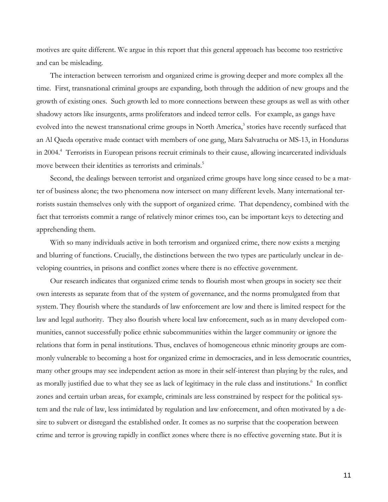motives are quite different. We argue in this report that this general approach has become too restrictive and can be misleading.

The interaction between terrorism and organized crime is growing deeper and more complex all the time. First, transnational criminal groups are expanding, both through the addition of new groups and the growth of existing ones. Such growth led to more connections between these groups as well as with other shadowy actors like insurgents, arms proliferators and indeed terror cells. For example, as gangs have evolved into the newest transnational crime groups in North America,<sup>3</sup> stories have recently surfaced that an Al Qaeda operative made contact with members of one gang, Mara Salvatrucha or MS-13, in Honduras in 2004.[4](#page-113-3) Terrorists in European prisons recruit criminals to their cause, allowing incarcerated individuals move between their identities as terrorists and criminals.<sup>[5](#page-113-4)</sup>

Second, the dealings between terrorist and organized crime groups have long since ceased to be a matter of business alone; the two phenomena now intersect on many different levels. Many international terrorists sustain themselves only with the support of organized crime. That dependency, combined with the fact that terrorists commit a range of relatively minor crimes too, can be important keys to detecting and apprehending them.

With so many individuals active in both terrorism and organized crime, there now exists a merging and blurring of functions. Crucially, the distinctions between the two types are particularly unclear in developing countries, in prisons and conflict zones where there is no effective government.

Our research indicates that organized crime tends to flourish most when groups in society see their own interests as separate from that of the system of governance, and the norms promulgated from that system. They flourish where the standards of law enforcement are low and there is limited respect for the law and legal authority. They also flourish where local law enforcement, such as in many developed communities, cannot successfully police ethnic subcommunities within the larger community or ignore the relations that form in penal institutions. Thus, enclaves of homogeneous ethnic minority groups are commonly vulnerable to becoming a host for organized crime in democracies, and in less democratic countries, many other groups may see independent action as more in their self-interest than playing by the rules, and as morally justified due to what they see as lack of legitimacy in the rule class and institutions.<sup>6</sup> In conflict zones and certain urban areas, for example, criminals are less constrained by respect for the political system and the rule of law, less intimidated by regulation and law enforcement, and often motivated by a desire to subvert or disregard the established order. It comes as no surprise that the cooperation between crime and terror is growing rapidly in conflict zones where there is no effective governing state. But it is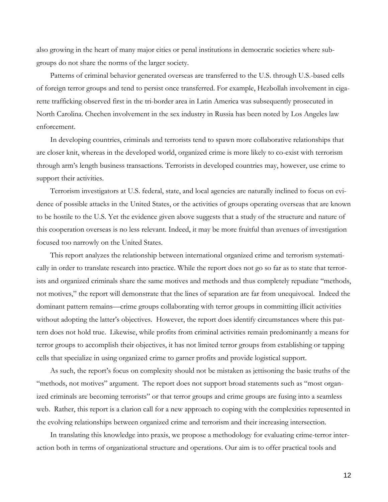also growing in the heart of many major cities or penal institutions in democratic societies where subgroups do not share the norms of the larger society.

Patterns of criminal behavior generated overseas are transferred to the U.S. through U.S.-based cells of foreign terror groups and tend to persist once transferred. For example, Hezbollah involvement in cigarette trafficking observed first in the tri-border area in Latin America was subsequently prosecuted in North Carolina. Chechen involvement in the sex industry in Russia has been noted by Los Angeles law enforcement.

In developing countries, criminals and terrorists tend to spawn more collaborative relationships that are closer knit, whereas in the developed world, organized crime is more likely to co-exist with terrorism through arm's length business transactions. Terrorists in developed countries may, however, use crime to support their activities.

Terrorism investigators at U.S. federal, state, and local agencies are naturally inclined to focus on evidence of possible attacks in the United States, or the activities of groups operating overseas that are known to be hostile to the U.S. Yet the evidence given above suggests that a study of the structure and nature of this cooperation overseas is no less relevant. Indeed, it may be more fruitful than avenues of investigation focused too narrowly on the United States.

This report analyzes the relationship between international organized crime and terrorism systematically in order to translate research into practice. While the report does not go so far as to state that terrorists and organized criminals share the same motives and methods and thus completely repudiate "methods, not motives," the report will demonstrate that the lines of separation are far from unequivocal. Indeed the dominant pattern remains—crime groups collaborating with terror groups in committing illicit activities without adopting the latter's objectives. However, the report does identify circumstances where this pattern does not hold true. Likewise, while profits from criminal activities remain predominantly a means for terror groups to accomplish their objectives, it has not limited terror groups from establishing or tapping cells that specialize in using organized crime to garner profits and provide logistical support.

As such, the report's focus on complexity should not be mistaken as jettisoning the basic truths of the "methods, not motives" argument. The report does not support broad statements such as "most organized criminals are becoming terrorists" or that terror groups and crime groups are fusing into a seamless web. Rather, this report is a clarion call for a new approach to coping with the complexities represented in the evolving relationships between organized crime and terrorism and their increasing intersection.

In translating this knowledge into praxis, we propose a methodology for evaluating crime-terror interaction both in terms of organizational structure and operations. Our aim is to offer practical tools and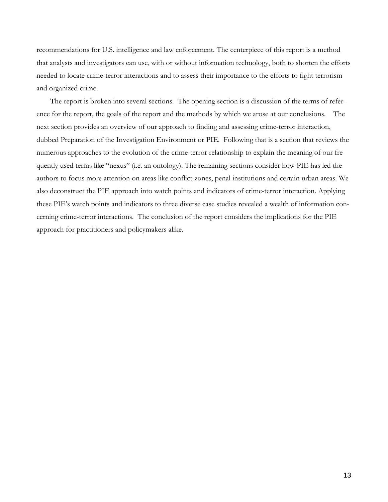recommendations for U.S. intelligence and law enforcement. The centerpiece of this report is a method that analysts and investigators can use, with or without information technology, both to shorten the efforts needed to locate crime-terror interactions and to assess their importance to the efforts to fight terrorism and organized crime.

The report is broken into several sections. The opening section is a discussion of the terms of reference for the report, the goals of the report and the methods by which we arose at our conclusions. The next section provides an overview of our approach to finding and assessing crime-terror interaction, dubbed Preparation of the Investigation Environment or PIE. Following that is a section that reviews the numerous approaches to the evolution of the crime-terror relationship to explain the meaning of our frequently used terms like "nexus" (i.e. an ontology). The remaining sections consider how PIE has led the authors to focus more attention on areas like conflict zones, penal institutions and certain urban areas. We also deconstruct the PIE approach into watch points and indicators of crime-terror interaction. Applying these PIE's watch points and indicators to three diverse case studies revealed a wealth of information concerning crime-terror interactions. The conclusion of the report considers the implications for the PIE approach for practitioners and policymakers alike.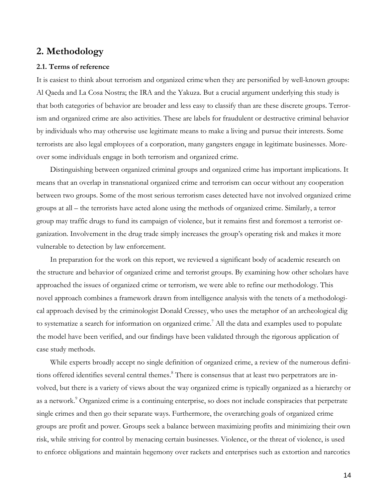## **2. Methodology**

#### **2.1. Terms of reference**

It is easiest to think about terrorism and organized crimewhen they are personified by well-known groups: Al Qaeda and La Cosa Nostra; the IRA and the Yakuza. But a crucial argument underlying this study is that both categories of behavior are broader and less easy to classify than are these discrete groups. Terrorism and organized crime are also activities. These are labels for fraudulent or destructive criminal behavior by individuals who may otherwise use legitimate means to make a living and pursue their interests. Some terrorists are also legal employees of a corporation, many gangsters engage in legitimate businesses. Moreover some individuals engage in both terrorism and organized crime.

Distinguishing between organized criminal groups and organized crime has important implications. It means that an overlap in transnational organized crime and terrorism can occur without any cooperation between two groups. Some of the most serious terrorism cases detected have not involved organized crime groups at all – the terrorists have acted alone using the methods of organized crime. Similarly, a terror group may traffic drugs to fund its campaign of violence, but it remains first and foremost a terrorist organization. Involvement in the drug trade simply increases the group's operating risk and makes it more vulnerable to detection by law enforcement.

In preparation for the work on this report, we reviewed a significant body of academic research on the structure and behavior of organized crime and terrorist groups. By examining how other scholars have approached the issues of organized crime or terrorism, we were able to refine our methodology. This novel approach combines a framework drawn from intelligence analysis with the tenets of a methodological approach devised by the criminologist Donald Cressey, who uses the metaphor of an archeological dig to systematize a search for information on organized crime.<sup>[7](#page-113-6)</sup> All the data and examples used to populate the model have been verified, and our findings have been validated through the rigorous application of case study methods.

While experts broadly accept no single definition of organized crime, a review of the numerous definitions offered identifies several central themes.<sup>8</sup> There is consensus that at least two perpetrators are involved, but there is a variety of views about the way organized crime is typically organized as a hierarchy or as a network.<sup>[9](#page-113-8)</sup> Organized crime is a continuing enterprise, so does not include conspiracies that perpetrate single crimes and then go their separate ways. Furthermore, the overarching goals of organized crime groups are profit and power. Groups seek a balance between maximizing profits and minimizing their own risk, while striving for control by menacing certain businesses. Violence, or the threat of violence, is used to enforce obligations and maintain hegemony over rackets and enterprises such as extortion and narcotics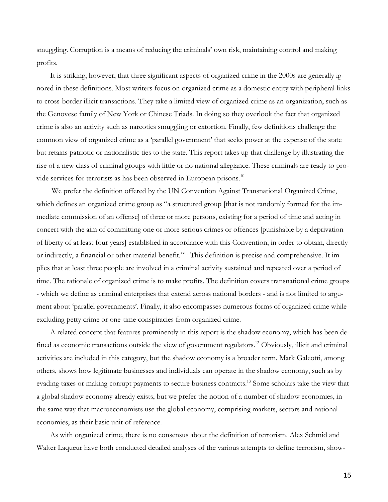smuggling. Corruption is a means of reducing the criminals' own risk, maintaining control and making profits.

It is striking, however, that three significant aspects of organized crime in the 2000s are generally ignored in these definitions. Most writers focus on organized crime as a domestic entity with peripheral links to cross-border illicit transactions. They take a limited view of organized crime as an organization, such as the Genovese family of New York or Chinese Triads. In doing so they overlook the fact that organized crime is also an activity such as narcotics smuggling or extortion. Finally, few definitions challenge the common view of organized crime as a 'parallel government' that seeks power at the expense of the state but retains patriotic or nationalistic ties to the state. This report takes up that challenge by illustrating the rise of a new class of criminal groups with little or no national allegiance. These criminals are ready to provide services for terrorists as has been observed in European prisons.<sup>10</sup>

We prefer the definition offered by the UN Convention Against Transnational Organized Crime, which defines an organized crime group as "a structured group [that is not randomly formed for the immediate commission of an offense] of three or more persons, existing for a period of time and acting in concert with the aim of committing one or more serious crimes or offences [punishable by a deprivation of liberty of at least four years] established in accordance with this Convention, in order to obtain, directly or indirectly, a financial or other material benefit*.*["11](#page-113-10) This definition is precise and comprehensive. It implies that at least three people are involved in a criminal activity sustained and repeated over a period of time. The rationale of organized crime is to make profits. The definition covers transnational crime groups - which we define as criminal enterprises that extend across national borders - and is not limited to argument about 'parallel governments'. Finally, it also encompasses numerous forms of organized crime while excluding petty crime or one-time conspiracies from organized crime.

A related concept that features prominently in this report is the shadow economy, which has been defined as economic transactions outside the view of government regulators.<sup>12</sup> Obviously, illicit and criminal activities are included in this category, but the shadow economy is a broader term. Mark Galeotti, among others, shows how legitimate businesses and individuals can operate in the shadow economy, such as by evading taxes or making corrupt payments to secure business contracts.<sup>13</sup> Some scholars take the view that a global shadow economy already exists, but we prefer the notion of a number of shadow economies, in the same way that macroeconomists use the global economy, comprising markets, sectors and national economies, as their basic unit of reference.

As with organized crime, there is no consensus about the definition of terrorism. Alex Schmid and Walter Laqueur have both conducted detailed analyses of the various attempts to define terrorism, show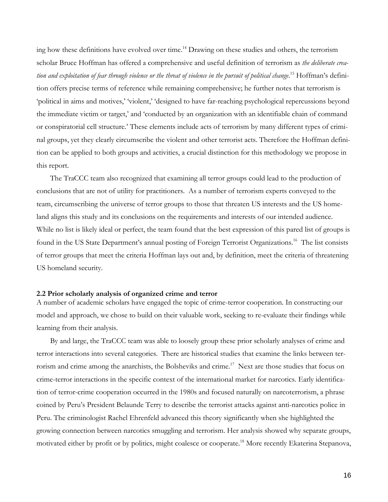ing how these definitions have evolved over time.<sup>14</sup> Drawing on these studies and others, the terrorism scholar Bruce Hoffman has offered a comprehensive and useful definition of terrorism as *the deliberate creation and exploitation of fear through violence or the threat of violence in the pursuit of political change*. [15](#page-113-14) Hoffman's definition offers precise terms of reference while remaining comprehensive; he further notes that terrorism is 'political in aims and motives,' 'violent,' 'designed to have far-reaching psychological repercussions beyond the immediate victim or target,' and 'conducted by an organization with an identifiable chain of command or conspiratorial cell structure.' These elements include acts of terrorism by many different types of criminal groups, yet they clearly circumscribe the violent and other terrorist acts. Therefore the Hoffman definition can be applied to both groups and activities, a crucial distinction for this methodology we propose in this report.

The TraCCC team also recognized that examining all terror groups could lead to the production of conclusions that are not of utility for practitioners. As a number of terrorism experts conveyed to the team, circumscribing the universe of terror groups to those that threaten US interests and the US homeland aligns this study and its conclusions on the requirements and interests of our intended audience. While no list is likely ideal or perfect, the team found that the best expression of this pared list of groups is found in the US State Department's annual posting of Foreign Terrorist Organizations.<sup>16</sup> The list consists of terror groups that meet the criteria Hoffman lays out and, by definition, meet the criteria of threatening US homeland security.

#### **2.2 Prior scholarly analysis of organized crime and terror**

A number of academic scholars have engaged the topic of crime-terror cooperation. In constructing our model and approach, we chose to build on their valuable work, seeking to re-evaluate their findings while learning from their analysis.

By and large, the TraCCC team was able to loosely group these prior scholarly analyses of crime and terror interactions into several categories. There are historical studies that examine the links between terrorism and crime among the anarchists, the Bolsheviks and crime.<sup>17</sup> Next are those studies that focus on crime-terror interactions in the specific context of the international market for narcotics. Early identification of terror-crime cooperation occurred in the 1980s and focused naturally on narcoterrorism, a phrase coined by Peru's President Belaunde Terry to describe the terrorist attacks against anti-narcotics police in Peru. The criminologist Rachel Ehrenfeld advanced this theory significantly when she highlighted the growing connection between narcotics smuggling and terrorism. Her analysis showed why separate groups, motivated either by profit or by politics, might coalesce or cooperate.[18](#page-113-17) More recently Ekaterina Stepanova,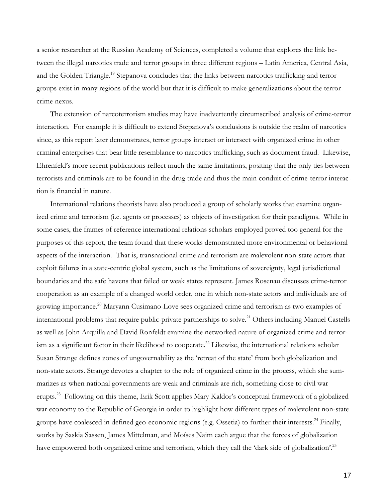a senior researcher at the Russian Academy of Sciences, completed a volume that explores the link between the illegal narcotics trade and terror groups in three different regions – Latin America, Central Asia, and the Golden Triangle.<sup>19</sup> Stepanova concludes that the links between narcotics trafficking and terror groups exist in many regions of the world but that it is difficult to make generalizations about the terrorcrime nexus.

The extension of narcoterrorism studies may have inadvertently circumscribed analysis of crime-terror interaction. For example it is difficult to extend Stepanova's conclusions is outside the realm of narcotics since, as this report later demonstrates, terror groups interact or intersect with organized crime in other criminal enterprises that bear little resemblance to narcotics trafficking, such as document fraud. Likewise, Ehrenfeld's more recent publications reflect much the same limitations, positing that the only ties between terrorists and criminals are to be found in the drug trade and thus the main conduit of crime-terror interaction is financial in nature.

International relations theorists have also produced a group of scholarly works that examine organized crime and terrorism (i.e. agents or processes) as objects of investigation for their paradigms. While in some cases, the frames of reference international relations scholars employed proved too general for the purposes of this report, the team found that these works demonstrated more environmental or behavioral aspects of the interaction. That is, transnational crime and terrorism are malevolent non-state actors that exploit failures in a state-centric global system, such as the limitations of sovereignty, legal jurisdictional boundaries and the safe havens that failed or weak states represent. James Rosenau discusses crime-terror cooperation as an example of a changed world order, one in which non-state actors and individuals are of growing importance.<sup>20</sup> Maryann Cusimano-Love sees organized crime and terrorism as two examples of international problems that require public-private partnerships to solve.<sup>21</sup> Others including Manuel Castells as well as John Arquilla and David Ronfeldt examine the networked nature of organized crime and terrorism as a significant factor in their likelihood to cooperate.<sup>22</sup> Likewise, the international relations scholar Susan Strange defines zones of ungovernability as the 'retreat of the state' from both globalization and non-state actors. Strange devotes a chapter to the role of organized crime in the process, which she summarizes as when national governments are weak and criminals are rich, something close to civil war erupts.<sup>23</sup> Following on this theme, Erik Scott applies Mary Kaldor's conceptual framework of a globalized war economy to the Republic of Georgia in order to highlight how different types of malevolent non-state groups have coalesced in defined geo-economic regions (e.g. Ossetia) to further their interests.<sup>24</sup> Finally, works by Saskia Sassen, James Mittelman, and Moíses Naim each argue that the forces of globalization have empowered both organized crime and terrorism, which they call the 'dark side of globalization'.<sup>[25](#page-113-24)</sup>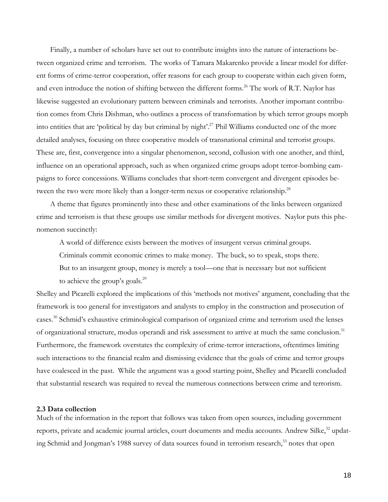Finally, a number of scholars have set out to contribute insights into the nature of interactions between organized crime and terrorism. The works of Tamara Makarenko provide a linear model for different forms of crime-terror cooperation, offer reasons for each group to cooperate within each given form, and even introduce the notion of shifting between the different forms.<sup>26</sup> The work of R.T. Naylor has likewise suggested an evolutionary pattern between criminals and terrorists. Another important contribution comes from Chris Dishman, who outlines a process of transformation by which terror groups morph into entities that are 'political by day but criminal by night'.<sup>27</sup> Phil Williams conducted one of the more detailed analyses, focusing on three cooperative models of transnational criminal and terrorist groups. These are, first, convergence into a singular phenomenon, second, collusion with one another, and third, influence on an operational approach, such as when organized crime groups adopt terror-bombing campaigns to force concessions. Williams concludes that short-term convergent and divergent episodes between the two were more likely than a longer-term nexus or cooperative relationship.<sup>28</sup>

A theme that figures prominently into these and other examinations of the links between organized crime and terrorism is that these groups use similar methods for divergent motives. Naylor puts this phenomenon succinctly:

A world of difference exists between the motives of insurgent versus criminal groups.

Criminals commit economic crimes to make money. The buck, so to speak, stops there.

But to an insurgent group, money is merely a tool—one that is necessary but not sufficient to achieve the group's goals. $^{29}$ 

Shelley and Picarelli explored the implications of this 'methods not motives' argument, concluding that the framework is too general for investigators and analysts to employ in the construction and prosecution of cases.<sup>30</sup> Schmid's exhaustive criminological comparison of organized crime and terrorism used the lenses of organizational structure, modus operandi and risk assessment to arrive at much the same conclusion.<sup>31</sup> Furthermore, the framework overstates the complexity of crime-terror interactions, oftentimes limiting such interactions to the financial realm and dismissing evidence that the goals of crime and terror groups have coalesced in the past. While the argument was a good starting point, Shelley and Picarelli concluded that substantial research was required to reveal the numerous connections between crime and terrorism.

#### **2.3 Data collection**

Much of the information in the report that follows was taken from open sources, including government reports, private and academic journal articles, court documents and media accounts. Andrew Silke,<sup>32</sup> updating Schmid and Jongman's 1988 survey of data sources found in terrorism research,<sup>33</sup> notes that open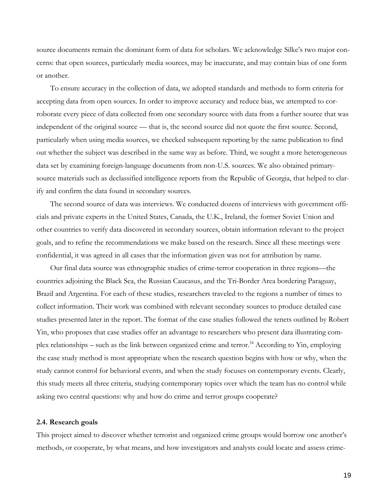source documents remain the dominant form of data for scholars. We acknowledge Silke's two major concerns: that open sources, particularly media sources, may be inaccurate, and may contain bias of one form or another.

To ensure accuracy in the collection of data, we adopted standards and methods to form criteria for accepting data from open sources. In order to improve accuracy and reduce bias, we attempted to corroborate every piece of data collected from one secondary source with data from a further source that was independent of the original source — that is, the second source did not quote the first source. Second, particularly when using media sources, we checked subsequent reporting by the same publication to find out whether the subject was described in the same way as before. Third, we sought a more heterogeneous data set by examining foreign-language documents from non-U.S. sources. We also obtained primarysource materials such as declassified intelligence reports from the Republic of Georgia, that helped to clarify and confirm the data found in secondary sources.

The second source of data was interviews. We conducted dozens of interviews with government officials and private experts in the United States, Canada, the U.K., Ireland, the former Soviet Union and other countries to verify data discovered in secondary sources, obtain information relevant to the project goals, and to refine the recommendations we make based on the research. Since all these meetings were confidential, it was agreed in all cases that the information given was not for attribution by name.

Our final data source was ethnographic studies of crime-terror cooperation in three regions—the countries adjoining the Black Sea, the Russian Caucasus, and the Tri-Border Area bordering Paraguay, Brazil and Argentina. For each of these studies, researchers traveled to the regions a number of times to collect information. Their work was combined with relevant secondary sources to produce detailed case studies presented later in the report. The format of the case studies followed the tenets outlined by Robert Yin, who proposes that case studies offer an advantage to researchers who present data illustrating complex relationships – such as the link between organized crime and terror.<sup>34</sup> According to Yin, employing the case study method is most appropriate when the research question begins with how or why, when the study cannot control for behavioral events, and when the study focuses on contemporary events. Clearly, this study meets all three criteria, studying contemporary topics over which the team has no control while asking two central questions: why and how do crime and terror groups cooperate?

#### **2.4. Research goals**

This project aimed to discover whether terrorist and organized crime groups would borrow one another's methods, or cooperate, by what means, and how investigators and analysts could locate and assess crime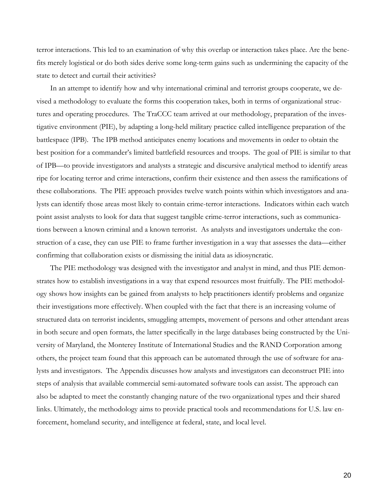terror interactions. This led to an examination of why this overlap or interaction takes place. Are the benefits merely logistical or do both sides derive some long-term gains such as undermining the capacity of the state to detect and curtail their activities?

In an attempt to identify how and why international criminal and terrorist groups cooperate, we devised a methodology to evaluate the forms this cooperation takes, both in terms of organizational structures and operating procedures. The TraCCC team arrived at our methodology, preparation of the investigative environment (PIE), by adapting a long-held military practice called intelligence preparation of the battlespace (IPB). The IPB method anticipates enemy locations and movements in order to obtain the best position for a commander's limited battlefield resources and troops. The goal of PIE is similar to that of IPB—to provide investigators and analysts a strategic and discursive analytical method to identify areas ripe for locating terror and crime interactions, confirm their existence and then assess the ramifications of these collaborations. The PIE approach provides twelve watch points within which investigators and analysts can identify those areas most likely to contain crime-terror interactions. Indicators within each watch point assist analysts to look for data that suggest tangible crime-terror interactions, such as communications between a known criminal and a known terrorist. As analysts and investigators undertake the construction of a case, they can use PIE to frame further investigation in a way that assesses the data—either confirming that collaboration exists or dismissing the initial data as idiosyncratic.

The PIE methodology was designed with the investigator and analyst in mind, and thus PIE demonstrates how to establish investigations in a way that expend resources most fruitfully. The PIE methodology shows how insights can be gained from analysts to help practitioners identify problems and organize their investigations more effectively. When coupled with the fact that there is an increasing volume of structured data on terrorist incidents, smuggling attempts, movement of persons and other attendant areas in both secure and open formats, the latter specifically in the large databases being constructed by the University of Maryland, the Monterey Institute of International Studies and the RAND Corporation among others, the project team found that this approach can be automated through the use of software for analysts and investigators. The Appendix discusses how analysts and investigators can deconstruct PIE into steps of analysis that available commercial semi-automated software tools can assist. The approach can also be adapted to meet the constantly changing nature of the two organizational types and their shared links. Ultimately, the methodology aims to provide practical tools and recommendations for U.S. law enforcement, homeland security, and intelligence at federal, state, and local level.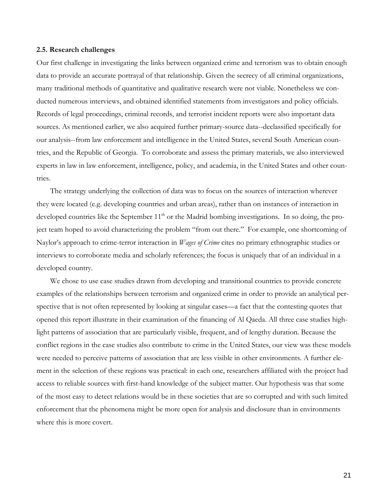#### **2.5. Research challenges**

Our first challenge in investigating the links between organized crime and terrorism was to obtain enough data to provide an accurate portrayal of that relationship. Given the secrecy of all criminal organizations, many traditional methods of quantitative and qualitative research were not viable. Nonetheless we conducted numerous interviews, and obtained identified statements from investigators and policy officials. Records of legal proceedings, criminal records, and terrorist incident reports were also important data sources. As mentioned earlier, we also acquired further primary-source data--declassified specifically for our analysis--from law enforcement and intelligence in the United States, several South American countries, and the Republic of Georgia. To corroborate and assess the primary materials, we also interviewed experts in law in law enforcement, intelligence, policy, and academia, in the United States and other countries.

The strategy underlying the collection of data was to focus on the sources of interaction wherever they were located (e.g. developing countries and urban areas), rather than on instances of interaction in developed countries like the September 11<sup>th</sup> or the Madrid bombing investigations. In so doing, the project team hoped to avoid characterizing the problem "from out there." For example, one shortcoming of Naylor's approach to crime-terror interaction in *Wages of Crime* cites no primary ethnographic studies or interviews to corroborate media and scholarly references; the focus is uniquely that of an individual in a developed country.

We chose to use case studies drawn from developing and transitional countries to provide concrete examples of the relationships between terrorism and organized crime in order to provide an analytical perspective that is not often represented by looking at singular cases—a fact that the contesting quotes that opened this report illustrate in their examination of the financing of Al Qaeda. All three case studies highlight patterns of association that are particularly visible, frequent, and of lengthy duration. Because the conflict regions in the case studies also contribute to crime in the United States, our view was these models were needed to perceive patterns of association that are less visible in other environments. A further element in the selection of these regions was practical: in each one, researchers affiliated with the project had access to reliable sources with first-hand knowledge of the subject matter. Our hypothesis was that some of the most easy to detect relations would be in these societies that are so corrupted and with such limited enforcement that the phenomena might be more open for analysis and disclosure than in environments where this is more covert.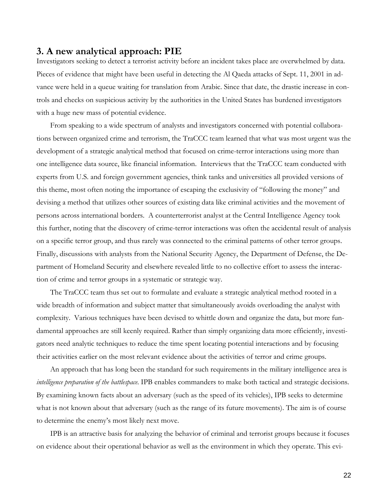## **3. A new analytical approach: PIE**

Investigators seeking to detect a terrorist activity before an incident takes place are overwhelmed by data. Pieces of evidence that might have been useful in detecting the Al Qaeda attacks of Sept. 11, 2001 in advance were held in a queue waiting for translation from Arabic. Since that date, the drastic increase in controls and checks on suspicious activity by the authorities in the United States has burdened investigators with a huge new mass of potential evidence.

From speaking to a wide spectrum of analysts and investigators concerned with potential collaborations between organized crime and terrorism, the TraCCC team learned that what was most urgent was the development of a strategic analytical method that focused on crime-terror interactions using more than one intelligence data source, like financial information. Interviews that the TraCCC team conducted with experts from U.S. and foreign government agencies, think tanks and universities all provided versions of this theme, most often noting the importance of escaping the exclusivity of "following the money" and devising a method that utilizes other sources of existing data like criminal activities and the movement of persons across international borders. A counterterrorist analyst at the Central Intelligence Agency took this further, noting that the discovery of crime-terror interactions was often the accidental result of analysis on a specific terror group, and thus rarely was connected to the criminal patterns of other terror groups. Finally, discussions with analysts from the National Security Agency, the Department of Defense, the Department of Homeland Security and elsewhere revealed little to no collective effort to assess the interaction of crime and terror groups in a systematic or strategic way.

The TraCCC team thus set out to formulate and evaluate a strategic analytical method rooted in a wide breadth of information and subject matter that simultaneously avoids overloading the analyst with complexity. Various techniques have been devised to whittle down and organize the data, but more fundamental approaches are still keenly required. Rather than simply organizing data more efficiently, investigators need analytic techniques to reduce the time spent locating potential interactions and by focusing their activities earlier on the most relevant evidence about the activities of terror and crime groups.

An approach that has long been the standard for such requirements in the military intelligence area is *intelligence preparation of the battlespace*. IPB enables commanders to make both tactical and strategic decisions. By examining known facts about an adversary (such as the speed of its vehicles), IPB seeks to determine what is not known about that adversary (such as the range of its future movements). The aim is of course to determine the enemy's most likely next move.

IPB is an attractive basis for analyzing the behavior of criminal and terrorist groups because it focuses on evidence about their operational behavior as well as the environment in which they operate. This evi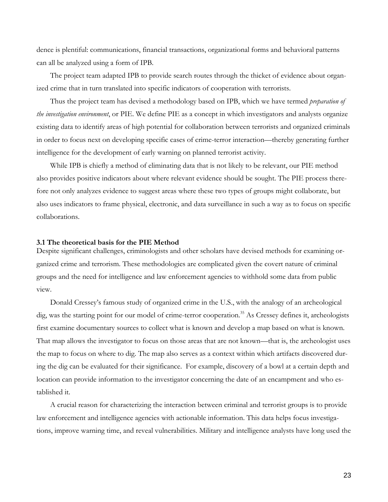dence is plentiful: communications, financial transactions, organizational forms and behavioral patterns can all be analyzed using a form of IPB.

The project team adapted IPB to provide search routes through the thicket of evidence about organized crime that in turn translated into specific indicators of cooperation with terrorists.

Thus the project team has devised a methodology based on IPB, which we have termed *preparation of the investigation environment*, or PIE. We define PIE as a concept in which investigators and analysts organize existing data to identify areas of high potential for collaboration between terrorists and organized criminals in order to focus next on developing specific cases of crime-terror interaction—thereby generating further intelligence for the development of early warning on planned terrorist activity.

While IPB is chiefly a method of eliminating data that is not likely to be relevant, our PIE method also provides positive indicators about where relevant evidence should be sought. The PIE process therefore not only analyzes evidence to suggest areas where these two types of groups might collaborate, but also uses indicators to frame physical, electronic, and data surveillance in such a way as to focus on specific collaborations.

#### **3.1 The theoretical basis for the PIE Method**

Despite significant challenges, criminologists and other scholars have devised methods for examining organized crime and terrorism. These methodologies are complicated given the covert nature of criminal groups and the need for intelligence and law enforcement agencies to withhold some data from public view.

Donald Cressey's famous study of organized crime in the U.S., with the analogy of an archeological dig, was the starting point for our model of crime-terror cooperation.<sup>35</sup> As Cressey defines it, archeologists first examine documentary sources to collect what is known and develop a map based on what is known. That map allows the investigator to focus on those areas that are not known—that is, the archeologist uses the map to focus on where to dig. The map also serves as a context within which artifacts discovered during the dig can be evaluated for their significance. For example, discovery of a bowl at a certain depth and location can provide information to the investigator concerning the date of an encampment and who established it.

A crucial reason for characterizing the interaction between criminal and terrorist groups is to provide law enforcement and intelligence agencies with actionable information. This data helps focus investigations, improve warning time, and reveal vulnerabilities. Military and intelligence analysts have long used the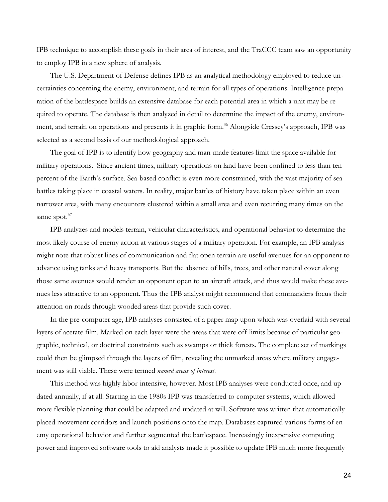IPB technique to accomplish these goals in their area of interest, and the TraCCC team saw an opportunity to employ IPB in a new sphere of analysis.

The U.S. Department of Defense defines IPB as an analytical methodology employed to reduce uncertainties concerning the enemy, environment, and terrain for all types of operations. Intelligence preparation of the battlespace builds an extensive database for each potential area in which a unit may be required to operate. The database is then analyzed in detail to determine the impact of the enemy, environment, and terrain on operations and presents it in graphic form.<sup>36</sup> Alongside Cressey's approach, IPB was selected as a second basis of our methodological approach.

The goal of IPB is to identify how geography and man-made features limit the space available for military operations. Since ancient times, military operations on land have been confined to less than ten percent of the Earth's surface. Sea-based conflict is even more constrained, with the vast majority of sea battles taking place in coastal waters. In reality, major battles of history have taken place within an even narrower area, with many encounters clustered within a small area and even recurring many times on the same spot. $37$ 

IPB analyzes and models terrain, vehicular characteristics, and operational behavior to determine the most likely course of enemy action at various stages of a military operation. For example, an IPB analysis might note that robust lines of communication and flat open terrain are useful avenues for an opponent to advance using tanks and heavy transports. But the absence of hills, trees, and other natural cover along those same avenues would render an opponent open to an aircraft attack, and thus would make these avenues less attractive to an opponent. Thus the IPB analyst might recommend that commanders focus their attention on roads through wooded areas that provide such cover.

In the pre-computer age, IPB analyses consisted of a paper map upon which was overlaid with several layers of acetate film. Marked on each layer were the areas that were off-limits because of particular geographic, technical, or doctrinal constraints such as swamps or thick forests. The complete set of markings could then be glimpsed through the layers of film, revealing the unmarked areas where military engagement was still viable. These were termed *named areas of interest*.

This method was highly labor-intensive, however. Most IPB analyses were conducted once, and updated annually, if at all. Starting in the 1980s IPB was transferred to computer systems, which allowed more flexible planning that could be adapted and updated at will. Software was written that automatically placed movement corridors and launch positions onto the map. Databases captured various forms of enemy operational behavior and further segmented the battlespace. Increasingly inexpensive computing power and improved software tools to aid analysts made it possible to update IPB much more frequently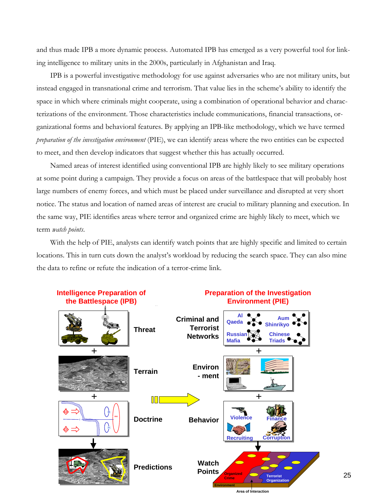and thus made IPB a more dynamic process. Automated IPB has emerged as a very powerful tool for linking intelligence to military units in the 2000s, particularly in Afghanistan and Iraq.

IPB is a powerful investigative methodology for use against adversaries who are not military units, but instead engaged in transnational crime and terrorism. That value lies in the scheme's ability to identify the space in which where criminals might cooperate, using a combination of operational behavior and characterizations of the environment. Those characteristics include communications, financial transactions, organizational forms and behavioral features. By applying an IPB-like methodology, which we have termed *preparation of the investigation environment* (PIE), we can identify areas where the two entities can be expected to meet, and then develop indicators that suggest whether this has actually occurred.

Named areas of interest identified using conventional IPB are highly likely to see military operations at some point during a campaign. They provide a focus on areas of the battlespace that will probably host large numbers of enemy forces, and which must be placed under surveillance and disrupted at very short notice. The status and location of named areas of interest are crucial to military planning and execution. In the same way, PIE identifies areas where terror and organized crime are highly likely to meet, which we term *watch points*.

With the help of PIE, analysts can identify watch points that are highly specific and limited to certain locations. This in turn cuts down the analyst's workload by reducing the search space. They can also mine the data to refine or refute the indication of a terror-crime link.



25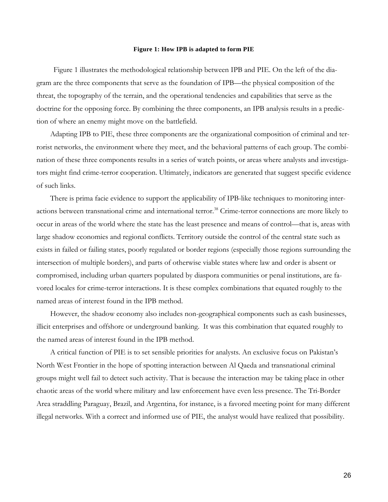#### **Figure 1: How IPB is adapted to form PIE**

Figure 1 illustrates the methodological relationship between IPB and PIE. On the left of the diagram are the three components that serve as the foundation of IPB—the physical composition of the threat, the topography of the terrain, and the operational tendencies and capabilities that serve as the doctrine for the opposing force. By combining the three components, an IPB analysis results in a prediction of where an enemy might move on the battlefield.

Adapting IPB to PIE, these three components are the organizational composition of criminal and terrorist networks, the environment where they meet, and the behavioral patterns of each group. The combination of these three components results in a series of watch points, or areas where analysts and investigators might find crime-terror cooperation. Ultimately, indicators are generated that suggest specific evidence of such links.

There is prima facie evidence to support the applicability of IPB-like techniques to monitoring interactions between transnational crime and international terror.<sup>38</sup> Crime-terror connections are more likely to occur in areas of the world where the state has the least presence and means of control—that is, areas with large shadow economies and regional conflicts. Territory outside the control of the central state such as exists in failed or failing states, poorly regulated or border regions (especially those regions surrounding the intersection of multiple borders), and parts of otherwise viable states where law and order is absent or compromised, including urban quarters populated by diaspora communities or penal institutions, are favored locales for crime-terror interactions. It is these complex combinations that equated roughly to the named areas of interest found in the IPB method.

However, the shadow economy also includes non-geographical components such as cash businesses, illicit enterprises and offshore or underground banking. It was this combination that equated roughly to the named areas of interest found in the IPB method.

A critical function of PIE is to set sensible priorities for analysts. An exclusive focus on Pakistan's North West Frontier in the hope of spotting interaction between Al Qaeda and transnational criminal groups might well fail to detect such activity. That is because the interaction may be taking place in other chaotic areas of the world where military and law enforcement have even less presence. The Tri-Border Area straddling Paraguay, Brazil, and Argentina, for instance, is a favored meeting point for many different illegal networks. With a correct and informed use of PIE, the analyst would have realized that possibility.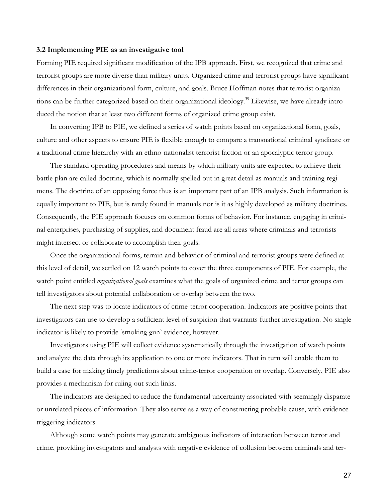#### **3.2 Implementing PIE as an investigative tool**

Forming PIE required significant modification of the IPB approach. First, we recognized that crime and terrorist groups are more diverse than military units. Organized crime and terrorist groups have significant differences in their organizational form, culture, and goals. Bruce Hoffman notes that terrorist organizations can be further categorized based on their organizational ideology.<sup>39</sup> Likewise, we have already introduced the notion that at least two different forms of organized crime group exist.

In converting IPB to PIE, we defined a series of watch points based on organizational form, goals, culture and other aspects to ensure PIE is flexible enough to compare a transnational criminal syndicate or a traditional crime hierarchy with an ethno-nationalist terrorist faction or an apocalyptic terror group.

The standard operating procedures and means by which military units are expected to achieve their battle plan are called doctrine, which is normally spelled out in great detail as manuals and training regimens. The doctrine of an opposing force thus is an important part of an IPB analysis. Such information is equally important to PIE, but is rarely found in manuals nor is it as highly developed as military doctrines. Consequently, the PIE approach focuses on common forms of behavior. For instance, engaging in criminal enterprises, purchasing of supplies, and document fraud are all areas where criminals and terrorists might intersect or collaborate to accomplish their goals.

Once the organizational forms, terrain and behavior of criminal and terrorist groups were defined at this level of detail, we settled on 12 watch points to cover the three components of PIE. For example, the watch point entitled *organizational goals* examines what the goals of organized crime and terror groups can tell investigators about potential collaboration or overlap between the two.

The next step was to locate indicators of crime-terror cooperation. Indicators are positive points that investigators can use to develop a sufficient level of suspicion that warrants further investigation. No single indicator is likely to provide 'smoking gun' evidence, however.

Investigators using PIE will collect evidence systematically through the investigation of watch points and analyze the data through its application to one or more indicators. That in turn will enable them to build a case for making timely predictions about crime-terror cooperation or overlap. Conversely, PIE also provides a mechanism for ruling out such links.

The indicators are designed to reduce the fundamental uncertainty associated with seemingly disparate or unrelated pieces of information. They also serve as a way of constructing probable cause, with evidence triggering indicators.

Although some watch points may generate ambiguous indicators of interaction between terror and crime, providing investigators and analysts with negative evidence of collusion between criminals and ter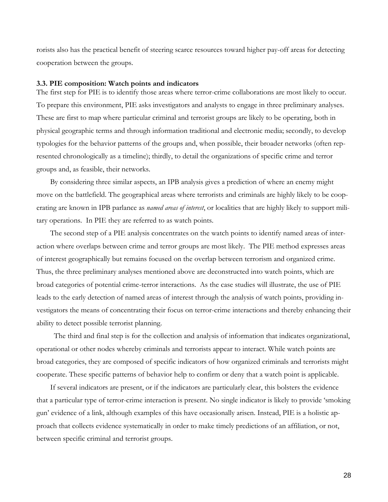rorists also has the practical benefit of steering scarce resources toward higher pay-off areas for detecting cooperation between the groups.

#### **3.3. PIE composition: Watch points and indicators**

The first step for PIE is to identify those areas where terror-crime collaborations are most likely to occur. To prepare this environment, PIE asks investigators and analysts to engage in three preliminary analyses. These are first to map where particular criminal and terrorist groups are likely to be operating, both in physical geographic terms and through information traditional and electronic media; secondly, to develop typologies for the behavior patterns of the groups and, when possible, their broader networks (often represented chronologically as a timeline); thirdly, to detail the organizations of specific crime and terror groups and, as feasible, their networks.

By considering three similar aspects, an IPB analysis gives a prediction of where an enemy might move on the battlefield. The geographical areas where terrorists and criminals are highly likely to be cooperating are known in IPB parlance as *named areas of interest*, or localities that are highly likely to support military operations. In PIE they are referred to as watch points.

The second step of a PIE analysis concentrates on the watch points to identify named areas of interaction where overlaps between crime and terror groups are most likely. The PIE method expresses areas of interest geographically but remains focused on the overlap between terrorism and organized crime. Thus, the three preliminary analyses mentioned above are deconstructed into watch points, which are broad categories of potential crime-terror interactions. As the case studies will illustrate, the use of PIE leads to the early detection of named areas of interest through the analysis of watch points, providing investigators the means of concentrating their focus on terror-crime interactions and thereby enhancing their ability to detect possible terrorist planning.

 The third and final step is for the collection and analysis of information that indicates organizational, operational or other nodes whereby criminals and terrorists appear to interact. While watch points are broad categories, they are composed of specific indicators of how organized criminals and terrorists might cooperate. These specific patterns of behavior help to confirm or deny that a watch point is applicable.

If several indicators are present, or if the indicators are particularly clear, this bolsters the evidence that a particular type of terror-crime interaction is present. No single indicator is likely to provide 'smoking gun' evidence of a link, although examples of this have occasionally arisen. Instead, PIE is a holistic approach that collects evidence systematically in order to make timely predictions of an affiliation, or not, between specific criminal and terrorist groups.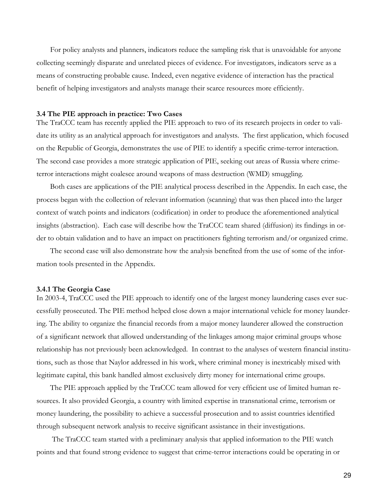For policy analysts and planners, indicators reduce the sampling risk that is unavoidable for anyone collecting seemingly disparate and unrelated pieces of evidence. For investigators, indicators serve as a means of constructing probable cause. Indeed, even negative evidence of interaction has the practical benefit of helping investigators and analysts manage their scarce resources more efficiently.

#### **3.4 The PIE approach in practice: Two Cases**

The TraCCC team has recently applied the PIE approach to two of its research projects in order to validate its utility as an analytical approach for investigators and analysts. The first application, which focused on the Republic of Georgia, demonstrates the use of PIE to identify a specific crime-terror interaction. The second case provides a more strategic application of PIE, seeking out areas of Russia where crimeterror interactions might coalesce around weapons of mass destruction (WMD) smuggling.

Both cases are applications of the PIE analytical process described in the Appendix. In each case, the process began with the collection of relevant information (scanning) that was then placed into the larger context of watch points and indicators (codification) in order to produce the aforementioned analytical insights (abstraction). Each case will describe how the TraCCC team shared (diffusion) its findings in order to obtain validation and to have an impact on practitioners fighting terrorism and/or organized crime.

The second case will also demonstrate how the analysis benefited from the use of some of the information tools presented in the Appendix.

#### **3.4.1 The Georgia Case**

In 2003-4, TraCCC used the PIE approach to identify one of the largest money laundering cases ever successfully prosecuted. The PIE method helped close down a major international vehicle for money laundering. The ability to organize the financial records from a major money launderer allowed the construction of a significant network that allowed understanding of the linkages among major criminal groups whose relationship has not previously been acknowledged. In contrast to the analyses of western financial institutions, such as those that Naylor addressed in his work, where criminal money is inextricably mixed with legitimate capital, this bank handled almost exclusively dirty money for international crime groups.

The PIE approach applied by the TraCCC team allowed for very efficient use of limited human resources. It also provided Georgia, a country with limited expertise in transnational crime, terrorism or money laundering, the possibility to achieve a successful prosecution and to assist countries identified through subsequent network analysis to receive significant assistance in their investigations.

 The TraCCC team started with a preliminary analysis that applied information to the PIE watch points and that found strong evidence to suggest that crime-terror interactions could be operating in or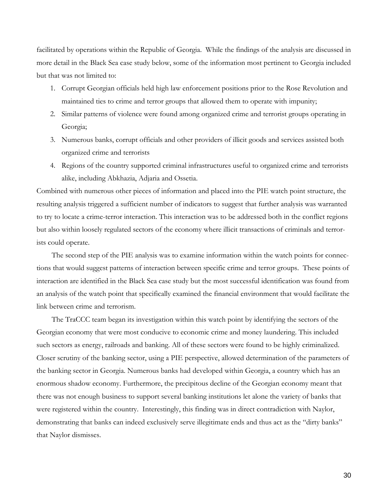facilitated by operations within the Republic of Georgia. While the findings of the analysis are discussed in more detail in the Black Sea case study below, some of the information most pertinent to Georgia included but that was not limited to:

- 1. Corrupt Georgian officials held high law enforcement positions prior to the Rose Revolution and maintained ties to crime and terror groups that allowed them to operate with impunity;
- 2. Similar patterns of violence were found among organized crime and terrorist groups operating in Georgia;
- 3. Numerous banks, corrupt officials and other providers of illicit goods and services assisted both organized crime and terrorists
- 4. Regions of the country supported criminal infrastructures useful to organized crime and terrorists alike, including Abkhazia, Adjaria and Ossetia.

Combined with numerous other pieces of information and placed into the PIE watch point structure, the resulting analysis triggered a sufficient number of indicators to suggest that further analysis was warranted to try to locate a crime-terror interaction. This interaction was to be addressed both in the conflict regions but also within loosely regulated sectors of the economy where illicit transactions of criminals and terrorists could operate.

The second step of the PIE analysis was to examine information within the watch points for connections that would suggest patterns of interaction between specific crime and terror groups. These points of interaction are identified in the Black Sea case study but the most successful identification was found from an analysis of the watch point that specifically examined the financial environment that would facilitate the link between crime and terrorism.

The TraCCC team began its investigation within this watch point by identifying the sectors of the Georgian economy that were most conducive to economic crime and money laundering. This included such sectors as energy, railroads and banking. All of these sectors were found to be highly criminalized. Closer scrutiny of the banking sector, using a PIE perspective, allowed determination of the parameters of the banking sector in Georgia. Numerous banks had developed within Georgia, a country which has an enormous shadow economy. Furthermore, the precipitous decline of the Georgian economy meant that there was not enough business to support several banking institutions let alone the variety of banks that were registered within the country. Interestingly, this finding was in direct contradiction with Naylor, demonstrating that banks can indeed exclusively serve illegitimate ends and thus act as the "dirty banks" that Naylor dismisses.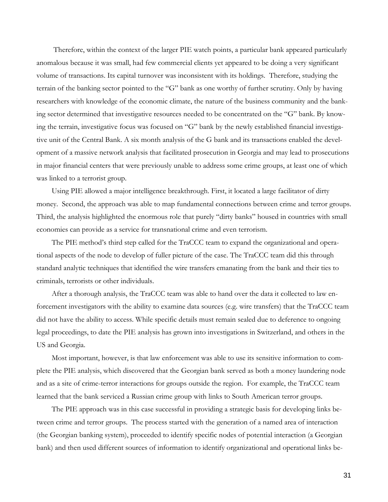Therefore, within the context of the larger PIE watch points, a particular bank appeared particularly anomalous because it was small, had few commercial clients yet appeared to be doing a very significant volume of transactions. Its capital turnover was inconsistent with its holdings. Therefore, studying the terrain of the banking sector pointed to the "G" bank as one worthy of further scrutiny. Only by having researchers with knowledge of the economic climate, the nature of the business community and the banking sector determined that investigative resources needed to be concentrated on the "G" bank. By knowing the terrain, investigative focus was focused on "G" bank by the newly established financial investigative unit of the Central Bank. A six month analysis of the G bank and its transactions enabled the development of a massive network analysis that facilitated prosecution in Georgia and may lead to prosecutions in major financial centers that were previously unable to address some crime groups, at least one of which was linked to a terrorist group.

Using PIE allowed a major intelligence breakthrough. First, it located a large facilitator of dirty money. Second, the approach was able to map fundamental connections between crime and terror groups. Third, the analysis highlighted the enormous role that purely "dirty banks" housed in countries with small economies can provide as a service for transnational crime and even terrorism.

The PIE method's third step called for the TraCCC team to expand the organizational and operational aspects of the node to develop of fuller picture of the case. The TraCCC team did this through standard analytic techniques that identified the wire transfers emanating from the bank and their ties to criminals, terrorists or other individuals.

After a thorough analysis, the TraCCC team was able to hand over the data it collected to law enforcement investigators with the ability to examine data sources (e.g. wire transfers) that the TraCCC team did not have the ability to access. While specific details must remain sealed due to deference to ongoing legal proceedings, to date the PIE analysis has grown into investigations in Switzerland, and others in the US and Georgia.

Most important, however, is that law enforcement was able to use its sensitive information to complete the PIE analysis, which discovered that the Georgian bank served as both a money laundering node and as a site of crime-terror interactions for groups outside the region. For example, the TraCCC team learned that the bank serviced a Russian crime group with links to South American terror groups.

The PIE approach was in this case successful in providing a strategic basis for developing links between crime and terror groups. The process started with the generation of a named area of interaction (the Georgian banking system), proceeded to identify specific nodes of potential interaction (a Georgian bank) and then used different sources of information to identify organizational and operational links be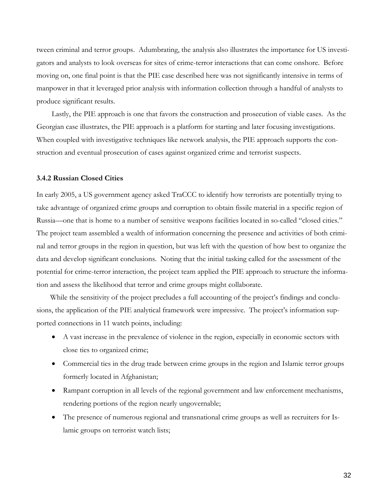tween criminal and terror groups. Adumbrating, the analysis also illustrates the importance for US investigators and analysts to look overseas for sites of crime-terror interactions that can come onshore. Before moving on, one final point is that the PIE case described here was not significantly intensive in terms of manpower in that it leveraged prior analysis with information collection through a handful of analysts to produce significant results.

Lastly, the PIE approach is one that favors the construction and prosecution of viable cases. As the Georgian case illustrates, the PIE approach is a platform for starting and later focusing investigations. When coupled with investigative techniques like network analysis, the PIE approach supports the construction and eventual prosecution of cases against organized crime and terrorist suspects.

#### **3.4.2 Russian Closed Cities**

In early 2005, a US government agency asked TraCCC to identify how terrorists are potentially trying to take advantage of organized crime groups and corruption to obtain fissile material in a specific region of Russia—one that is home to a number of sensitive weapons facilities located in so-called "closed cities." The project team assembled a wealth of information concerning the presence and activities of both criminal and terror groups in the region in question, but was left with the question of how best to organize the data and develop significant conclusions. Noting that the initial tasking called for the assessment of the potential for crime-terror interaction, the project team applied the PIE approach to structure the information and assess the likelihood that terror and crime groups might collaborate.

While the sensitivity of the project precludes a full accounting of the project's findings and conclusions, the application of the PIE analytical framework were impressive. The project's information supported connections in 11 watch points, including:

- A vast increase in the prevalence of violence in the region, especially in economic sectors with close ties to organized crime;
- Commercial ties in the drug trade between crime groups in the region and Islamic terror groups formerly located in Afghanistan;
- Rampant corruption in all levels of the regional government and law enforcement mechanisms, rendering portions of the region nearly ungovernable;
- The presence of numerous regional and transnational crime groups as well as recruiters for Islamic groups on terrorist watch lists;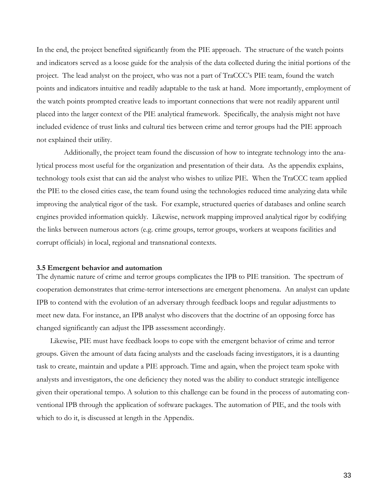In the end, the project benefited significantly from the PIE approach. The structure of the watch points and indicators served as a loose guide for the analysis of the data collected during the initial portions of the project. The lead analyst on the project, who was not a part of TraCCC's PIE team, found the watch points and indicators intuitive and readily adaptable to the task at hand. More importantly, employment of the watch points prompted creative leads to important connections that were not readily apparent until placed into the larger context of the PIE analytical framework. Specifically, the analysis might not have included evidence of trust links and cultural ties between crime and terror groups had the PIE approach not explained their utility.

Additionally, the project team found the discussion of how to integrate technology into the analytical process most useful for the organization and presentation of their data. As the appendix explains, technology tools exist that can aid the analyst who wishes to utilize PIE. When the TraCCC team applied the PIE to the closed cities case, the team found using the technologies reduced time analyzing data while improving the analytical rigor of the task. For example, structured queries of databases and online search engines provided information quickly. Likewise, network mapping improved analytical rigor by codifying the links between numerous actors (e.g. crime groups, terror groups, workers at weapons facilities and corrupt officials) in local, regional and transnational contexts.

#### **3.5 Emergent behavior and automation**

The dynamic nature of crime and terror groups complicates the IPB to PIE transition. The spectrum of cooperation demonstrates that crime-terror intersections are emergent phenomena. An analyst can update IPB to contend with the evolution of an adversary through feedback loops and regular adjustments to meet new data. For instance, an IPB analyst who discovers that the doctrine of an opposing force has changed significantly can adjust the IPB assessment accordingly.

Likewise, PIE must have feedback loops to cope with the emergent behavior of crime and terror groups. Given the amount of data facing analysts and the caseloads facing investigators, it is a daunting task to create, maintain and update a PIE approach. Time and again, when the project team spoke with analysts and investigators, the one deficiency they noted was the ability to conduct strategic intelligence given their operational tempo. A solution to this challenge can be found in the process of automating conventional IPB through the application of software packages. The automation of PIE, and the tools with which to do it, is discussed at length in the Appendix.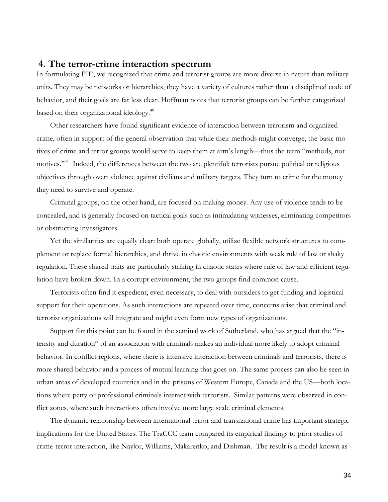## **4. The terror-crime interaction spectrum**

In formulating PIE, we recognized that crime and terrorist groups are more diverse in nature than military units. They may be networks or hierarchies, they have a variety of cultures rather than a disciplined code of behavior, and their goals are far less clear. Hoffman notes that terrorist groups can be further categorized based on their organizational ideology.<sup>40</sup>

Other researchers have found significant evidence of interaction between terrorism and organized crime, often in support of the general observation that while their methods might converge, the basic motives of crime and terror groups would serve to keep them at arm's length—thus the term "methods, not motives.["41](#page-113-40) Indeed, the differences between the two are plentiful: terrorists pursue political or religious objectives through overt violence against civilians and military targets. They turn to crime for the money they need to survive and operate.

Criminal groups, on the other hand, are focused on making money. Any use of violence tends to be concealed, and is generally focused on tactical goals such as intimidating witnesses, eliminating competitors or obstructing investigators.

Yet the similarities are equally clear: both operate globally, utilize flexible network structures to complement or replace formal hierarchies, and thrive in chaotic environments with weak rule of law or shaky regulation. These shared traits are particularly striking in chaotic states where rule of law and efficient regulation have broken down. In a corrupt environment, the two groups find common cause.

Terrorists often find it expedient, even necessary, to deal with outsiders to get funding and logistical support for their operations. As such interactions are repeated over time, concerns arise that criminal and terrorist organizations will integrate and might even form new types of organizations.

Support for this point can be found in the seminal work of Sutherland, who has argued that the "intensity and duration" of an association with criminals makes an individual more likely to adopt criminal behavior. In conflict regions, where there is intensive interaction between criminals and terrorists, there is more shared behavior and a process of mutual learning that goes on. The same process can also be seen in urban areas of developed countries and in the prisons of Western Europe, Canada and the US—both locations where petty or professional criminals interact with terrorists. Similar patterns were observed in conflict zones, where such interactions often involve more large scale criminal elements.

The dynamic relationship between international terror and transnational crime has important strategic implications for the United States. The TraCCC team compared its empirical findings to prior studies of crime-terror interaction, like Naylor, Williams, Makarenko, and Dishman. The result is a model known as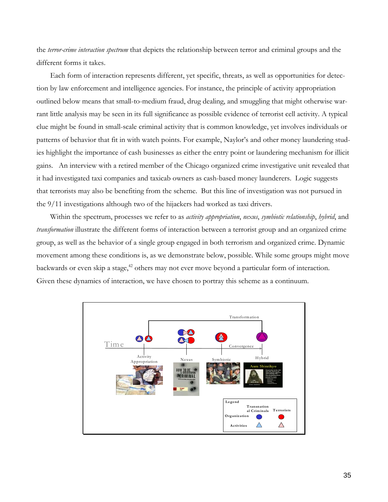the *terror-crime interaction spectrum* that depicts the relationship between terror and criminal groups and the different forms it takes.

Each form of interaction represents different, yet specific, threats, as well as opportunities for detection by law enforcement and intelligence agencies. For instance, the principle of activity appropriation outlined below means that small-to-medium fraud, drug dealing, and smuggling that might otherwise warrant little analysis may be seen in its full significance as possible evidence of terrorist cell activity. A typical clue might be found in small-scale criminal activity that is common knowledge, yet involves individuals or patterns of behavior that fit in with watch points. For example, Naylor's and other money laundering studies highlight the importance of cash businesses as either the entry point or laundering mechanism for illicit gains. An interview with a retired member of the Chicago organized crime investigative unit revealed that it had investigated taxi companies and taxicab owners as cash-based money launderers. Logic suggests that terrorists may also be benefiting from the scheme. But this line of investigation was not pursued in the 9/11 investigations although two of the hijackers had worked as taxi drivers.

Within the spectrum, processes we refer to as *activity appropriation*, *nexus*, *symbiotic relationship*, *hybrid*, and *transformation* illustrate the different forms of interaction between a terrorist group and an organized crime group, as well as the behavior of a single group engaged in both terrorism and organized crime. Dynamic movement among these conditions is, as we demonstrate below, possible. While some groups might move backwards or even skip a stage,<sup>42</sup> others may not ever move beyond a particular form of interaction. Given these dynamics of interaction, we have chosen to portray this scheme as a continuum.

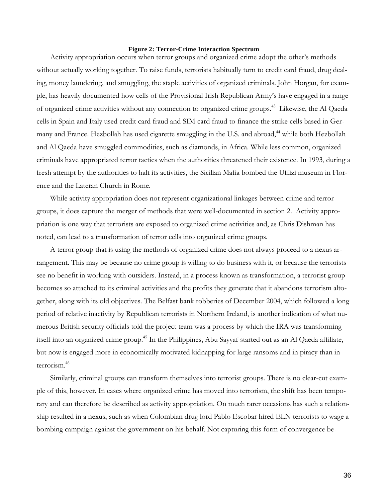#### **Figure 2: Terror-Crime Interaction Spectrum**

Activity appropriation occurs when terror groups and organized crime adopt the other's methods without actually working together. To raise funds, terrorists habitually turn to credit card fraud, drug dealing, money laundering, and smuggling, the staple activities of organized criminals. John Horgan, for example, has heavily documented how cells of the Provisional Irish Republican Army's have engaged in a range of organized crime activities without any connection to organized crime groups[.43](#page-113-42) Likewise, the Al Qaeda cells in Spain and Italy used credit card fraud and SIM card fraud to finance the strike cells based in Germany and France. Hezbollah has used cigarette smuggling in the U.S. and abroad,<sup>44</sup> while both Hezbollah and Al Qaeda have smuggled commodities, such as diamonds, in Africa. While less common, organized criminals have appropriated terror tactics when the authorities threatened their existence. In 1993, during a fresh attempt by the authorities to halt its activities, the Sicilian Mafia bombed the Uffizi museum in Florence and the Lateran Church in Rome.

While activity appropriation does not represent organizational linkages between crime and terror groups, it does capture the merger of methods that were well-documented in section 2. Activity appropriation is one way that terrorists are exposed to organized crime activities and, as Chris Dishman has noted, can lead to a transformation of terror cells into organized crime groups.

A terror group that is using the methods of organized crime does not always proceed to a nexus arrangement. This may be because no crime group is willing to do business with it, or because the terrorists see no benefit in working with outsiders. Instead, in a process known as transformation, a terrorist group becomes so attached to its criminal activities and the profits they generate that it abandons terrorism altogether, along with its old objectives. The Belfast bank robberies of December 2004, which followed a long period of relative inactivity by Republican terrorists in Northern Ireland, is another indication of what numerous British security officials told the project team was a process by which the IRA was transforming itself into an organized crime group.<sup>45</sup> In the Philippines, Abu Sayyaf started out as an Al Qaeda affiliate, but now is engaged more in economically motivated kidnapping for large ransoms and in piracy than in terrorism[.46](#page-113-45) 

Similarly, criminal groups can transform themselves into terrorist groups. There is no clear-cut example of this, however. In cases where organized crime has moved into terrorism, the shift has been temporary and can therefore be described as activity appropriation. On much rarer occasions has such a relationship resulted in a nexus, such as when Colombian drug lord Pablo Escobar hired ELN terrorists to wage a bombing campaign against the government on his behalf. Not capturing this form of convergence be-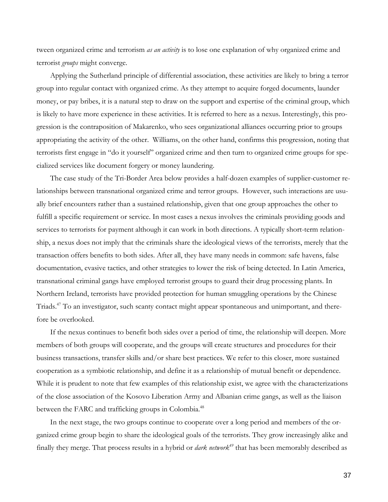tween organized crime and terrorism *as an activity* is to lose one explanation of why organized crime and terrorist *groups* might converge.

Applying the Sutherland principle of differential association, these activities are likely to bring a terror group into regular contact with organized crime. As they attempt to acquire forged documents, launder money, or pay bribes, it is a natural step to draw on the support and expertise of the criminal group, which is likely to have more experience in these activities. It is referred to here as a nexus. Interestingly, this progression is the contraposition of Makarenko, who sees organizational alliances occurring prior to groups appropriating the activity of the other. Williams, on the other hand, confirms this progression, noting that terrorists first engage in "do it yourself" organized crime and then turn to organized crime groups for specialized services like document forgery or money laundering.

The case study of the Tri-Border Area below provides a half-dozen examples of supplier-customer relationships between transnational organized crime and terror groups. However, such interactions are usually brief encounters rather than a sustained relationship, given that one group approaches the other to fulfill a specific requirement or service. In most cases a nexus involves the criminals providing goods and services to terrorists for payment although it can work in both directions. A typically short-term relationship, a nexus does not imply that the criminals share the ideological views of the terrorists, merely that the transaction offers benefits to both sides. After all, they have many needs in common: safe havens, false documentation, evasive tactics, and other strategies to lower the risk of being detected. In Latin America, transnational criminal gangs have employed terrorist groups to guard their drug processing plants. In Northern Ireland, terrorists have provided protection for human smuggling operations by the Chinese Triads.<sup>47</sup> To an investigator, such scanty contact might appear spontaneous and unimportant, and therefore be overlooked.

If the nexus continues to benefit both sides over a period of time, the relationship will deepen. More members of both groups will cooperate, and the groups will create structures and procedures for their business transactions, transfer skills and/or share best practices. We refer to this closer, more sustained cooperation as a symbiotic relationship, and define it as a relationship of mutual benefit or dependence. While it is prudent to note that few examples of this relationship exist, we agree with the characterizations of the close association of the Kosovo Liberation Army and Albanian crime gangs, as well as the liaison between the FARC and trafficking groups in Colombia.<sup>48</sup>

In the next stage, the two groups continue to cooperate over a long period and members of the organized crime group begin to share the ideological goals of the terrorists. They grow increasingly alike and finally they merge. That process results in a hybrid or *dark network[49](#page-113-2)* that has been memorably described as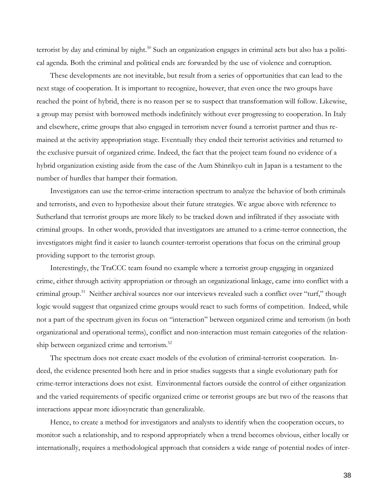terrorist by day and criminal by night.<sup>50</sup> Such an organization engages in criminal acts but also has a political agenda. Both the criminal and political ends are forwarded by the use of violence and corruption.

These developments are not inevitable, but result from a series of opportunities that can lead to the next stage of cooperation. It is important to recognize, however, that even once the two groups have reached the point of hybrid, there is no reason per se to suspect that transformation will follow. Likewise, a group may persist with borrowed methods indefinitely without ever progressing to cooperation. In Italy and elsewhere, crime groups that also engaged in terrorism never found a terrorist partner and thus remained at the activity appropriation stage. Eventually they ended their terrorist activities and returned to the exclusive pursuit of organized crime. Indeed, the fact that the project team found no evidence of a hybrid organization existing aside from the case of the Aum Shinrikyo cult in Japan is a testament to the number of hurdles that hamper their formation.

Investigators can use the terror-crime interaction spectrum to analyze the behavior of both criminals and terrorists, and even to hypothesize about their future strategies. We argue above with reference to Sutherland that terrorist groups are more likely to be tracked down and infiltrated if they associate with criminal groups. In other words, provided that investigators are attuned to a crime-terror connection, the investigators might find it easier to launch counter-terrorist operations that focus on the criminal group providing support to the terrorist group.

Interestingly, the TraCCC team found no example where a terrorist group engaging in organized crime, either through activity appropriation or through an organizational linkage, came into conflict with a criminal group.<sup>51</sup> Neither archival sources nor our interviews revealed such a conflict over "turf," though logic would suggest that organized crime groups would react to such forms of competition. Indeed, while not a part of the spectrum given its focus on "interaction" between organized crime and terrorism (in both organizational and operational terms), conflict and non-interaction must remain categories of the relationship between organized crime and terrorism.<sup>52</sup>

The spectrum does not create exact models of the evolution of criminal-terrorist cooperation. Indeed, the evidence presented both here and in prior studies suggests that a single evolutionary path for crime-terror interactions does not exist. Environmental factors outside the control of either organization and the varied requirements of specific organized crime or terrorist groups are but two of the reasons that interactions appear more idiosyncratic than generalizable.

Hence, to create a method for investigators and analysts to identify when the cooperation occurs, to monitor such a relationship, and to respond appropriately when a trend becomes obvious, either locally or internationally, requires a methodological approach that considers a wide range of potential nodes of inter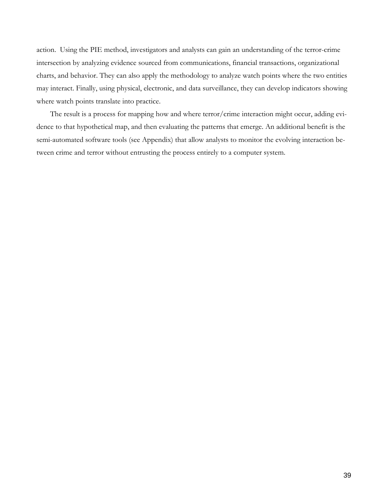action. Using the PIE method, investigators and analysts can gain an understanding of the terror-crime intersection by analyzing evidence sourced from communications, financial transactions, organizational charts, and behavior. They can also apply the methodology to analyze watch points where the two entities may interact. Finally, using physical, electronic, and data surveillance, they can develop indicators showing where watch points translate into practice.

The result is a process for mapping how and where terror/crime interaction might occur, adding evidence to that hypothetical map, and then evaluating the patterns that emerge. An additional benefit is the semi-automated software tools (see Appendix) that allow analysts to monitor the evolving interaction between crime and terror without entrusting the process entirely to a computer system.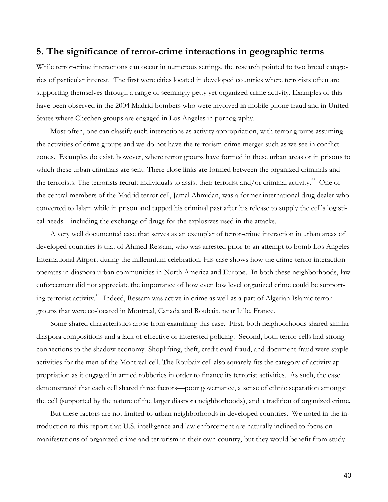# **5. The significance of terror-crime interactions in geographic terms**

While terror-crime interactions can occur in numerous settings, the research pointed to two broad categories of particular interest. The first were cities located in developed countries where terrorists often are supporting themselves through a range of seemingly petty yet organized crime activity. Examples of this have been observed in the 2004 Madrid bombers who were involved in mobile phone fraud and in United States where Chechen groups are engaged in Los Angeles in pornography.

Most often, one can classify such interactions as activity appropriation, with terror groups assuming the activities of crime groups and we do not have the terrorism-crime merger such as we see in conflict zones. Examples do exist, however, where terror groups have formed in these urban areas or in prisons to which these urban criminals are sent. There close links are formed between the organized criminals and the terrorists. The terrorists recruit individuals to assist their terrorist and/or criminal activity.<sup>53</sup> One of the central members of the Madrid terror cell, Jamal Ahmidan, was a former international drug dealer who converted to Islam while in prison and tapped his criminal past after his release to supply the cell's logistical needs—including the exchange of drugs for the explosives used in the attacks.

A very well documented case that serves as an exemplar of terror-crime interaction in urban areas of developed countries is that of Ahmed Ressam, who was arrested prior to an attempt to bomb Los Angeles International Airport during the millennium celebration. His case shows how the crime-terror interaction operates in diaspora urban communities in North America and Europe. In both these neighborhoods, law enforcement did not appreciate the importance of how even low level organized crime could be supporting terrorist activity.[54](#page-113-7) Indeed, Ressam was active in crime as well as a part of Algerian Islamic terror groups that were co-located in Montreal, Canada and Roubaix, near Lille, France.

Some shared characteristics arose from examining this case. First, both neighborhoods shared similar diaspora compositions and a lack of effective or interested policing. Second, both terror cells had strong connections to the shadow economy. Shoplifting, theft, credit card fraud, and document fraud were staple activities for the men of the Montreal cell. The Roubaix cell also squarely fits the category of activity appropriation as it engaged in armed robberies in order to finance its terrorist activities. As such, the case demonstrated that each cell shared three factors—poor governance, a sense of ethnic separation amongst the cell (supported by the nature of the larger diaspora neighborhoods), and a tradition of organized crime.

But these factors are not limited to urban neighborhoods in developed countries. We noted in the introduction to this report that U.S. intelligence and law enforcement are naturally inclined to focus on manifestations of organized crime and terrorism in their own country, but they would benefit from study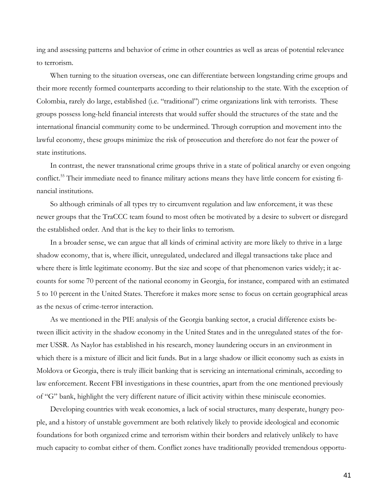ing and assessing patterns and behavior of crime in other countries as well as areas of potential relevance to terrorism.

When turning to the situation overseas, one can differentiate between longstanding crime groups and their more recently formed counterparts according to their relationship to the state. With the exception of Colombia, rarely do large, established (i.e. "traditional") crime organizations link with terrorists. These groups possess long-held financial interests that would suffer should the structures of the state and the international financial community come to be undermined. Through corruption and movement into the lawful economy, these groups minimize the risk of prosecution and therefore do not fear the power of state institutions.

In contrast, the newer transnational crime groups thrive in a state of political anarchy or even ongoing conflict.<sup>55</sup> Their immediate need to finance military actions means they have little concern for existing financial institutions.

So although criminals of all types try to circumvent regulation and law enforcement, it was these newer groups that the TraCCC team found to most often be motivated by a desire to subvert or disregard the established order. And that is the key to their links to terrorism.

In a broader sense, we can argue that all kinds of criminal activity are more likely to thrive in a large shadow economy, that is, where illicit, unregulated, undeclared and illegal transactions take place and where there is little legitimate economy. But the size and scope of that phenomenon varies widely; it accounts for some 70 percent of the national economy in Georgia, for instance, compared with an estimated 5 to 10 percent in the United States. Therefore it makes more sense to focus on certain geographical areas as the nexus of crime-terror interaction.

As we mentioned in the PIE analysis of the Georgia banking sector, a crucial difference exists between illicit activity in the shadow economy in the United States and in the unregulated states of the former USSR. As Naylor has established in his research, money laundering occurs in an environment in which there is a mixture of illicit and licit funds. But in a large shadow or illicit economy such as exists in Moldova or Georgia, there is truly illicit banking that is servicing an international criminals, according to law enforcement. Recent FBI investigations in these countries, apart from the one mentioned previously of "G" bank, highlight the very different nature of illicit activity within these miniscule economies.

Developing countries with weak economies, a lack of social structures, many desperate, hungry people, and a history of unstable government are both relatively likely to provide ideological and economic foundations for both organized crime and terrorism within their borders and relatively unlikely to have much capacity to combat either of them. Conflict zones have traditionally provided tremendous opportu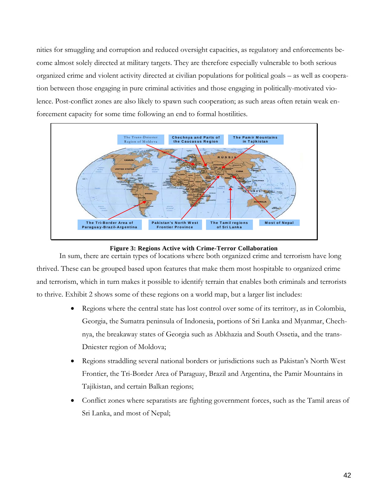nities for smuggling and corruption and reduced oversight capacities, as regulatory and enforcements become almost solely directed at military targets. They are therefore especially vulnerable to both serious organized crime and violent activity directed at civilian populations for political goals – as well as cooperation between those engaging in pure criminal activities and those engaging in politically-motivated violence. Post-conflict zones are also likely to spawn such cooperation; as such areas often retain weak enforcement capacity for some time following an end to formal hostilities.



**Figure 3: Regions Active with Crime-Terror Collaboration**

In sum, there are certain types of locations where both organized crime and terrorism have long thrived. These can be grouped based upon features that make them most hospitable to organized crime and terrorism, which in turn makes it possible to identify terrain that enables both criminals and terrorists to thrive. Exhibit 2 shows some of these regions on a world map, but a larger list includes:

- Regions where the central state has lost control over some of its territory, as in Colombia, Georgia, the Sumatra peninsula of Indonesia, portions of Sri Lanka and Myanmar, Chechnya, the breakaway states of Georgia such as Abkhazia and South Ossetia, and the trans-Dniester region of Moldova;
- Regions straddling several national borders or jurisdictions such as Pakistan's North West Frontier, the Tri-Border Area of Paraguay, Brazil and Argentina, the Pamir Mountains in Tajikistan, and certain Balkan regions;
- Conflict zones where separatists are fighting government forces, such as the Tamil areas of Sri Lanka, and most of Nepal;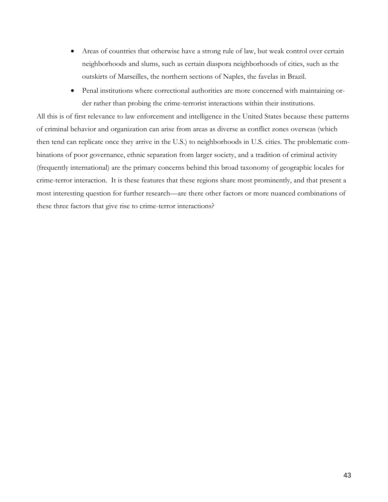- Areas of countries that otherwise have a strong rule of law, but weak control over certain neighborhoods and slums, such as certain diaspora neighborhoods of cities, such as the outskirts of Marseilles, the northern sections of Naples, the favelas in Brazil.
- Penal institutions where correctional authorities are more concerned with maintaining order rather than probing the crime-terrorist interactions within their institutions.

All this is of first relevance to law enforcement and intelligence in the United States because these patterns of criminal behavior and organization can arise from areas as diverse as conflict zones overseas (which then tend can replicate once they arrive in the U.S.) to neighborhoods in U.S. cities. The problematic combinations of poor governance, ethnic separation from larger society, and a tradition of criminal activity (frequently international) are the primary concerns behind this broad taxonomy of geographic locales for crime-terror interaction. It is these features that these regions share most prominently, and that present a most interesting question for further research—are there other factors or more nuanced combinations of these three factors that give rise to crime-terror interactions?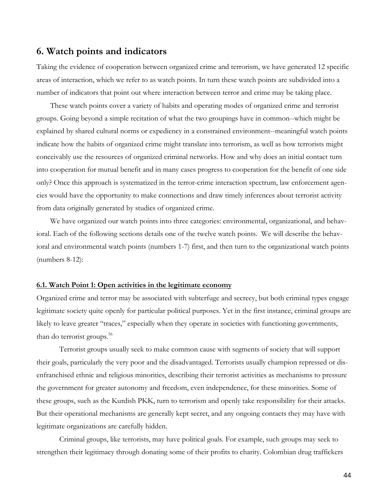# **6. Watch points and indicators**

Taking the evidence of cooperation between organized crime and terrorism, we have generated 12 specific areas of interaction, which we refer to as watch points. In turn these watch points are subdivided into a number of indicators that point out where interaction between terror and crime may be taking place.

These watch points cover a variety of habits and operating modes of organized crime and terrorist groups. Going beyond a simple recitation of what the two groupings have in common--which might be explained by shared cultural norms or expediency in a constrained environment--meaningful watch points indicate how the habits of organized crime might translate into terrorism, as well as how terrorists might conceivably use the resources of organized criminal networks. How and why does an initial contact turn into cooperation for mutual benefit and in many cases progress to cooperation for the benefit of one side only? Once this approach is systematized in the terror-crime interaction spectrum, law enforcement agencies would have the opportunity to make connections and draw timely inferences about terrorist activity from data originally generated by studies of organized crime.

We have organized our watch points into three categories: environmental, organizational, and behavioral. Each of the following sections details one of the twelve watch points. We will describe the behavioral and environmental watch points (numbers 1-7) first, and then turn to the organizational watch points (numbers 8-12):

# **6.1. Watch Point 1: Open activities in the legitimate economy**

Organized crime and terror may be associated with subterfuge and secrecy, but both criminal types engage legitimate society quite openly for particular political purposes. Yet in the first instance, criminal groups are likely to leave greater "traces," especially when they operate in societies with functioning governments, than do terrorist groups.<sup>56</sup>

Terrorist groups usually seek to make common cause with segments of society that will support their goals, particularly the very poor and the disadvantaged. Terrorists usually champion repressed or disenfranchised ethnic and religious minorities, describing their terrorist activities as mechanisms to pressure the government for greater autonomy and freedom, even independence, for these minorities. Some of these groups, such as the Kurdish PKK, turn to terrorism and openly take responsibility for their attacks. But their operational mechanisms are generally kept secret, and any ongoing contacts they may have with legitimate organizations are carefully hidden.

Criminal groups, like terrorists, may have political goals. For example, such groups may seek to strengthen their legitimacy through donating some of their profits to charity. Colombian drug traffickers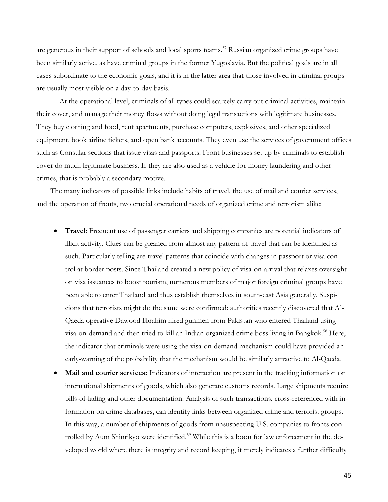are generous in their support of schools and local sports teams.<sup>57</sup> Russian organized crime groups have been similarly active, as have criminal groups in the former Yugoslavia. But the political goals are in all cases subordinate to the economic goals, and it is in the latter area that those involved in criminal groups are usually most visible on a day-to-day basis.

At the operational level, criminals of all types could scarcely carry out criminal activities, maintain their cover, and manage their money flows without doing legal transactions with legitimate businesses. They buy clothing and food, rent apartments, purchase computers, explosives, and other specialized equipment, book airline tickets, and open bank accounts. They even use the services of government offices such as Consular sections that issue visas and passports. Front businesses set up by criminals to establish cover do much legitimate business. If they are also used as a vehicle for money laundering and other crimes, that is probably a secondary motive.

The many indicators of possible links include habits of travel, the use of mail and courier services, and the operation of fronts, two crucial operational needs of organized crime and terrorism alike:

- **Travel**: Frequent use of passenger carriers and shipping companies are potential indicators of illicit activity. Clues can be gleaned from almost any pattern of travel that can be identified as such. Particularly telling are travel patterns that coincide with changes in passport or visa control at border posts. Since Thailand created a new policy of visa-on-arrival that relaxes oversight on visa issuances to boost tourism, numerous members of major foreign criminal groups have been able to enter Thailand and thus establish themselves in south-east Asia generally. Suspicions that terrorists might do the same were confirmed: authorities recently discovered that Al-Qaeda operative Dawood Ibrahim hired gunmen from Pakistan who entered Thailand using visa-on-demand and then tried to kill an Indian organized crime boss living in Bangkok.<sup>58</sup> Here, the indicator that criminals were using the visa-on-demand mechanism could have provided an early-warning of the probability that the mechanism would be similarly attractive to Al-Qaeda.
- **Mail and courier services:** Indicators of interaction are present in the tracking information on international shipments of goods, which also generate customs records. Large shipments require bills-of-lading and other documentation. Analysis of such transactions, cross-referenced with information on crime databases, can identify links between organized crime and terrorist groups. In this way, a number of shipments of goods from unsuspecting U.S. companies to fronts controlled by Aum Shinrikyo were identified.<sup>59</sup> While this is a boon for law enforcement in the developed world where there is integrity and record keeping, it merely indicates a further difficulty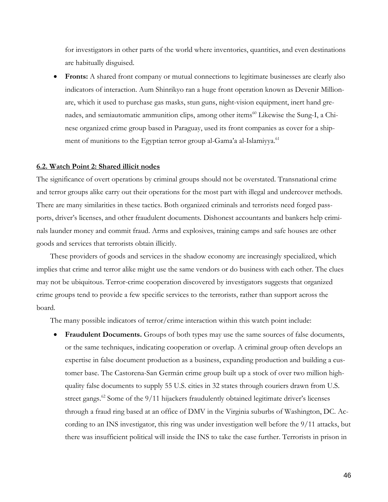for investigators in other parts of the world where inventories, quantities, and even destinations are habitually disguised.

• **Fronts:** A shared front company or mutual connections to legitimate businesses are clearly also indicators of interaction. Aum Shinrikyo ran a huge front operation known as Devenir Millionare, which it used to purchase gas masks, stun guns, night-vision equipment, inert hand grenades, and semiautomatic ammunition clips, among other items<sup>60</sup> Likewise the Sung-I, a Chinese organized crime group based in Paraguay, used its front companies as cover for a shipment of munitions to the Egyptian terror group al-Gama'a al-Islamiyya.<sup>61</sup>

### **6.2. Watch Point 2: Shared illicit nodes**

The significance of overt operations by criminal groups should not be overstated. Transnational crime and terror groups alike carry out their operations for the most part with illegal and undercover methods. There are many similarities in these tactics. Both organized criminals and terrorists need forged passports, driver's licenses, and other fraudulent documents. Dishonest accountants and bankers help criminals launder money and commit fraud. Arms and explosives, training camps and safe houses are other goods and services that terrorists obtain illicitly.

These providers of goods and services in the shadow economy are increasingly specialized, which implies that crime and terror alike might use the same vendors or do business with each other. The clues may not be ubiquitous. Terror-crime cooperation discovered by investigators suggests that organized crime groups tend to provide a few specific services to the terrorists, rather than support across the board.

The many possible indicators of terror/crime interaction within this watch point include:

• **Fraudulent Documents.** Groups of both types may use the same sources of false documents, or the same techniques, indicating cooperation or overlap. A criminal group often develops an expertise in false document production as a business, expanding production and building a customer base. The Castorena-San Germán crime group built up a stock of over two million highquality false documents to supply 55 U.S. cities in 32 states through couriers drawn from U.S. street gangs.<sup>62</sup> Some of the  $9/11$  hijackers fraudulently obtained legitimate driver's licenses through a fraud ring based at an office of DMV in the Virginia suburbs of Washington, DC. According to an INS investigator, this ring was under investigation well before the 9/11 attacks, but there was insufficient political will inside the INS to take the case further. Terrorists in prison in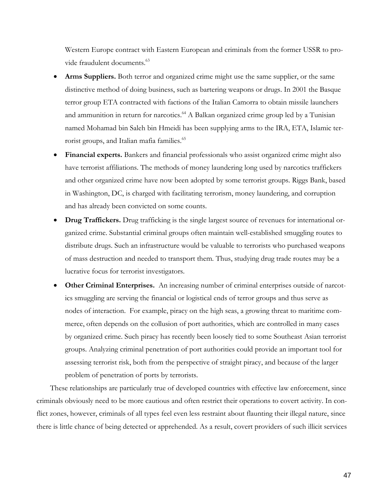Western Europe contract with Eastern European and criminals from the former USSR to pro-vide fraudulent documents.<sup>[63](#page-113-16)</sup>

- **Arms Suppliers.** Both terror and organized crime might use the same supplier, or the same distinctive method of doing business, such as bartering weapons or drugs. In 2001 the Basque terror group ETA contracted with factions of the Italian Camorra to obtain missile launchers and ammunition in return for narcotics.<sup>64</sup> A Balkan organized crime group led by a Tunisian named Mohamad bin Saleh bin Hmeidi has been supplying arms to the IRA, ETA, Islamic terrorist groups, and Italian mafia families.<sup>65</sup>
- **Financial experts.** Bankers and financial professionals who assist organized crime might also have terrorist affiliations. The methods of money laundering long used by narcotics traffickers and other organized crime have now been adopted by some terrorist groups. Riggs Bank, based in Washington, DC, is charged with facilitating terrorism, money laundering, and corruption and has already been convicted on some counts.
- **Drug Traffickers.** Drug trafficking is the single largest source of revenues for international organized crime. Substantial criminal groups often maintain well-established smuggling routes to distribute drugs. Such an infrastructure would be valuable to terrorists who purchased weapons of mass destruction and needed to transport them. Thus, studying drug trade routes may be a lucrative focus for terrorist investigators.
- **Other Criminal Enterprises.** An increasing number of criminal enterprises outside of narcotics smuggling are serving the financial or logistical ends of terror groups and thus serve as nodes of interaction. For example, piracy on the high seas, a growing threat to maritime commerce, often depends on the collusion of port authorities, which are controlled in many cases by organized crime. Such piracy has recently been loosely tied to some Southeast Asian terrorist groups. Analyzing criminal penetration of port authorities could provide an important tool for assessing terrorist risk, both from the perspective of straight piracy, and because of the larger problem of penetration of ports by terrorists.

These relationships are particularly true of developed countries with effective law enforcement, since criminals obviously need to be more cautious and often restrict their operations to covert activity. In conflict zones, however, criminals of all types feel even less restraint about flaunting their illegal nature, since there is little chance of being detected or apprehended. As a result, covert providers of such illicit services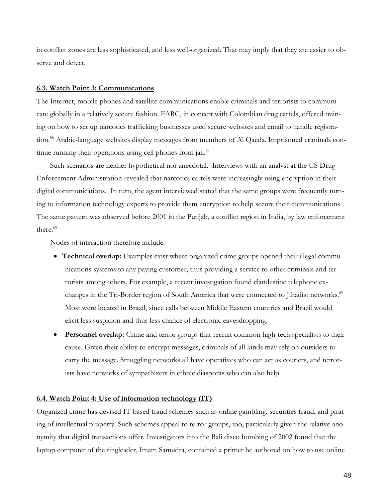in conflict zones are less sophisticated, and less well-organized. That may imply that they are easier to observe and detect.

### **6.3. Watch Point 3: Communications**

The Internet, mobile phones and satellite communications enable criminals and terrorists to communicate globally in a relatively secure fashion. FARC, in concert with Colombian drug cartels, offered training on how to set up narcotics trafficking businesses used secure websites and email to handle registration.<sup>66</sup> Arabic-language websites display messages from members of Al Qaeda. Imprisoned criminals continue running their operations using cell phones from jail. $\frac{67}{2}$ 

Such scenarios are neither hypothetical nor anecdotal. Interviews with an analyst at the US Drug Enforcement Administration revealed that narcotics cartels were increasingly using encryption in their digital communications. In turn, the agent interviewed stated that the same groups were frequently turning to information technology experts to provide them encryption to help secure their communications. The same pattern was observed before 2001 in the Punjab, a conflict region in India, by law enforcement there.<sup>68</sup>

Nodes of interaction therefore include:

- **Technical overlap:** Examples exist where organized crime groups opened their illegal communications systems to any paying customer, thus providing a service to other criminals and terrorists among others. For example, a recent investigation found clandestine telephone exchanges in the Tri-Border region of South America that were connected to Jihadist networks.<sup>69</sup> Most were located in Brazil, since calls between Middle Eastern countries and Brazil would elicit less suspicion and thus less chance of electronic eavesdropping.
- **Personnel overlap:** Crime and terror groups that recruit common high-tech specialists to their cause. Given their ability to encrypt messages, criminals of all kinds may rely on outsiders to carry the message. Smuggling networks all have operatives who can act as couriers, and terrorists have networks of sympathizers in ethnic diasporas who can also help.

## **6.4. Watch Point 4: Use of information technology (IT)**

Organized crime has devised IT-based fraud schemes such as online gambling, securities fraud, and pirating of intellectual property. Such schemes appeal to terror groups, too, particularly given the relative anonymity that digital transactions offer. Investigators into the Bali disco bombing of 2002 found that the laptop computer of the ringleader, Imam Samudra, contained a primer he authored on how to use online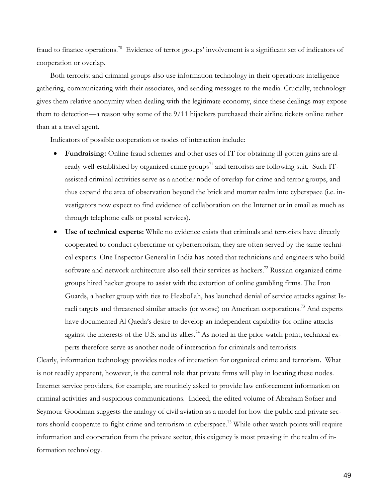fraud to finance operations.<sup>70</sup> Evidence of terror groups' involvement is a significant set of indicators of cooperation or overlap.

Both terrorist and criminal groups also use information technology in their operations: intelligence gathering, communicating with their associates, and sending messages to the media. Crucially, technology gives them relative anonymity when dealing with the legitimate economy, since these dealings may expose them to detection—a reason why some of the 9/11 hijackers purchased their airline tickets online rather than at a travel agent.

Indicators of possible cooperation or nodes of interaction include:

- **Fundraising:** Online fraud schemes and other uses of IT for obtaining ill-gotten gains are already well-established by organized crime groups<sup>71</sup> and terrorists are following suit. Such ITassisted criminal activities serve as a another node of overlap for crime and terror groups, and thus expand the area of observation beyond the brick and mortar realm into cyberspace (i.e. investigators now expect to find evidence of collaboration on the Internet or in email as much as through telephone calls or postal services).
- **Use of technical experts:** While no evidence exists that criminals and terrorists have directly cooperated to conduct cybercrime or cyberterrorism, they are often served by the same technical experts. One Inspector General in India has noted that technicians and engineers who build software and network architecture also sell their services as hackers.<sup>72</sup> Russian organized crime groups hired hacker groups to assist with the extortion of online gambling firms. The Iron Guards, a hacker group with ties to Hezbollah, has launched denial of service attacks against Israeli targets and threatened similar attacks (or worse) on American corporations.<sup>73</sup> And experts have documented Al Qaeda's desire to develop an independent capability for online attacks against the interests of the U.S. and its allies.<sup>74</sup> As noted in the prior watch point, technical experts therefore serve as another node of interaction for criminals and terrorists.

Clearly, information technology provides nodes of interaction for organized crime and terrorism. What is not readily apparent, however, is the central role that private firms will play in locating these nodes. Internet service providers, for example, are routinely asked to provide law enforcement information on criminal activities and suspicious communications. Indeed, the edited volume of Abraham Sofaer and Seymour Goodman suggests the analogy of civil aviation as a model for how the public and private sectors should cooperate to fight crime and terrorism in cyberspace.<sup>75</sup> While other watch points will require information and cooperation from the private sector, this exigency is most pressing in the realm of information technology.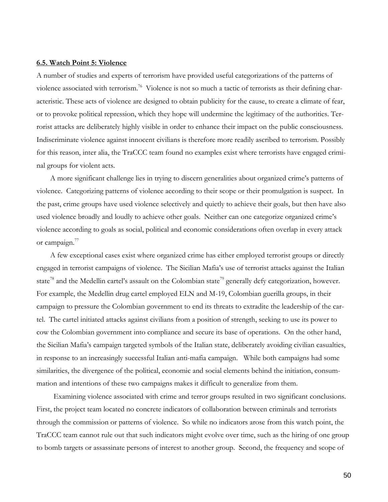## **6.5. Watch Point 5: Violence**

A number of studies and experts of terrorism have provided useful categorizations of the patterns of violence associated with terrorism.<sup>76</sup> Violence is not so much a tactic of terrorists as their defining characteristic. These acts of violence are designed to obtain publicity for the cause, to create a climate of fear, or to provoke political repression, which they hope will undermine the legitimacy of the authorities. Terrorist attacks are deliberately highly visible in order to enhance their impact on the public consciousness. Indiscriminate violence against innocent civilians is therefore more readily ascribed to terrorism. Possibly for this reason, inter alia, the TraCCC team found no examples exist where terrorists have engaged criminal groups for violent acts.

A more significant challenge lies in trying to discern generalities about organized crime's patterns of violence. Categorizing patterns of violence according to their scope or their promulgation is suspect. In the past, crime groups have used violence selectively and quietly to achieve their goals, but then have also used violence broadly and loudly to achieve other goals. Neither can one categorize organized crime's violence according to goals as social, political and economic considerations often overlap in every attack or campaign.<sup>[77](#page-113-1)</sup>

A few exceptional cases exist where organized crime has either employed terrorist groups or directly engaged in terrorist campaigns of violence. The Sicilian Mafia's use of terrorist attacks against the Italian state<sup>78</sup> and the Medellin cartel's assault on the Colombian state<sup>79</sup> generally defy categorization, however. For example, the Medellin drug cartel employed ELN and M-19, Colombian guerilla groups, in their campaign to pressure the Colombian government to end its threats to extradite the leadership of the cartel. The cartel initiated attacks against civilians from a position of strength, seeking to use its power to cow the Colombian government into compliance and secure its base of operations. On the other hand, the Sicilian Mafia's campaign targeted symbols of the Italian state, deliberately avoiding civilian casualties, in response to an increasingly successful Italian anti-mafia campaign. While both campaigns had some similarities, the divergence of the political, economic and social elements behind the initiation, consummation and intentions of these two campaigns makes it difficult to generalize from them.

Examining violence associated with crime and terror groups resulted in two significant conclusions. First, the project team located no concrete indicators of collaboration between criminals and terrorists through the commission or patterns of violence. So while no indicators arose from this watch point, the TraCCC team cannot rule out that such indicators might evolve over time, such as the hiring of one group to bomb targets or assassinate persons of interest to another group. Second, the frequency and scope of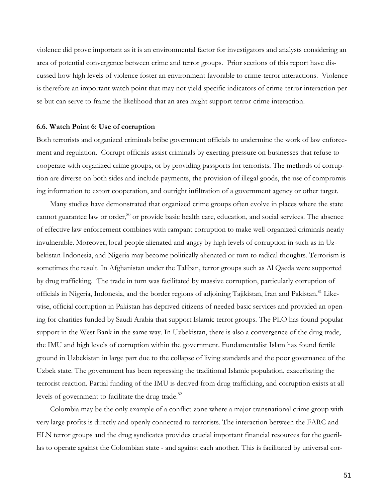violence did prove important as it is an environmental factor for investigators and analysts considering an area of potential convergence between crime and terror groups. Prior sections of this report have discussed how high levels of violence foster an environment favorable to crime-terror interactions. Violence is therefore an important watch point that may not yield specific indicators of crime-terror interaction per se but can serve to frame the likelihood that an area might support terror-crime interaction.

## **6.6. Watch Point 6: Use of corruption**

Both terrorists and organized criminals bribe government officials to undermine the work of law enforcement and regulation. Corrupt officials assist criminals by exerting pressure on businesses that refuse to cooperate with organized crime groups, or by providing passports for terrorists. The methods of corruption are diverse on both sides and include payments, the provision of illegal goods, the use of compromising information to extort cooperation, and outright infiltration of a government agency or other target.

Many studies have demonstrated that organized crime groups often evolve in places where the state cannot guarantee law or order,<sup>80</sup> or provide basic health care, education, and social services. The absence of effective law enforcement combines with rampant corruption to make well-organized criminals nearly invulnerable. Moreover, local people alienated and angry by high levels of corruption in such as in Uzbekistan Indonesia, and Nigeria may become politically alienated or turn to radical thoughts. Terrorism is sometimes the result. In Afghanistan under the Taliban, terror groups such as Al Qaeda were supported by drug trafficking. The trade in turn was facilitated by massive corruption, particularly corruption of officials in Nigeria, Indonesia, and the border regions of adjoining Tajikistan, Iran and Pakistan.<sup>81</sup> Likewise, official corruption in Pakistan has deprived citizens of needed basic services and provided an opening for charities funded by Saudi Arabia that support Islamic terror groups. The PLO has found popular support in the West Bank in the same way. In Uzbekistan, there is also a convergence of the drug trade, the IMU and high levels of corruption within the government. Fundamentalist Islam has found fertile ground in Uzbekistan in large part due to the collapse of living standards and the poor governance of the Uzbek state. The government has been repressing the traditional Islamic population, exacerbating the terrorist reaction. Partial funding of the IMU is derived from drug trafficking, and corruption exists at all levels of government to facilitate the drug trade.<sup>82</sup>

Colombia may be the only example of a conflict zone where a major transnational crime group with very large profits is directly and openly connected to terrorists. The interaction between the FARC and ELN terror groups and the drug syndicates provides crucial important financial resources for the guerillas to operate against the Colombian state - and against each another. This is facilitated by universal cor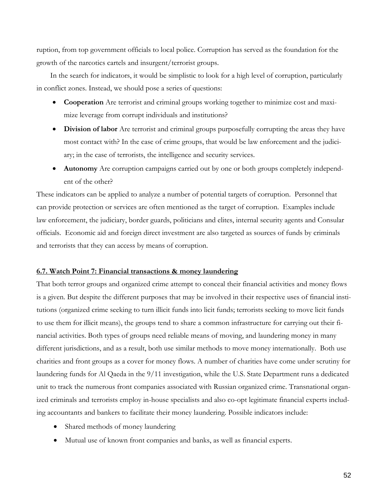ruption, from top government officials to local police. Corruption has served as the foundation for the growth of the narcotics cartels and insurgent/terrorist groups.

In the search for indicators, it would be simplistic to look for a high level of corruption, particularly in conflict zones. Instead, we should pose a series of questions:

- **Cooperation** Are terrorist and criminal groups working together to minimize cost and maximize leverage from corrupt individuals and institutions?
- **Division of labor** Are terrorist and criminal groups purposefully corrupting the areas they have most contact with? In the case of crime groups, that would be law enforcement and the judiciary; in the case of terrorists, the intelligence and security services.
- **Autonomy** Are corruption campaigns carried out by one or both groups completely independent of the other?

These indicators can be applied to analyze a number of potential targets of corruption. Personnel that can provide protection or services are often mentioned as the target of corruption. Examples include law enforcement, the judiciary, border guards, politicians and elites, internal security agents and Consular officials. Economic aid and foreign direct investment are also targeted as sources of funds by criminals and terrorists that they can access by means of corruption.

## **6.7. Watch Point 7: Financial transactions & money laundering**

That both terror groups and organized crime attempt to conceal their financial activities and money flows is a given. But despite the different purposes that may be involved in their respective uses of financial institutions (organized crime seeking to turn illicit funds into licit funds; terrorists seeking to move licit funds to use them for illicit means), the groups tend to share a common infrastructure for carrying out their financial activities. Both types of groups need reliable means of moving, and laundering money in many different jurisdictions, and as a result, both use similar methods to move money internationally. Both use charities and front groups as a cover for money flows. A number of charities have come under scrutiny for laundering funds for Al Qaeda in the 9/11 investigation, while the U.S. State Department runs a dedicated unit to track the numerous front companies associated with Russian organized crime. Transnational organized criminals and terrorists employ in-house specialists and also co-opt legitimate financial experts including accountants and bankers to facilitate their money laundering. Possible indicators include:

- Shared methods of money laundering
- Mutual use of known front companies and banks, as well as financial experts.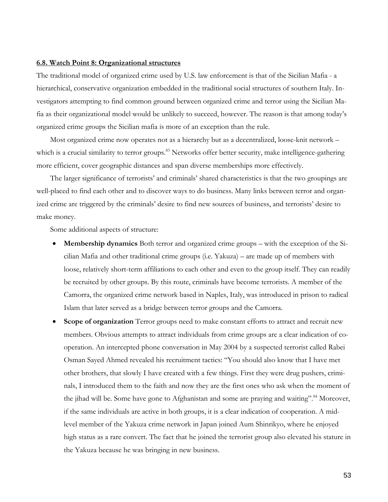## **6.8. Watch Point 8: Organizational structures**

The traditional model of organized crime used by U.S. law enforcement is that of the Sicilian Mafia - a hierarchical, conservative organization embedded in the traditional social structures of southern Italy. Investigators attempting to find common ground between organized crime and terror using the Sicilian Mafia as their organizational model would be unlikely to succeed, however. The reason is that among today's organized crime groups the Sicilian mafia is more of an exception than the rule.

Most organized crime now operates not as a hierarchy but as a decentralized, loose-knit network – which is a crucial similarity to terror groups.<sup>83</sup> Networks offer better security, make intelligence-gathering more efficient, cover geographic distances and span diverse memberships more effectively.

The larger significance of terrorists' and criminals' shared characteristics is that the two groupings are well-placed to find each other and to discover ways to do business. Many links between terror and organized crime are triggered by the criminals' desire to find new sources of business, and terrorists' desire to make money.

Some additional aspects of structure:

- **Membership dynamics** Both terror and organized crime groups with the exception of the Sicilian Mafia and other traditional crime groups (i.e. Yakuza) – are made up of members with loose, relatively short-term affiliations to each other and even to the group itself. They can readily be recruited by other groups. By this route, criminals have become terrorists. A member of the Camorra, the organized crime network based in Naples, Italy, was introduced in prison to radical Islam that later served as a bridge between terror groups and the Camorra.
- **Scope of organization** Terror groups need to make constant efforts to attract and recruit new members. Obvious attempts to attract individuals from crime groups are a clear indication of cooperation. An intercepted phone conversation in May 2004 by a suspected terrorist called Rabei Osman Sayed Ahmed revealed his recruitment tactics: "You should also know that I have met other brothers, that slowly I have created with a few things. First they were drug pushers, criminals, I introduced them to the faith and now they are the first ones who ask when the moment of the jihad will be. Some have gone to Afghanistan and some are praying and waiting".<sup>84</sup> Moreover, if the same individuals are active in both groups, it is a clear indication of cooperation. A midlevel member of the Yakuza crime network in Japan joined Aum Shinrikyo, where he enjoyed high status as a rare convert. The fact that he joined the terrorist group also elevated his stature in the Yakuza because he was bringing in new business.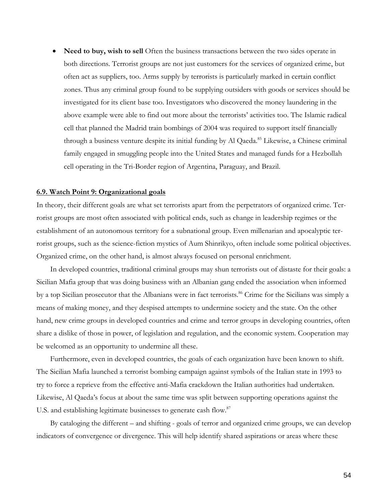**Need to buy, wish to sell** Often the business transactions between the two sides operate in both directions. Terrorist groups are not just customers for the services of organized crime, but often act as suppliers, too. Arms supply by terrorists is particularly marked in certain conflict zones. Thus any criminal group found to be supplying outsiders with goods or services should be investigated for its client base too. Investigators who discovered the money laundering in the above example were able to find out more about the terrorists' activities too. The Islamic radical cell that planned the Madrid train bombings of 2004 was required to support itself financially through a business venture despite its initial funding by Al Qaeda.<sup>85</sup> Likewise, a Chinese criminal family engaged in smuggling people into the United States and managed funds for a Hezbollah cell operating in the Tri-Border region of Argentina, Paraguay, and Brazil.

## **6.9. Watch Point 9: Organizational goals**

In theory, their different goals are what set terrorists apart from the perpetrators of organized crime. Terrorist groups are most often associated with political ends, such as change in leadership regimes or the establishment of an autonomous territory for a subnational group. Even millenarian and apocalyptic terrorist groups, such as the science-fiction mystics of Aum Shinrikyo, often include some political objectives. Organized crime, on the other hand, is almost always focused on personal enrichment.

In developed countries, traditional criminal groups may shun terrorists out of distaste for their goals: a Sicilian Mafia group that was doing business with an Albanian gang ended the association when informed by a top Sicilian prosecutor that the Albanians were in fact terrorists.<sup>86</sup> Crime for the Sicilians was simply a means of making money, and they despised attempts to undermine society and the state. On the other hand, new crime groups in developed countries and crime and terror groups in developing countries, often share a dislike of those in power, of legislation and regulation, and the economic system. Cooperation may be welcomed as an opportunity to undermine all these.

Furthermore, even in developed countries, the goals of each organization have been known to shift. The Sicilian Mafia launched a terrorist bombing campaign against symbols of the Italian state in 1993 to try to force a reprieve from the effective anti-Mafia crackdown the Italian authorities had undertaken. Likewise, Al Qaeda's focus at about the same time was split between supporting operations against the U.S. and establishing legitimate businesses to generate cash flow.<sup>87</sup>

By cataloging the different – and shifting - goals of terror and organized crime groups, we can develop indicators of convergence or divergence. This will help identify shared aspirations or areas where these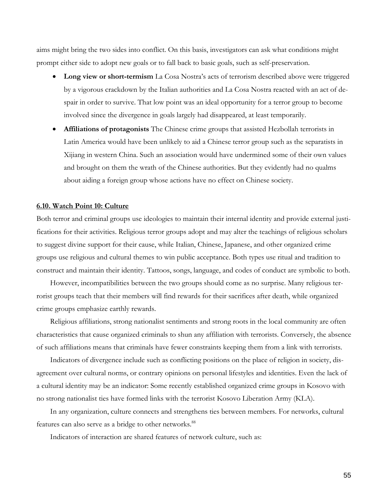aims might bring the two sides into conflict. On this basis, investigators can ask what conditions might prompt either side to adopt new goals or to fall back to basic goals, such as self-preservation.

- **Long view or short-termism** La Cosa Nostra's acts of terrorism described above were triggered by a vigorous crackdown by the Italian authorities and La Cosa Nostra reacted with an act of despair in order to survive. That low point was an ideal opportunity for a terror group to become involved since the divergence in goals largely had disappeared, at least temporarily.
- **Affiliations of protagonists** The Chinese crime groups that assisted Hezbollah terrorists in Latin America would have been unlikely to aid a Chinese terror group such as the separatists in Xijiang in western China. Such an association would have undermined some of their own values and brought on them the wrath of the Chinese authorities. But they evidently had no qualms about aiding a foreign group whose actions have no effect on Chinese society.

#### **6.10. Watch Point 10: Culture**

Both terror and criminal groups use ideologies to maintain their internal identity and provide external justifications for their activities. Religious terror groups adopt and may alter the teachings of religious scholars to suggest divine support for their cause, while Italian, Chinese, Japanese, and other organized crime groups use religious and cultural themes to win public acceptance. Both types use ritual and tradition to construct and maintain their identity. Tattoos, songs, language, and codes of conduct are symbolic to both.

However, incompatibilities between the two groups should come as no surprise. Many religious terrorist groups teach that their members will find rewards for their sacrifices after death, while organized crime groups emphasize earthly rewards.

Religious affiliations, strong nationalist sentiments and strong roots in the local community are often characteristics that cause organized criminals to shun any affiliation with terrorists. Conversely, the absence of such affiliations means that criminals have fewer constraints keeping them from a link with terrorists.

Indicators of divergence include such as conflicting positions on the place of religion in society, disagreement over cultural norms, or contrary opinions on personal lifestyles and identities. Even the lack of a cultural identity may be an indicator: Some recently established organized crime groups in Kosovo with no strong nationalist ties have formed links with the terrorist Kosovo Liberation Army (KLA).

In any organization, culture connects and strengthens ties between members. For networks, cultural features can also serve as a bridge to other networks.<sup>88</sup>

Indicators of interaction are shared features of network culture, such as: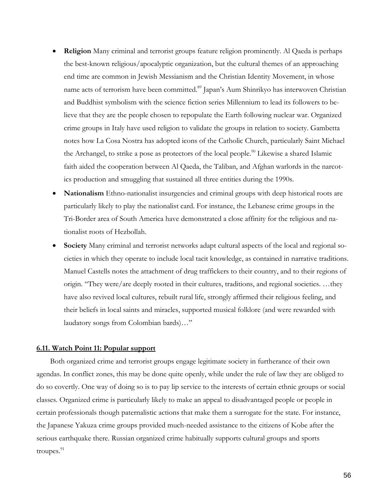- **Religion** Many criminal and terrorist groups feature religion prominently. Al Qaeda is perhaps the best-known religious/apocalyptic organization, but the cultural themes of an approaching end time are common in Jewish Messianism and the Christian Identity Movement, in whose name acts of terrorism have been committed.<sup>89</sup> Japan's Aum Shinrikyo has interwoven Christian and Buddhist symbolism with the science fiction series Millennium to lead its followers to believe that they are the people chosen to repopulate the Earth following nuclear war. Organized crime groups in Italy have used religion to validate the groups in relation to society. Gambetta notes how La Cosa Nostra has adopted icons of the Catholic Church, particularly Saint Michael the Archangel, to strike a pose as protectors of the local people.<sup>90</sup> Likewise a shared Islamic faith aided the cooperation between Al Qaeda, the Taliban, and Afghan warlords in the narcotics production and smuggling that sustained all three entities during the 1990s.
- **Nationalism** Ethno-nationalist insurgencies and criminal groups with deep historical roots are particularly likely to play the nationalist card. For instance, the Lebanese crime groups in the Tri-Border area of South America have demonstrated a close affinity for the religious and nationalist roots of Hezbollah.
- **Society** Many criminal and terrorist networks adapt cultural aspects of the local and regional societies in which they operate to include local tacit knowledge, as contained in narrative traditions. Manuel Castells notes the attachment of drug traffickers to their country, and to their regions of origin. "They were/are deeply rooted in their cultures, traditions, and regional societies. …they have also revived local cultures, rebuilt rural life, strongly affirmed their religious feeling, and their beliefs in local saints and miracles, supported musical folklore (and were rewarded with laudatory songs from Colombian bards)…"

# **6.11. Watch Point 11: Popular support**

Both organized crime and terrorist groups engage legitimate society in furtherance of their own agendas. In conflict zones, this may be done quite openly, while under the rule of law they are obliged to do so covertly. One way of doing so is to pay lip service to the interests of certain ethnic groups or social classes. Organized crime is particularly likely to make an appeal to disadvantaged people or people in certain professionals though paternalistic actions that make them a surrogate for the state. For instance, the Japanese Yakuza crime groups provided much-needed assistance to the citizens of Kobe after the serious earthquake there. Russian organized crime habitually supports cultural groups and sports troupes. $91$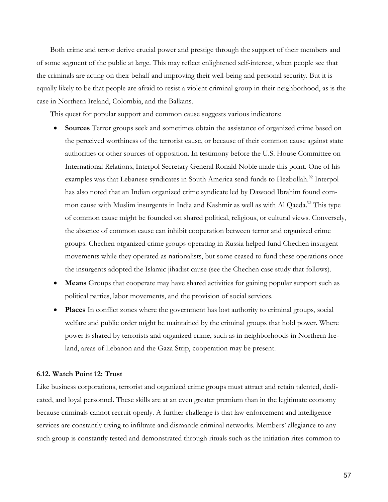Both crime and terror derive crucial power and prestige through the support of their members and of some segment of the public at large. This may reflect enlightened self-interest, when people see that the criminals are acting on their behalf and improving their well-being and personal security. But it is equally likely to be that people are afraid to resist a violent criminal group in their neighborhood, as is the case in Northern Ireland, Colombia, and the Balkans.

This quest for popular support and common cause suggests various indicators:

- **Sources** Terror groups seek and sometimes obtain the assistance of organized crime based on the perceived worthiness of the terrorist cause, or because of their common cause against state authorities or other sources of opposition. In testimony before the U.S. House Committee on International Relations, Interpol Secretary General Ronald Noble made this point. One of his examples was that Lebanese syndicates in South America send funds to Hezbollah.<sup>92</sup> Interpol has also noted that an Indian organized crime syndicate led by Dawood Ibrahim found common cause with Muslim insurgents in India and Kashmir as well as with Al Qaeda.<sup>93</sup> This type of common cause might be founded on shared political, religious, or cultural views. Conversely, the absence of common cause can inhibit cooperation between terror and organized crime groups. Chechen organized crime groups operating in Russia helped fund Chechen insurgent movements while they operated as nationalists, but some ceased to fund these operations once the insurgents adopted the Islamic jihadist cause (see the Chechen case study that follows).
- **Means** Groups that cooperate may have shared activities for gaining popular support such as political parties, labor movements, and the provision of social services.
- Places In conflict zones where the government has lost authority to criminal groups, social welfare and public order might be maintained by the criminal groups that hold power. Where power is shared by terrorists and organized crime, such as in neighborhoods in Northern Ireland, areas of Lebanon and the Gaza Strip, cooperation may be present.

### **6.12. Watch Point 12: Trust**

Like business corporations, terrorist and organized crime groups must attract and retain talented, dedicated, and loyal personnel. These skills are at an even greater premium than in the legitimate economy because criminals cannot recruit openly. A further challenge is that law enforcement and intelligence services are constantly trying to infiltrate and dismantle criminal networks. Members' allegiance to any such group is constantly tested and demonstrated through rituals such as the initiation rites common to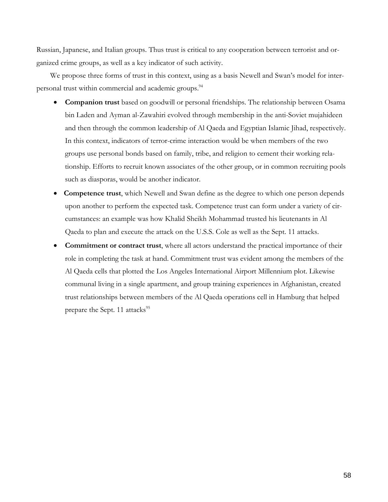Russian, Japanese, and Italian groups. Thus trust is critical to any cooperation between terrorist and organized crime groups, as well as a key indicator of such activity.

We propose three forms of trust in this context, using as a basis Newell and Swan's model for interpersonal trust within commercial and academic groups.<sup>94</sup>

- **Companion trust** based on goodwill or personal friendships. The relationship between Osama bin Laden and Ayman al-Zawahiri evolved through membership in the anti-Soviet mujahideen and then through the common leadership of Al Qaeda and Egyptian Islamic Jihad, respectively. In this context, indicators of terror-crime interaction would be when members of the two groups use personal bonds based on family, tribe, and religion to cement their working relationship. Efforts to recruit known associates of the other group, or in common recruiting pools such as diasporas, would be another indicator.
- **Competence trust**, which Newell and Swan define as the degree to which one person depends upon another to perform the expected task. Competence trust can form under a variety of circumstances: an example was how Khalid Sheikh Mohammad trusted his lieutenants in Al Qaeda to plan and execute the attack on the U.S.S. Cole as well as the Sept. 11 attacks.
- **Commitment or contract trust**, where all actors understand the practical importance of their role in completing the task at hand. Commitment trust was evident among the members of the Al Qaeda cells that plotted the Los Angeles International Airport Millennium plot. Likewise communal living in a single apartment, and group training experiences in Afghanistan, created trust relationships between members of the Al Qaeda operations cell in Hamburg that helped prepare the Sept. 11 attacks $95$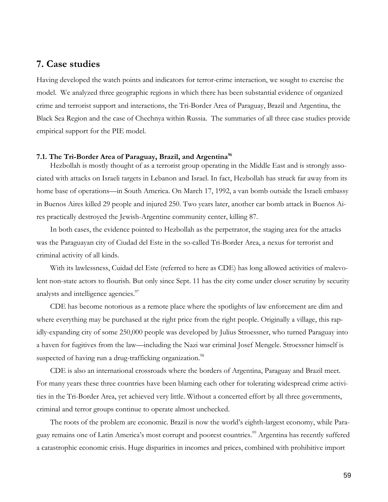# **7. Case studies**

Having developed the watch points and indicators for terror-crime interaction, we sought to exercise the model. We analyzed three geographic regions in which there has been substantial evidence of organized crime and terrorist support and interactions, the Tri-Border Area of Paraguay, Brazil and Argentina, the Black Sea Region and the case of Chechnya within Russia. The summaries of all three case studies provide empirical support for the PIE model.

# 7.1. The Tri-Border Area of Paraguay, Brazil, and Argentina<sup>96</sup>

Hezbollah is mostly thought of as a terrorist group operating in the Middle East and is strongly associated with attacks on Israeli targets in Lebanon and Israel. In fact, Hezbollah has struck far away from its home base of operations—in South America. On March 17, 1992, a van bomb outside the Israeli embassy in Buenos Aires killed 29 people and injured 250. Two years later, another car bomb attack in Buenos Aires practically destroyed the Jewish-Argentine community center, killing 87.

In both cases, the evidence pointed to Hezbollah as the perpetrator, the staging area for the attacks was the Paraguayan city of Ciudad del Este in the so-called Tri-Border Area, a nexus for terrorist and criminal activity of all kinds.

With its lawlessness, Cuidad del Este (referred to here as CDE) has long allowed activities of malevolent non-state actors to flourish. But only since Sept. 11 has the city come under closer scrutiny by security analysts and intelligence agencies.<sup>97</sup>

CDE has become notorious as a remote place where the spotlights of law enforcement are dim and where everything may be purchased at the right price from the right people. Originally a village, this rapidly-expanding city of some 250,000 people was developed by Julius Stroessner, who turned Paraguay into a haven for fugitives from the law—including the Nazi war criminal Josef Mengele. Stroessner himself is suspected of having run a drug-trafficking organization.<sup>98</sup>

CDE is also an international crossroads where the borders of Argentina, Paraguay and Brazil meet. For many years these three countries have been blaming each other for tolerating widespread crime activities in the Tri-Border Area, yet achieved very little. Without a concerted effort by all three governments, criminal and terror groups continue to operate almost unchecked.

The roots of the problem are economic. Brazil is now the world's eighth-largest economy, while Paraguay remains one of Latin America's most corrupt and poorest countries.<sup>99</sup> Argentina has recently suffered a catastrophic economic crisis. Huge disparities in incomes and prices, combined with prohibitive import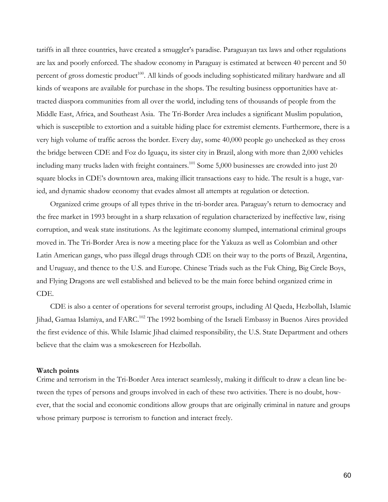tariffs in all three countries, have created a smuggler's paradise. Paraguayan tax laws and other regulations are lax and poorly enforced. The shadow economy in Paraguay is estimated at between 40 percent and 50 percent of gross domestic product<sup>100</sup>. All kinds of goods including sophisticated military hardware and all kinds of weapons are available for purchase in the shops. The resulting business opportunities have attracted diaspora communities from all over the world, including tens of thousands of people from the Middle East, Africa, and Southeast Asia. The Tri-Border Area includes a significant Muslim population, which is susceptible to extortion and a suitable hiding place for extremist elements. Furthermore, there is a very high volume of traffic across the border. Every day, some 40,000 people go unchecked as they cross the bridge between CDE and Foz do Iguaçu, its sister city in Brazil, along with more than 2,000 vehicles including many trucks laden with freight containers. [101](#page-113-41) Some 5,000 businesses are crowded into just 20 square blocks in CDE's downtown area, making illicit transactions easy to hide. The result is a huge, varied, and dynamic shadow economy that evades almost all attempts at regulation or detection.

Organized crime groups of all types thrive in the tri-border area. Paraguay's return to democracy and the free market in 1993 brought in a sharp relaxation of regulation characterized by ineffective law, rising corruption, and weak state institutions. As the legitimate economy slumped, international criminal groups moved in. The Tri-Border Area is now a meeting place for the Yakuza as well as Colombian and other Latin American gangs, who pass illegal drugs through CDE on their way to the ports of Brazil, Argentina, and Uruguay, and thence to the U.S. and Europe. Chinese Triads such as the Fuk Ching, Big Circle Boys, and Flying Dragons are well established and believed to be the main force behind organized crime in CDE.

CDE is also a center of operations for several terrorist groups, including Al Qaeda, Hezbollah, Islamic Jihad, Gamaa Islamiya, and FARC.[102](#page-113-42) The 1992 bombing of the Israeli Embassy in Buenos Aires provided the first evidence of this. While Islamic Jihad claimed responsibility, the U.S. State Department and others believe that the claim was a smokescreen for Hezbollah.

#### **Watch points**

Crime and terrorism in the Tri-Border Area interact seamlessly, making it difficult to draw a clean line between the types of persons and groups involved in each of these two activities. There is no doubt, however, that the social and economic conditions allow groups that are originally criminal in nature and groups whose primary purpose is terrorism to function and interact freely.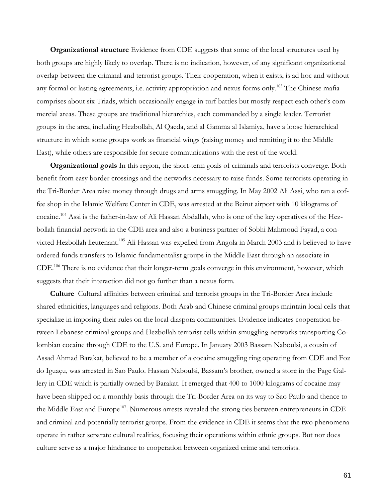**Organizational structure** Evidence from CDE suggests that some of the local structures used by both groups are highly likely to overlap. There is no indication, however, of any significant organizational overlap between the criminal and terrorist groups. Their cooperation, when it exists, is ad hoc and without any formal or lasting agreements, i.e. activity appropriation and nexus forms only.<sup>103</sup> The Chinese mafia comprises about six Triads, which occasionally engage in turf battles but mostly respect each other's commercial areas. These groups are traditional hierarchies, each commanded by a single leader. Terrorist groups in the area, including Hezbollah, Al Qaeda, and al Gamma al Islamiya, have a loose hierarchical structure in which some groups work as financial wings (raising money and remitting it to the Middle East), while others are responsible for secure communications with the rest of the world.

**Organizational goals** In this region, the short-term goals of criminals and terrorists converge. Both benefit from easy border crossings and the networks necessary to raise funds. Some terrorists operating in the Tri-Border Area raise money through drugs and arms smuggling. In May 2002 Ali Assi, who ran a coffee shop in the Islamic Welfare Center in CDE, was arrested at the Beirut airport with 10 kilograms of cocaine.<sup>104</sup> Assi is the father-in-law of Ali Hassan Abdallah, who is one of the key operatives of the Hezbollah financial network in the CDE area and also a business partner of Sobhi Mahmoud Fayad, a convicted Hezbollah lieutenant.<sup>105</sup> Ali Hassan was expelled from Angola in March 2003 and is believed to have ordered funds transfers to Islamic fundamentalist groups in the Middle East through an associate in CDE.[106 T](#page-113-46)here is no evidence that their longer-term goals converge in this environment, however, which suggests that their interaction did not go further than a nexus form.

**Culture** Cultural affinities between criminal and terrorist groups in the Tri-Border Area include shared ethnicities, languages and religions. Both Arab and Chinese criminal groups maintain local cells that specialize in imposing their rules on the local diaspora communities. Evidence indicates cooperation between Lebanese criminal groups and Hezbollah terrorist cells within smuggling networks transporting Colombian cocaine through CDE to the U.S. and Europe. In January 2003 Bassam Naboulsi, a cousin of Assad Ahmad Barakat, believed to be a member of a cocaine smuggling ring operating from CDE and Foz do Iguaçu, was arrested in Sao Paulo. Hassan Naboulsi, Bassam's brother, owned a store in the Page Gallery in CDE which is partially owned by Barakat. It emerged that 400 to 1000 kilograms of cocaine may have been shipped on a monthly basis through the Tri-Border Area on its way to Sao Paulo and thence to the Middle East and Europe<sup>107</sup>. Numerous arrests revealed the strong ties between entrepreneurs in CDE and criminal and potentially terrorist groups. From the evidence in CDE it seems that the two phenomena operate in rather separate cultural realities, focusing their operations within ethnic groups. But nor does culture serve as a major hindrance to cooperation between organized crime and terrorists.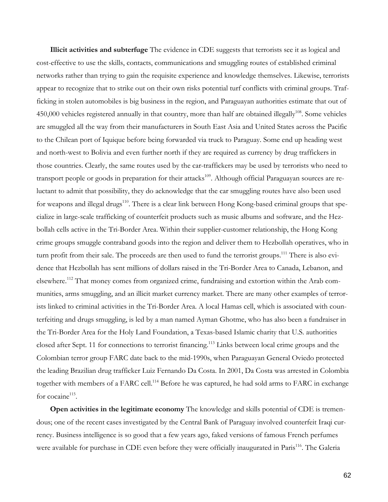**Illicit activities and subterfuge** The evidence in CDE suggests that terrorists see it as logical and cost-effective to use the skills, contacts, communications and smuggling routes of established criminal networks rather than trying to gain the requisite experience and knowledge themselves. Likewise, terrorists appear to recognize that to strike out on their own risks potential turf conflicts with criminal groups. Trafficking in stolen automobiles is big business in the region, and Paraguayan authorities estimate that out of 450,000 vehicles registered annually in that country, more than half are obtained illegally<sup>108</sup>. Some vehicles are smuggled all the way from their manufacturers in South East Asia and United States across the Pacific to the Chilean port of Iquique before being forwarded via truck to Paraguay. Some end up heading west and north-west to Bolivia and even further north if they are required as currency by drug traffickers in those countries. Clearly, the same routes used by the car-traffickers may be used by terrorists who need to transport people or goods in preparation for their attacks<sup>109</sup>. Although official Paraguayan sources are reluctant to admit that possibility, they do acknowledge that the car smuggling routes have also been used for weapons and illegal drugs<sup>110</sup>. There is a clear link between Hong Kong-based criminal groups that specialize in large-scale trafficking of counterfeit products such as music albums and software, and the Hezbollah cells active in the Tri-Border Area. Within their supplier-customer relationship, the Hong Kong crime groups smuggle contraband goods into the region and deliver them to Hezbollah operatives, who in turn profit from their sale. The proceeds are then used to fund the terrorist groups.<sup>111</sup> There is also evidence that Hezbollah has sent millions of dollars raised in the Tri-Border Area to Canada, Lebanon, and elsewhere.<sup>112</sup> That money comes from organized crime, fundraising and extortion within the Arab communities, arms smuggling, and an illicit market currency market. There are many other examples of terrorists linked to criminal activities in the Tri-Border Area. A local Hamas cell, which is associated with counterfeiting and drugs smuggling, is led by a man named Ayman Ghotme, who has also been a fundraiser in the Tri-Border Area for the Holy Land Foundation, a Texas-based Islamic charity that U.S. authorities closed after Sept. 11 for connections to terrorist financing.<sup>113</sup> Links between local crime groups and the Colombian terror group FARC date back to the mid-1990s, when Paraguayan General Oviedo protected the leading Brazilian drug trafficker Luiz Fernando Da Costa. In 2001, Da Costa was arrested in Colombia together with members of a FARC cell.<sup>114</sup> Before he was captured, he had sold arms to FARC in exchange for cocaine<sup>115</sup>.

**Open activities in the legitimate economy** The knowledge and skills potential of CDE is tremendous; one of the recent cases investigated by the Central Bank of Paraguay involved counterfeit Iraqi currency. Business intelligence is so good that a few years ago, faked versions of famous French perfumes were available for purchase in CDE even before they were officially inaugurated in Paris<sup>116</sup>. The Galeria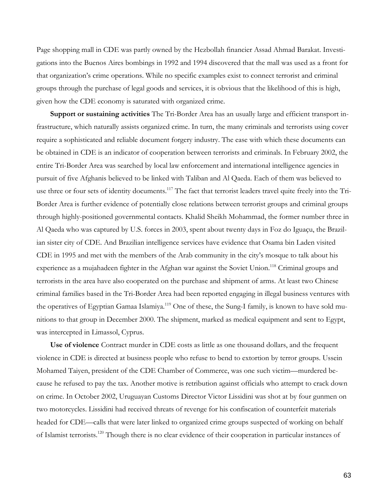Page shopping mall in CDE was partly owned by the Hezbollah financier Assad Ahmad Barakat. Investigations into the Buenos Aires bombings in 1992 and 1994 discovered that the mall was used as a front for that organization's crime operations. While no specific examples exist to connect terrorist and criminal groups through the purchase of legal goods and services, it is obvious that the likelihood of this is high, given how the CDE economy is saturated with organized crime.

**Support or sustaining activities** The Tri-Border Area has an usually large and efficient transport infrastructure, which naturally assists organized crime. In turn, the many criminals and terrorists using cover require a sophisticated and reliable document forgery industry. The ease with which these documents can be obtained in CDE is an indicator of cooperation between terrorists and criminals. In February 2002, the entire Tri-Border Area was searched by local law enforcement and international intelligence agencies in pursuit of five Afghanis believed to be linked with Taliban and Al Qaeda. Each of them was believed to use three or four sets of identity documents.<sup>117</sup> The fact that terrorist leaders travel quite freely into the Tri-Border Area is further evidence of potentially close relations between terrorist groups and criminal groups through highly-positioned governmental contacts. Khalid Sheikh Mohammad, the former number three in Al Qaeda who was captured by U.S. forces in 2003, spent about twenty days in Foz do Iguaçu, the Brazilian sister city of CDE. And Brazilian intelligence services have evidence that Osama bin Laden visited CDE in 1995 and met with the members of the Arab community in the city's mosque to talk about his experience as a mujahadeen fighter in the Afghan war against the Soviet Union.<sup>118</sup> Criminal groups and terrorists in the area have also cooperated on the purchase and shipment of arms. At least two Chinese criminal families based in the Tri-Border Area had been reported engaging in illegal business ventures with the operatives of Egyptian Gamaa Islamiya.<sup>119</sup> One of these, the Sung-I family, is known to have sold munitions to that group in December 2000. The shipment, marked as medical equipment and sent to Egypt, was intercepted in Limassol, Cyprus.

**Use of violence** Contract murder in CDE costs as little as one thousand dollars, and the frequent violence in CDE is directed at business people who refuse to bend to extortion by terror groups. Ussein Mohamed Taiyen, president of the CDE Chamber of Commerce, was one such victim—murdered because he refused to pay the tax. Another motive is retribution against officials who attempt to crack down on crime. In October 2002, Uruguayan Customs Director Victor Lissidini was shot at by four gunmen on two motorcycles. Lissidini had received threats of revenge for his confiscation of counterfeit materials headed for CDE—calls that were later linked to organized crime groups suspected of working on behalf of Islamist terrorists[.120 T](#page-113-60)hough there is no clear evidence of their cooperation in particular instances of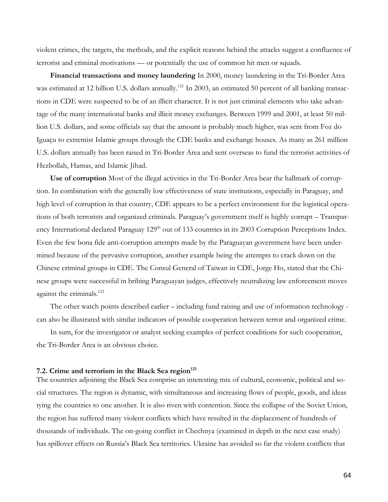violent crimes, the targets, the methods, and the explicit reasons behind the attacks suggest a confluence of terrorist and criminal motivations — or potentially the use of common hit men or squads.

**Financial transactions and money laundering** In 2000, money laundering in the Tri-Border Area was estimated at 12 billion U.S. dollars annually.<sup>121</sup> In 2003, an estimated 50 percent of all banking transactions in CDE were suspected to be of an illicit character. It is not just criminal elements who take advantage of the many international banks and illicit money exchanges. Between 1999 and 2001, at least 50 million U.S. dollars, and some officials say that the amount is probably much higher, was sent from Foz do Iguaçu to extremist Islamic groups through the CDE banks and exchange houses. As many as 261 million U.S. dollars annually has been raised in Tri-Border Area and sent overseas to fund the terrorist activities of Hezbollah, Hamas, and Islamic Jihad.

**Use of corruption** Most of the illegal activities in the Tri-Border Area bear the hallmark of corruption. In combination with the generally low effectiveness of state institutions, especially in Paraguay, and high level of corruption in that country, CDE appears to be a perfect environment for the logistical operations of both terrorists and organized criminals. Paraguay's government itself is highly corrupt – Transparency International declared Paraguay 129<sup>th</sup> out of 133 countries in its 2003 Corruption Perceptions Index. Even the few bona fide anti-corruption attempts made by the Paraguayan government have been undermined because of the pervasive corruption, another example being the attempts to crack down on the Chinese criminal groups in CDE. The Consul General of Taiwan in CDE, Jorge Ho, stated that the Chinese groups were successful in bribing Paraguayan judges, effectively neutralizing law enforcement moves against the criminals.<sup>[122](#page-113-62)</sup>

The other watch points described earlier – including fund raising and use of information technology can also be illustrated with similar indicators of possible cooperation between terror and organized crime.

In sum, for the investigator or analyst seeking examples of perfect conditions for such cooperation, the Tri-Border Area is an obvious choice.

# **7.2. Crime and terrorism in the Black Sea region[123](#page-113-63)**

The countries adjoining the Black Sea comprise an interesting mix of cultural, economic, political and social structures. The region is dynamic, with simultaneous and increasing flows of people, goods, and ideas tying the countries to one another. It is also riven with contention. Since the collapse of the Soviet Union, the region has suffered many violent conflicts which have resulted in the displacement of hundreds of thousands of individuals. The on-going conflict in Chechnya (examined in depth in the next case study) has spillover effects on Russia's Black Sea territories. Ukraine has avoided so far the violent conflicts that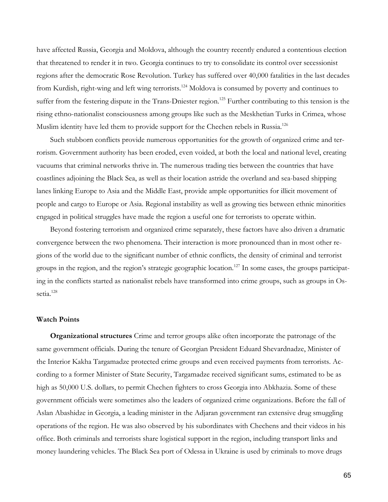have affected Russia, Georgia and Moldova, although the country recently endured a contentious election that threatened to render it in two. Georgia continues to try to consolidate its control over secessionist regions after the democratic Rose Revolution. Turkey has suffered over 40,000 fatalities in the last decades from Kurdish, right-wing and left wing terrorists.[124](#page-113-64) Moldova is consumed by poverty and continues to suffer from the festering dispute in the Trans-Dniester region.<sup>125</sup> Further contributing to this tension is the rising ethno-nationalist consciousness among groups like such as the Meskhetian Turks in Crimea, whose Muslim identity have led them to provide support for the Chechen rebels in Russia.<sup>[126](#page-113-66)</sup>

Such stubborn conflicts provide numerous opportunities for the growth of organized crime and terrorism. Government authority has been eroded, even voided, at both the local and national level, creating vacuums that criminal networks thrive in. The numerous trading ties between the countries that have coastlines adjoining the Black Sea, as well as their location astride the overland and sea-based shipping lanes linking Europe to Asia and the Middle East, provide ample opportunities for illicit movement of people and cargo to Europe or Asia. Regional instability as well as growing ties between ethnic minorities engaged in political struggles have made the region a useful one for terrorists to operate within.

Beyond fostering terrorism and organized crime separately, these factors have also driven a dramatic convergence between the two phenomena. Their interaction is more pronounced than in most other regions of the world due to the significant number of ethnic conflicts, the density of criminal and terrorist groups in the region, and the region's strategic geographic location.<sup>127</sup> In some cases, the groups participating in the conflicts started as nationalist rebels have transformed into crime groups, such as groups in Os-setia.<sup>[128](#page-113-68)</sup>

#### **Watch Points**

**Organizational structures** Crime and terror groups alike often incorporate the patronage of the same government officials. During the tenure of Georgian President Eduard Shevardnadze, Minister of the Interior Kakha Targamadze protected crime groups and even received payments from terrorists. According to a former Minister of State Security, Targamadze received significant sums, estimated to be as high as 50,000 U.S. dollars, to permit Chechen fighters to cross Georgia into Abkhazia. Some of these government officials were sometimes also the leaders of organized crime organizations. Before the fall of Aslan Abashidze in Georgia, a leading minister in the Adjaran government ran extensive drug smuggling operations of the region. He was also observed by his subordinates with Chechens and their videos in his office. Both criminals and terrorists share logistical support in the region, including transport links and money laundering vehicles. The Black Sea port of Odessa in Ukraine is used by criminals to move drugs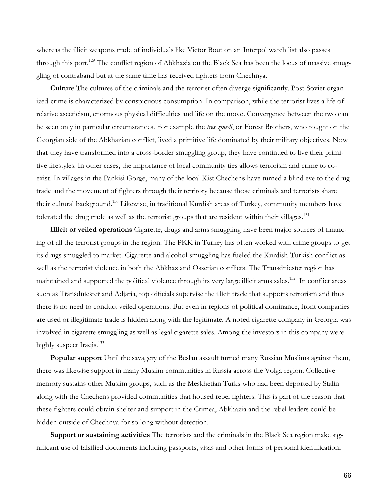whereas the illicit weapons trade of individuals like Victor Bout on an Interpol watch list also passes through this port.<sup>129</sup> The conflict region of Abkhazia on the Black Sea has been the locus of massive smuggling of contraband but at the same time has received fighters from Chechnya.

**Culture** The cultures of the criminals and the terrorist often diverge significantly. Post-Soviet organized crime is characterized by conspicuous consumption. In comparison, while the terrorist lives a life of relative asceticism, enormous physical difficulties and life on the move. Convergence between the two can be seen only in particular circumstances. For example the *tres zmedi*, or Forest Brothers, who fought on the Georgian side of the Abkhazian conflict, lived a primitive life dominated by their military objectives. Now that they have transformed into a cross-border smuggling group, they have continued to live their primitive lifestyles. In other cases, the importance of local community ties allows terrorism and crime to coexist. In villages in the Pankisi Gorge, many of the local Kist Chechens have turned a blind eye to the drug trade and the movement of fighters through their territory because those criminals and terrorists share their cultural background.<sup>130</sup> Likewise, in traditional Kurdish areas of Turkey, community members have tolerated the drug trade as well as the terrorist groups that are resident within their villages.<sup>131</sup>

**Illicit or veiled operations** Cigarette, drugs and arms smuggling have been major sources of financing of all the terrorist groups in the region. The PKK in Turkey has often worked with crime groups to get its drugs smuggled to market. Cigarette and alcohol smuggling has fueled the Kurdish-Turkish conflict as well as the terrorist violence in both the Abkhaz and Ossetian conflicts. The Transdniester region has maintained and supported the political violence through its very large illicit arms sales.[132](#page-113-44) In conflict areas such as Transdniester and Adjaria, top officials supervise the illicit trade that supports terrorism and thus there is no need to conduct veiled operations. But even in regions of political dominance, front companies are used or illegitimate trade is hidden along with the legitimate. A noted cigarette company in Georgia was involved in cigarette smuggling as well as legal cigarette sales. Among the investors in this company were highly suspect Iraqis.<sup>[133](#page-113-70)</sup>

**Popular support** Until the savagery of the Beslan assault turned many Russian Muslims against them, there was likewise support in many Muslim communities in Russia across the Volga region. Collective memory sustains other Muslim groups, such as the Meskhetian Turks who had been deported by Stalin along with the Chechens provided communities that housed rebel fighters. This is part of the reason that these fighters could obtain shelter and support in the Crimea, Abkhazia and the rebel leaders could be hidden outside of Chechnya for so long without detection.

**Support or sustaining activities** The terrorists and the criminals in the Black Sea region make significant use of falsified documents including passports, visas and other forms of personal identification.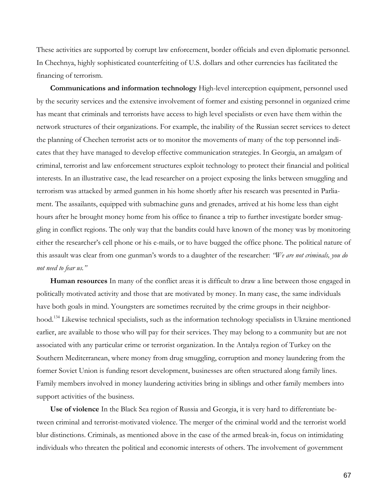These activities are supported by corrupt law enforcement, border officials and even diplomatic personnel. In Chechnya, highly sophisticated counterfeiting of U.S. dollars and other currencies has facilitated the financing of terrorism.

**Communications and information technology** High-level interception equipment, personnel used by the security services and the extensive involvement of former and existing personnel in organized crime has meant that criminals and terrorists have access to high level specialists or even have them within the network structures of their organizations. For example, the inability of the Russian secret services to detect the planning of Chechen terrorist acts or to monitor the movements of many of the top personnel indicates that they have managed to develop effective communication strategies. In Georgia, an amalgam of criminal, terrorist and law enforcement structures exploit technology to protect their financial and political interests. In an illustrative case, the lead researcher on a project exposing the links between smuggling and terrorism was attacked by armed gunmen in his home shortly after his research was presented in Parliament. The assailants, equipped with submachine guns and grenades, arrived at his home less than eight hours after he brought money home from his office to finance a trip to further investigate border smuggling in conflict regions. The only way that the bandits could have known of the money was by monitoring either the researcher's cell phone or his e-mails, or to have bugged the office phone. The political nature of this assault was clear from one gunman's words to a daughter of the researcher: *"We are not criminals, you do not need to fear us."* 

**Human resources** In many of the conflict areas it is difficult to draw a line between those engaged in politically motivated activity and those that are motivated by money. In many case, the same individuals have both goals in mind. Youngsters are sometimes recruited by the crime groups in their neighborhood.<sup>134</sup> Likewise technical specialists, such as the information technology specialists in Ukraine mentioned earlier, are available to those who will pay for their services. They may belong to a community but are not associated with any particular crime or terrorist organization. In the Antalya region of Turkey on the Southern Mediterranean, where money from drug smuggling, corruption and money laundering from the former Soviet Union is funding resort development, businesses are often structured along family lines. Family members involved in money laundering activities bring in siblings and other family members into support activities of the business.

**Use of violence** In the Black Sea region of Russia and Georgia, it is very hard to differentiate between criminal and terrorist-motivated violence. The merger of the criminal world and the terrorist world blur distinctions. Criminals, as mentioned above in the case of the armed break-in, focus on intimidating individuals who threaten the political and economic interests of others. The involvement of government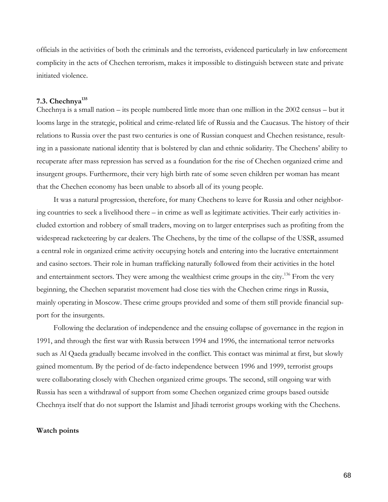officials in the activities of both the criminals and the terrorists, evidenced particularly in law enforcement complicity in the acts of Chechen terrorism, makes it impossible to distinguish between state and private initiated violence.

# **7.3. Chechny[a135](#page-113-72)**

Chechnya is a small nation – its people numbered little more than one million in the 2002 census – but it looms large in the strategic, political and crime-related life of Russia and the Caucasus. The history of their relations to Russia over the past two centuries is one of Russian conquest and Chechen resistance, resulting in a passionate national identity that is bolstered by clan and ethnic solidarity. The Chechens' ability to recuperate after mass repression has served as a foundation for the rise of Chechen organized crime and insurgent groups. Furthermore, their very high birth rate of some seven children per woman has meant that the Chechen economy has been unable to absorb all of its young people.

It was a natural progression, therefore, for many Chechens to leave for Russia and other neighboring countries to seek a livelihood there – in crime as well as legitimate activities. Their early activities included extortion and robbery of small traders, moving on to larger enterprises such as profiting from the widespread racketeering by car dealers. The Chechens, by the time of the collapse of the USSR, assumed a central role in organized crime activity occupying hotels and entering into the lucrative entertainment and casino sectors. Their role in human trafficking naturally followed from their activities in the hotel and entertainment sectors. They were among the wealthiest crime groups in the city.<sup>136</sup> From the very beginning, the Chechen separatist movement had close ties with the Chechen crime rings in Russia, mainly operating in Moscow. These crime groups provided and some of them still provide financial support for the insurgents.

Following the declaration of independence and the ensuing collapse of governance in the region in 1991, and through the first war with Russia between 1994 and 1996, the international terror networks such as Al Qaeda gradually became involved in the conflict. This contact was minimal at first, but slowly gained momentum. By the period of de-facto independence between 1996 and 1999, terrorist groups were collaborating closely with Chechen organized crime groups. The second, still ongoing war with Russia has seen a withdrawal of support from some Chechen organized crime groups based outside Chechnya itself that do not support the Islamist and Jihadi terrorist groups working with the Chechens.

## **Watch points**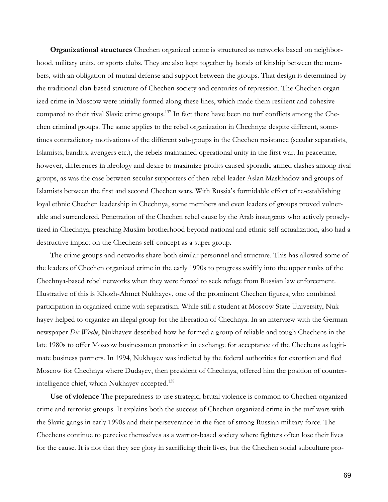**Organizational structures** Chechen organized crime is structured as networks based on neighborhood, military units, or sports clubs. They are also kept together by bonds of kinship between the members, with an obligation of mutual defense and support between the groups. That design is determined by the traditional clan-based structure of Chechen society and centuries of repression. The Chechen organized crime in Moscow were initially formed along these lines, which made them resilient and cohesive compared to their rival Slavic crime groups.<sup>137</sup> In fact there have been no turf conflicts among the Chechen criminal groups. The same applies to the rebel organization in Chechnya: despite different, sometimes contradictory motivations of the different sub-groups in the Chechen resistance (secular separatists, Islamists, bandits, avengers etc.), the rebels maintained operational unity in the first war. In peacetime, however, differences in ideology and desire to maximize profits caused sporadic armed clashes among rival groups, as was the case between secular supporters of then rebel leader Aslan Maskhadov and groups of Islamists between the first and second Chechen wars. With Russia's formidable effort of re-establishing loyal ethnic Chechen leadership in Chechnya, some members and even leaders of groups proved vulnerable and surrendered. Penetration of the Chechen rebel cause by the Arab insurgents who actively proselytized in Chechnya, preaching Muslim brotherhood beyond national and ethnic self-actualization, also had a destructive impact on the Chechens self-concept as a super group.

The crime groups and networks share both similar personnel and structure. This has allowed some of the leaders of Chechen organized crime in the early 1990s to progress swiftly into the upper ranks of the Chechnya-based rebel networks when they were forced to seek refuge from Russian law enforcement. Illustrative of this is Khozh-Ahmet Nukhayev, one of the prominent Chechen figures, who combined participation in organized crime with separatism. While still a student at Moscow State University, Nukhayev helped to organize an illegal group for the liberation of Chechnya. In an interview with the German newspaper *Die Woche*, Nukhayev described how he formed a group of reliable and tough Chechens in the late 1980s to offer Moscow businessmen protection in exchange for acceptance of the Chechens as legitimate business partners. In 1994, Nukhayev was indicted by the federal authorities for extortion and fled Moscow for Chechnya where Dudayev, then president of Chechnya, offered him the position of counterintelligence chief, which Nukhayev accepted.<sup>138</sup>

**Use of violence** The preparedness to use strategic, brutal violence is common to Chechen organized crime and terrorist groups. It explains both the success of Chechen organized crime in the turf wars with the Slavic gangs in early 1990s and their perseverance in the face of strong Russian military force. The Chechens continue to perceive themselves as a warrior-based society where fighters often lose their lives for the cause. It is not that they see glory in sacrificing their lives, but the Chechen social subculture pro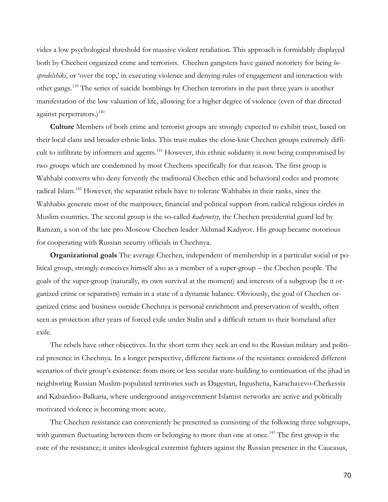vides a low psychological threshold for massive violent retaliation. This approach is formidably displayed both by Chechen organized crime and terrorists. Chechen gangsters have gained notoriety for being *bespredelshiki*, or 'over the top,' in executing violence and denying rules of engagement and interaction with other gangs[.139 T](#page-113-75)he series of suicide bombings by Chechen terrorists in the past three years is another manifestation of the low valuation of life, allowing for a higher degree of violence (even of that directed against perpetrators.)<sup>140</sup>

**Culture** Members of both crime and terrorist groups are strongly expected to exhibit trust, based on their local clans and broader ethnic links. This trust makes the close-knit Chechen groups extremely difficult to infiltrate by informers and agents.<sup>141</sup> However, this ethnic solidarity is now being compromised by two groups which are condemned by most Chechens specifically for that reason. The first group is Wahhabi converts who deny fervently the traditional Chechen ethic and behavioral codes and promote radical Islam.<sup>142</sup> However, the separatist rebels have to tolerate Wahhabis in their ranks, since the Wahhabis generate most of the manpower, financial and political support from radical religious circles in Muslim countries. The second group is the so-called *kadyrovtsy*, the Chechen presidential guard led by Ramzan, a son of the late pro-Moscow Chechen leader Akhmad Kadyrov. His group became notorious for cooperating with Russian security officials in Chechnya.

**Organizational goals** The average Chechen, independent of membership in a particular social or political group, strongly conceives himself also as a member of a super-group – the Chechen people. The goals of the super-group (naturally, its own survival at the moment) and interests of a subgroup (be it organized crime or separatists) remain in a state of a dynamic balance. Obviously, the goal of Chechen organized crime and business outside Chechnya is personal enrichment and preservation of wealth, often seen as protection after years of forced exile under Stalin and a difficult return to their homeland after exile.

The rebels have other objectives. In the short term they seek an end to the Russian military and political presence in Chechnya. In a longer perspective, different factions of the resistance considered different scenarios of their group's existence: from more or less secular state-building to continuation of the jihad in neighboring Russian Muslim-populated territories such as Dagestan, Ingushetia, Karachayevo-Cherkessia and Kabardino-Balkaria, where underground antigovernment Islamist networks are active and politically motivated violence is becoming more acute.

The Chechen resistance can conveniently be presented as consisting of the following three subgroups, with gunmen fluctuating between them or belonging to more than one at once.<sup>143</sup> The first group is the core of the resistance; it unites ideological extremist fighters against the Russian presence in the Caucasus,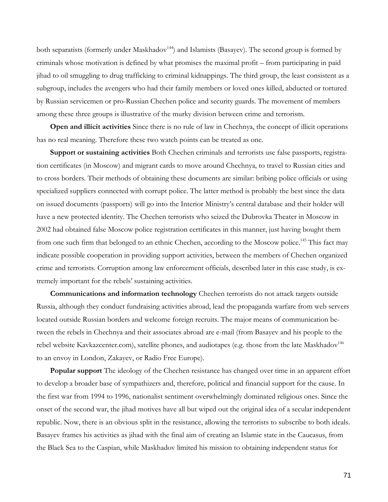both separatists (formerly under Maskhadov<sup>144</sup>) and Islamists (Basayev). The second group is formed by criminals whose motivation is defined by what promises the maximal profit – from participating in paid jihad to oil smuggling to drug trafficking to criminal kidnappings. The third group, the least consistent as a subgroup, includes the avengers who had their family members or loved ones killed, abducted or tortured by Russian servicemen or pro-Russian Chechen police and security guards. The movement of members among these three groups is illustrative of the murky division between crime and terrorism.

**Open and illicit activities** Since there is no rule of law in Chechnya, the concept of illicit operations has no real meaning. Therefore these two watch points can be treated as one.

**Support or sustaining activities** Both Chechen criminals and terrorists use false passports, registration certificates (in Moscow) and migrant cards to move around Chechnya, to travel to Russian cities and to cross borders. Their methods of obtaining these documents are similar: bribing police officials or using specialized suppliers connected with corrupt police. The latter method is probably the best since the data on issued documents (passports) will go into the Interior Ministry's central database and their holder will have a new protected identity. The Chechen terrorists who seized the Dubrovka Theater in Moscow in 2002 had obtained false Moscow police registration certificates in this manner, just having bought them from one such firm that belonged to an ethnic Chechen, according to the Moscow police.<sup>145</sup> This fact may indicate possible cooperation in providing support activities, between the members of Chechen organized crime and terrorists. Corruption among law enforcement officials, described later in this case study, is extremely important for the rebels' sustaining activities.

**Communications and information technology** Chechen terrorists do not attack targets outside Russia, although they conduct fundraising activities abroad, lead the propaganda warfare from web servers located outside Russian borders and welcome foreign recruits. The major means of communication between the rebels in Chechnya and their associates abroad are e-mail (from Basayev and his people to the rebel website Kavkazcenter.com), satellite phones, and audiotapes (e.g. those from the late Maskhadov<sup>146</sup> to an envoy in London, Zakayev, or Radio Free Europe).

**Popular support** The ideology of the Chechen resistance has changed over time in an apparent effort to develop a broader base of sympathizers and, therefore, political and financial support for the cause. In the first war from 1994 to 1996, nationalist sentiment overwhelmingly dominated religious ones. Since the onset of the second war, the jihad motives have all but wiped out the original idea of a secular independent republic. Now, there is an obvious split in the resistance, allowing the terrorists to subscribe to both ideals. Basayev frames his activities as jihad with the final aim of creating an Islamic state in the Caucasus, from the Black Sea to the Caspian, while Maskhadov limited his mission to obtaining independent status for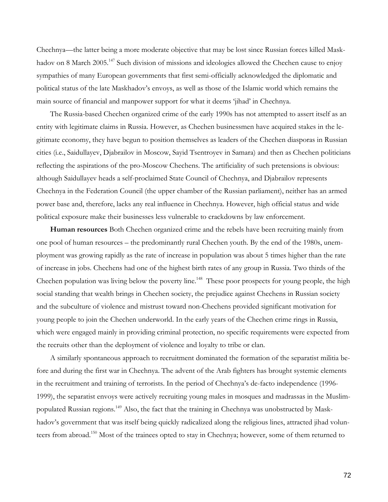Chechnya—the latter being a more moderate objective that may be lost since Russian forces killed Maskhadov on 8 March 2005.<sup>147</sup> Such division of missions and ideologies allowed the Chechen cause to enjoy sympathies of many European governments that first semi-officially acknowledged the diplomatic and political status of the late Maskhadov's envoys, as well as those of the Islamic world which remains the main source of financial and manpower support for what it deems 'jihad' in Chechnya.

The Russia-based Chechen organized crime of the early 1990s has not attempted to assert itself as an entity with legitimate claims in Russia. However, as Chechen businessmen have acquired stakes in the legitimate economy, they have begun to position themselves as leaders of the Chechen diasporas in Russian cities (i.e., Saidullayev, Djabrailov in Moscow, Sayid Tsentroyev in Samara) and then as Chechen politicians reflecting the aspirations of the pro-Moscow Chechens. The artificiality of such pretensions is obvious: although Saidullayev heads a self-proclaimed State Council of Chechnya, and Djabrailov represents Chechnya in the Federation Council (the upper chamber of the Russian parliament), neither has an armed power base and, therefore, lacks any real influence in Chechnya. However, high official status and wide political exposure make their businesses less vulnerable to crackdowns by law enforcement.

**Human resources** Both Chechen organized crime and the rebels have been recruiting mainly from one pool of human resources – the predominantly rural Chechen youth. By the end of the 1980s, unemployment was growing rapidly as the rate of increase in population was about 5 times higher than the rate of increase in jobs. Chechens had one of the highest birth rates of any group in Russia. Two thirds of the Chechen population was living below the poverty line.<sup>148</sup> These poor prospects for young people, the high social standing that wealth brings in Chechen society, the prejudice against Chechens in Russian society and the subculture of violence and mistrust toward non-Chechens provided significant motivation for young people to join the Chechen underworld. In the early years of the Chechen crime rings in Russia, which were engaged mainly in providing criminal protection, no specific requirements were expected from the recruits other than the deployment of violence and loyalty to tribe or clan.

A similarly spontaneous approach to recruitment dominated the formation of the separatist militia before and during the first war in Chechnya. The advent of the Arab fighters has brought systemic elements in the recruitment and training of terrorists. In the period of Chechnya's de-facto independence (1996- 1999), the separatist envoys were actively recruiting young males in mosques and madrassas in the Muslimpopulated Russian regions.<sup>149</sup> Also, the fact that the training in Chechnya was unobstructed by Maskhadov's government that was itself being quickly radicalized along the religious lines, attracted jihad volunteers from abroad.<sup>150</sup> Most of the trainees opted to stay in Chechnya; however, some of them returned to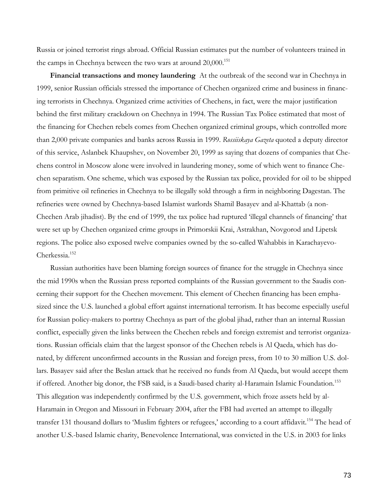Russia or joined terrorist rings abroad. Official Russian estimates put the number of volunteers trained in the camps in Chechnya between the two wars at around 20,000.<sup>151</sup>

**Financial transactions and money laundering** At the outbreak of the second war in Chechnya in 1999, senior Russian officials stressed the importance of Chechen organized crime and business in financing terrorists in Chechnya. Organized crime activities of Chechens, in fact, were the major justification behind the first military crackdown on Chechnya in 1994. The Russian Tax Police estimated that most of the financing for Chechen rebels comes from Chechen organized criminal groups, which controlled more than 2,000 private companies and banks across Russia in 1999. *Rossiiskaya Gazeta* quoted a deputy director of this service, Aslanbek Khaupshev, on November 20, 1999 as saying that dozens of companies that Chechens control in Moscow alone were involved in laundering money, some of which went to finance Chechen separatism. One scheme, which was exposed by the Russian tax police, provided for oil to be shipped from primitive oil refineries in Chechnya to be illegally sold through a firm in neighboring Dagestan. The refineries were owned by Chechnya-based Islamist warlords Shamil Basayev and al-Khattab (a non-Chechen Arab jihadist). By the end of 1999, the tax police had ruptured 'illegal channels of financing' that were set up by Chechen organized crime groups in Primorskii Krai, Astrakhan, Novgorod and Lipetsk regions. The police also exposed twelve companies owned by the so-called Wahabbis in Karachayevo-Cherkessia.[152](#page-113-1) 

Russian authorities have been blaming foreign sources of finance for the struggle in Chechnya since the mid 1990s when the Russian press reported complaints of the Russian government to the Saudis concerning their support for the Chechen movement. This element of Chechen financing has been emphasized since the U.S. launched a global effort against international terrorism. It has become especially useful for Russian policy-makers to portray Chechnya as part of the global jihad, rather than an internal Russian conflict, especially given the links between the Chechen rebels and foreign extremist and terrorist organizations. Russian officials claim that the largest sponsor of the Chechen rebels is Al Qaeda, which has donated, by different unconfirmed accounts in the Russian and foreign press, from 10 to 30 million U.S. dollars. Basayev said after the Beslan attack that he received no funds from Al Qaeda, but would accept them if offered. Another big donor, the FSB said, is a Saudi-based charity al-Haramain Islamic Foundation.<sup>[153](#page-113-2)</sup> This allegation was independently confirmed by the U.S. government, which froze assets held by al-Haramain in Oregon and Missouri in February 2004, after the FBI had averted an attempt to illegally transfer 131 thousand dollars to 'Muslim fighters or refugees,' according to a court affidavit.<sup>154</sup> The head of another U.S.-based Islamic charity, Benevolence International, was convicted in the U.S. in 2003 for links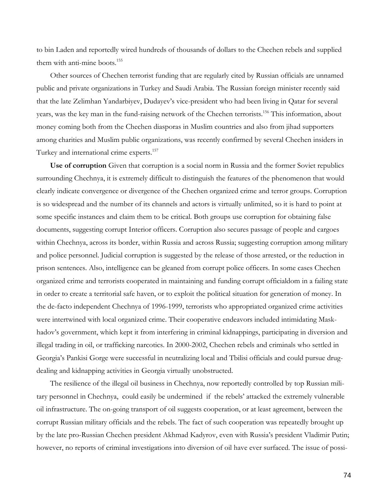to bin Laden and reportedly wired hundreds of thousands of dollars to the Chechen rebels and supplied them with anti-mine boots.<sup>155</sup>

Other sources of Chechen terrorist funding that are regularly cited by Russian officials are unnamed public and private organizations in Turkey and Saudi Arabia. The Russian foreign minister recently said that the late Zelimhan Yandarbiyev, Dudayev's vice-president who had been living in Qatar for several years, was the key man in the fund-raising network of the Chechen terrorists.<sup>156</sup> This information, about money coming both from the Chechen diasporas in Muslim countries and also from jihad supporters among charities and Muslim public organizations, was recently confirmed by several Chechen insiders in Turkey and international crime experts.<sup>157</sup>

**Use of corruption** Given that corruption is a social norm in Russia and the former Soviet republics surrounding Chechnya, it is extremely difficult to distinguish the features of the phenomenon that would clearly indicate convergence or divergence of the Chechen organized crime and terror groups. Corruption is so widespread and the number of its channels and actors is virtually unlimited, so it is hard to point at some specific instances and claim them to be critical. Both groups use corruption for obtaining false documents, suggesting corrupt Interior officers. Corruption also secures passage of people and cargoes within Chechnya, across its border, within Russia and across Russia; suggesting corruption among military and police personnel. Judicial corruption is suggested by the release of those arrested, or the reduction in prison sentences. Also, intelligence can be gleaned from corrupt police officers. In some cases Chechen organized crime and terrorists cooperated in maintaining and funding corrupt officialdom in a failing state in order to create a territorial safe haven, or to exploit the political situation for generation of money. In the de-facto independent Chechnya of 1996-1999, terrorists who appropriated organized crime activities were intertwined with local organized crime. Their cooperative endeavors included intimidating Maskhadov's government, which kept it from interfering in criminal kidnappings, participating in diversion and illegal trading in oil, or trafficking narcotics. In 2000-2002, Chechen rebels and criminals who settled in Georgia's Pankisi Gorge were successful in neutralizing local and Tbilisi officials and could pursue drugdealing and kidnapping activities in Georgia virtually unobstructed.

The resilience of the illegal oil business in Chechnya, now reportedly controlled by top Russian military personnel in Chechnya, could easily be undermined if the rebels' attacked the extremely vulnerable oil infrastructure. The on-going transport of oil suggests cooperation, or at least agreement, between the corrupt Russian military officials and the rebels. The fact of such cooperation was repeatedly brought up by the late pro-Russian Chechen president Akhmad Kadyrov, even with Russia's president Vladimir Putin; however, no reports of criminal investigations into diversion of oil have ever surfaced. The issue of possi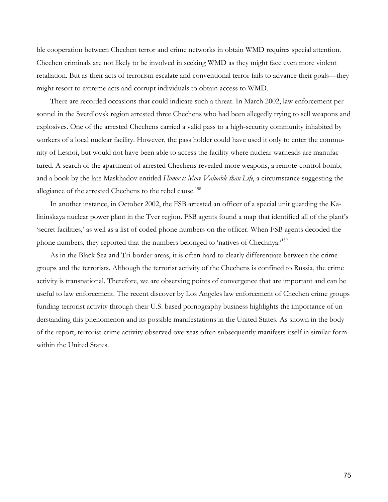ble cooperation between Chechen terror and crime networks in obtain WMD requires special attention. Chechen criminals are not likely to be involved in seeking WMD as they might face even more violent retaliation. But as their acts of terrorism escalate and conventional terror fails to advance their goals—they might resort to extreme acts and corrupt individuals to obtain access to WMD.

There are recorded occasions that could indicate such a threat. In March 2002, law enforcement personnel in the Sverdlovsk region arrested three Chechens who had been allegedly trying to sell weapons and explosives. One of the arrested Chechens carried a valid pass to a high-security community inhabited by workers of a local nuclear facility. However, the pass holder could have used it only to enter the community of Lesnoi, but would not have been able to access the facility where nuclear warheads are manufactured. A search of the apartment of arrested Chechens revealed more weapons, a remote-control bomb, and a book by the late Maskhadov entitled *Honor is More Valuable than Life*, a circumstance suggesting the allegiance of the arrested Chechens to the rebel cause.<sup>158</sup>

In another instance, in October 2002, the FSB arrested an officer of a special unit guarding the Kalininskaya nuclear power plant in the Tver region. FSB agents found a map that identified all of the plant's 'secret facilities,' as well as a list of coded phone numbers on the officer. When FSB agents decoded the phone numbers, they reported that the numbers belonged to 'natives of Chechnya.['159](#page-113-8)

As in the Black Sea and Tri-border areas, it is often hard to clearly differentiate between the crime groups and the terrorists. Although the terrorist activity of the Chechens is confined to Russia, the crime activity is transnational. Therefore, we are observing points of convergence that are important and can be useful to law enforcement. The recent discover by Los Angeles law enforcement of Chechen crime groups funding terrorist activity through their U.S. based pornography business highlights the importance of understanding this phenomenon and its possible manifestations in the United States. As shown in the body of the report, terrorist-crime activity observed overseas often subsequently manifests itself in similar form within the United States.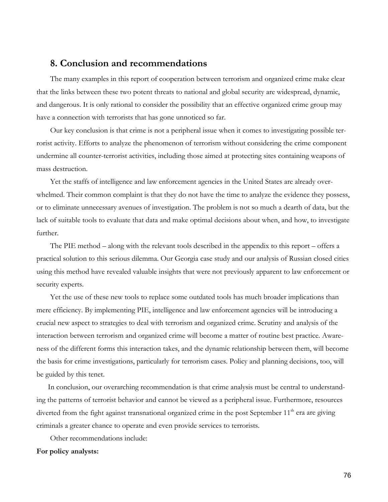# **8. Conclusion and recommendations**

The many examples in this report of cooperation between terrorism and organized crime make clear that the links between these two potent threats to national and global security are widespread, dynamic, and dangerous. It is only rational to consider the possibility that an effective organized crime group may have a connection with terrorists that has gone unnoticed so far.

Our key conclusion is that crime is not a peripheral issue when it comes to investigating possible terrorist activity. Efforts to analyze the phenomenon of terrorism without considering the crime component undermine all counter-terrorist activities, including those aimed at protecting sites containing weapons of mass destruction.

Yet the staffs of intelligence and law enforcement agencies in the United States are already overwhelmed. Their common complaint is that they do not have the time to analyze the evidence they possess, or to eliminate unnecessary avenues of investigation. The problem is not so much a dearth of data, but the lack of suitable tools to evaluate that data and make optimal decisions about when, and how, to investigate further.

The PIE method – along with the relevant tools described in the appendix to this report – offers a practical solution to this serious dilemma. Our Georgia case study and our analysis of Russian closed cities using this method have revealed valuable insights that were not previously apparent to law enforcement or security experts.

Yet the use of these new tools to replace some outdated tools has much broader implications than mere efficiency. By implementing PIE, intelligence and law enforcement agencies will be introducing a crucial new aspect to strategies to deal with terrorism and organized crime. Scrutiny and analysis of the interaction between terrorism and organized crime will become a matter of routine best practice. Awareness of the different forms this interaction takes, and the dynamic relationship between them, will become the basis for crime investigations, particularly for terrorism cases. Policy and planning decisions, too, will be guided by this tenet.

In conclusion, our overarching recommendation is that crime analysis must be central to understanding the patterns of terrorist behavior and cannot be viewed as a peripheral issue. Furthermore, resources diverted from the fight against transnational organized crime in the post September 11<sup>th</sup> era are giving criminals a greater chance to operate and even provide services to terrorists.

Other recommendations include:

#### **For policy analysts:**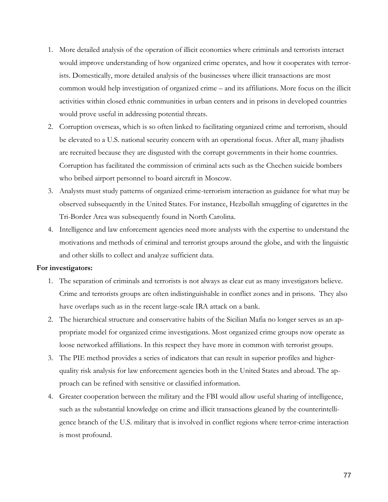- 1. More detailed analysis of the operation of illicit economies where criminals and terrorists interact would improve understanding of how organized crime operates, and how it cooperates with terrorists. Domestically, more detailed analysis of the businesses where illicit transactions are most common would help investigation of organized crime – and its affiliations. More focus on the illicit activities within closed ethnic communities in urban centers and in prisons in developed countries would prove useful in addressing potential threats.
- 2. Corruption overseas, which is so often linked to facilitating organized crime and terrorism, should be elevated to a U.S. national security concern with an operational focus. After all, many jihadists are recruited because they are disgusted with the corrupt governments in their home countries. Corruption has facilitated the commission of criminal acts such as the Chechen suicide bombers who bribed airport personnel to board aircraft in Moscow.
- 3. Analysts must study patterns of organized crime-terrorism interaction as guidance for what may be observed subsequently in the United States. For instance, Hezbollah smuggling of cigarettes in the Tri-Border Area was subsequently found in North Carolina.
- 4. Intelligence and law enforcement agencies need more analysts with the expertise to understand the motivations and methods of criminal and terrorist groups around the globe, and with the linguistic and other skills to collect and analyze sufficient data.

# **For investigators:**

- 1. The separation of criminals and terrorists is not always as clear cut as many investigators believe. Crime and terrorists groups are often indistinguishable in conflict zones and in prisons. They also have overlaps such as in the recent large-scale IRA attack on a bank.
- 2. The hierarchical structure and conservative habits of the Sicilian Mafia no longer serves as an appropriate model for organized crime investigations. Most organized crime groups now operate as loose networked affiliations. In this respect they have more in common with terrorist groups.
- 3. The PIE method provides a series of indicators that can result in superior profiles and higherquality risk analysis for law enforcement agencies both in the United States and abroad. The approach can be refined with sensitive or classified information.
- 4. Greater cooperation between the military and the FBI would allow useful sharing of intelligence, such as the substantial knowledge on crime and illicit transactions gleaned by the counterintelligence branch of the U.S. military that is involved in conflict regions where terror-crime interaction is most profound.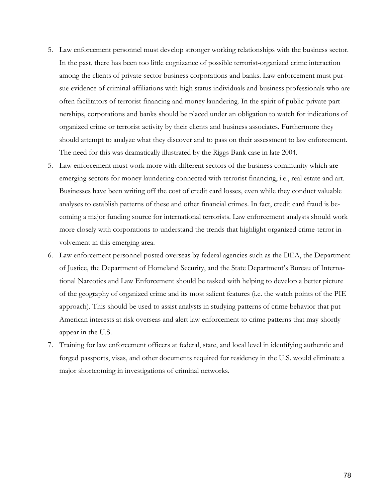- 5. Law enforcement personnel must develop stronger working relationships with the business sector. In the past, there has been too little cognizance of possible terrorist-organized crime interaction among the clients of private-sector business corporations and banks. Law enforcement must pursue evidence of criminal affiliations with high status individuals and business professionals who are often facilitators of terrorist financing and money laundering. In the spirit of public-private partnerships, corporations and banks should be placed under an obligation to watch for indications of organized crime or terrorist activity by their clients and business associates. Furthermore they should attempt to analyze what they discover and to pass on their assessment to law enforcement. The need for this was dramatically illustrated by the Riggs Bank case in late 2004.
- 5. Law enforcement must work more with different sectors of the business community which are emerging sectors for money laundering connected with terrorist financing, i.e., real estate and art. Businesses have been writing off the cost of credit card losses, even while they conduct valuable analyses to establish patterns of these and other financial crimes. In fact, credit card fraud is becoming a major funding source for international terrorists. Law enforcement analysts should work more closely with corporations to understand the trends that highlight organized crime-terror involvement in this emerging area.
- 6. Law enforcement personnel posted overseas by federal agencies such as the DEA, the Department of Justice, the Department of Homeland Security, and the State Department's Bureau of International Narcotics and Law Enforcement should be tasked with helping to develop a better picture of the geography of organized crime and its most salient features (i.e. the watch points of the PIE approach). This should be used to assist analysts in studying patterns of crime behavior that put American interests at risk overseas and alert law enforcement to crime patterns that may shortly appear in the U.S.
- 7. Training for law enforcement officers at federal, state, and local level in identifying authentic and forged passports, visas, and other documents required for residency in the U.S. would eliminate a major shortcoming in investigations of criminal networks.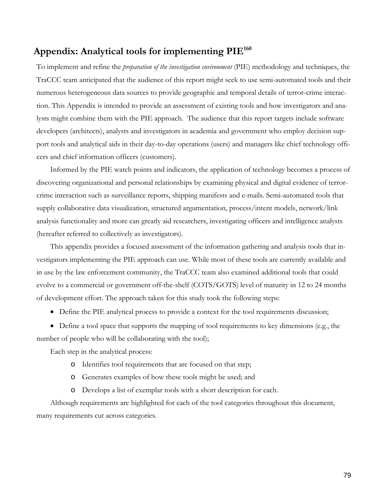# Appendix: Analytical tools for implementing PIE<sup>160</sup>

To implement and refine the *preparation of the investigation environment* (PIE) methodology and techniques, the TraCCC team anticipated that the audience of this report might seek to use semi-automated tools and their numerous heterogeneous data sources to provide geographic and temporal details of terror-crime interaction. This Appendix is intended to provide an assessment of existing tools and how investigators and analysts might combine them with the PIE approach. The audience that this report targets include software developers (architects), analysts and investigators in academia and government who employ decision support tools and analytical aids in their day-to-day operations (users) and managers like chief technology officers and chief information officers (customers).

Informed by the PIE watch points and indicators, the application of technology becomes a process of discovering organizational and personal relationships by examining physical and digital evidence of terrorcrime interaction such as surveillance reports, shipping manifests and e-mails. Semi-automated tools that supply collaborative data visualization, structured argumentation, process/intent models, network/link analysis functionality and more can greatly aid researchers, investigating officers and intelligence analysts (hereafter referred to collectively as investigators).

This appendix provides a focused assessment of the information gathering and analysis tools that investigators implementing the PIE approach can use. While most of these tools are currently available and in use by the law enforcement community, the TraCCC team also examined additional tools that could evolve to a commercial or government off-the-shelf (COTS/GOTS) level of maturity in 12 to 24 months of development effort. The approach taken for this study took the following steps:

• Define the PIE analytical process to provide a context for the tool requirements discussion;

• Define a tool space that supports the mapping of tool requirements to key dimensions (e.g., the number of people who will be collaborating with the tool);

Each step in the analytical process:

- o Identifies tool requirements that are focused on that step;
- o Generates examples of how these tools might be used; and
- o Develops a list of exemplar tools with a short description for each.

Although requirements are highlighted for each of the tool categories throughout this document, many requirements cut across categories.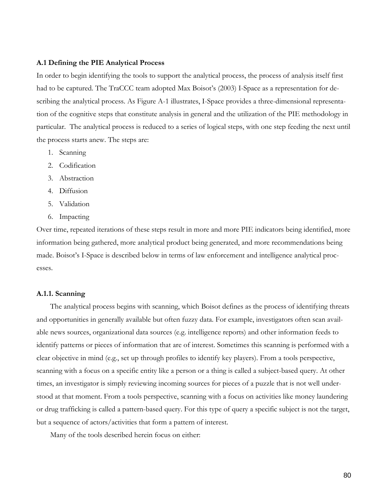#### **A.1 Defining the PIE Analytical Process**

In order to begin identifying the tools to support the analytical process, the process of analysis itself first had to be captured. The TraCCC team adopted Max Boisot's (2003) I-Space as a representation for describing the analytical process. As Figure A-1 illustrates, I-Space provides a three-dimensional representation of the cognitive steps that constitute analysis in general and the utilization of the PIE methodology in particular. The analytical process is reduced to a series of logical steps, with one step feeding the next until the process starts anew. The steps are:

- 1. Scanning
- 2. Codification
- 3. Abstraction
- 4. Diffusion
- 5. Validation
- 6. Impacting

Over time, repeated iterations of these steps result in more and more PIE indicators being identified, more information being gathered, more analytical product being generated, and more recommendations being made. Boisot's I-Space is described below in terms of law enforcement and intelligence analytical processes.

#### **A.1.1. Scanning**

The analytical process begins with scanning, which Boisot defines as the process of identifying threats and opportunities in generally available but often fuzzy data. For example, investigators often scan available news sources, organizational data sources (e.g. intelligence reports) and other information feeds to identify patterns or pieces of information that are of interest. Sometimes this scanning is performed with a clear objective in mind (e.g., set up through profiles to identify key players). From a tools perspective, scanning with a focus on a specific entity like a person or a thing is called a subject-based query. At other times, an investigator is simply reviewing incoming sources for pieces of a puzzle that is not well understood at that moment. From a tools perspective, scanning with a focus on activities like money laundering or drug trafficking is called a pattern-based query. For this type of query a specific subject is not the target, but a sequence of actors/activities that form a pattern of interest.

Many of the tools described herein focus on either: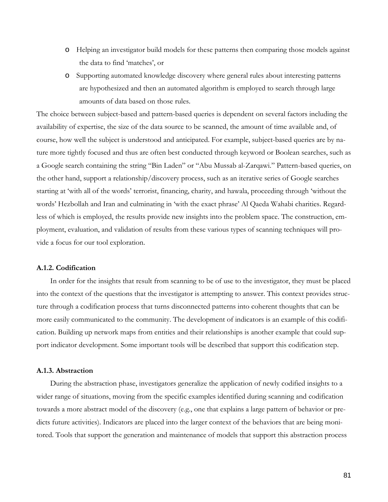- o Helping an investigator build models for these patterns then comparing those models against the data to find 'matches', or
- o Supporting automated knowledge discovery where general rules about interesting patterns are hypothesized and then an automated algorithm is employed to search through large amounts of data based on those rules.

The choice between subject-based and pattern-based queries is dependent on several factors including the availability of expertise, the size of the data source to be scanned, the amount of time available and, of course, how well the subject is understood and anticipated. For example, subject-based queries are by nature more tightly focused and thus are often best conducted through keyword or Boolean searches, such as a Google search containing the string "Bin Laden" or "Abu Mussab al-Zarqawi." Pattern-based queries, on the other hand, support a relationship/discovery process, such as an iterative series of Google searches starting at 'with all of the words' terrorist, financing, charity, and hawala, proceeding through 'without the words' Hezbollah and Iran and culminating in 'with the exact phrase' Al Qaeda Wahabi charities. Regardless of which is employed, the results provide new insights into the problem space. The construction, employment, evaluation, and validation of results from these various types of scanning techniques will provide a focus for our tool exploration.

# **A.1.2. Codification**

In order for the insights that result from scanning to be of use to the investigator, they must be placed into the context of the questions that the investigator is attempting to answer. This context provides structure through a codification process that turns disconnected patterns into coherent thoughts that can be more easily communicated to the community. The development of indicators is an example of this codification. Building up network maps from entities and their relationships is another example that could support indicator development. Some important tools will be described that support this codification step.

#### **A.1.3. Abstraction**

During the abstraction phase, investigators generalize the application of newly codified insights to a wider range of situations, moving from the specific examples identified during scanning and codification towards a more abstract model of the discovery (e.g., one that explains a large pattern of behavior or predicts future activities). Indicators are placed into the larger context of the behaviors that are being monitored. Tools that support the generation and maintenance of models that support this abstraction process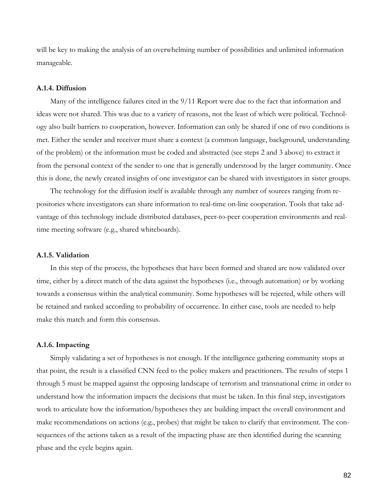will be key to making the analysis of an overwhelming number of possibilities and unlimited information manageable.

#### **A.1.4. Diffusion**

Many of the intelligence failures cited in the 9/11 Report were due to the fact that information and ideas were not shared. This was due to a variety of reasons, not the least of which were political. Technology also built barriers to cooperation, however. Information can only be shared if one of two conditions is met. Either the sender and receiver must share a context (a common language, background, understanding of the problem) or the information must be coded and abstracted (see steps 2 and 3 above) to extract it from the personal context of the sender to one that is generally understood by the larger community. Once this is done, the newly created insights of one investigator can be shared with investigators in sister groups.

The technology for the diffusion itself is available through any number of sources ranging from repositories where investigators can share information to real-time on-line cooperation. Tools that take advantage of this technology include distributed databases, peer-to-peer cooperation environments and realtime meeting software (e.g., shared whiteboards).

#### **A.1.5. Validation**

In this step of the process, the hypotheses that have been formed and shared are now validated over time, either by a direct match of the data against the hypotheses (i.e., through automation) or by working towards a consensus within the analytical community. Some hypotheses will be rejected, while others will be retained and ranked according to probability of occurrence. In either case, tools are needed to help make this match and form this consensus.

#### **A.1.6. Impacting**

Simply validating a set of hypotheses is not enough. If the intelligence gathering community stops at that point, the result is a classified CNN feed to the policy makers and practitioners. The results of steps 1 through 5 must be mapped against the opposing landscape of terrorism and transnational crime in order to understand how the information impacts the decisions that must be taken. In this final step, investigators work to articulate how the information/hypotheses they are building impact the overall environment and make recommendations on actions (e.g., probes) that might be taken to clarify that environment. The consequences of the actions taken as a result of the impacting phase are then identified during the scanning phase and the cycle begins again.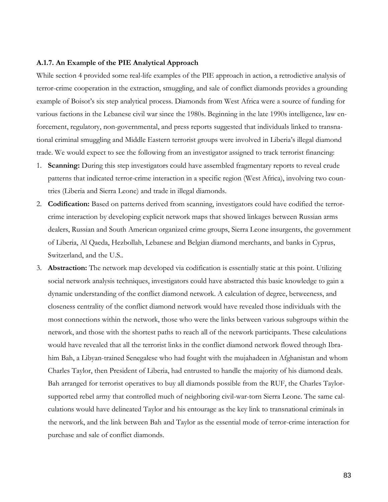#### **A.1.7. An Example of the PIE Analytical Approach**

While section 4 provided some real-life examples of the PIE approach in action, a retrodictive analysis of terror-crime cooperation in the extraction, smuggling, and sale of conflict diamonds provides a grounding example of Boisot's six step analytical process. Diamonds from West Africa were a source of funding for various factions in the Lebanese civil war since the 1980s. Beginning in the late 1990s intelligence, law enforcement, regulatory, non-governmental, and press reports suggested that individuals linked to transnational criminal smuggling and Middle Eastern terrorist groups were involved in Liberia's illegal diamond trade. We would expect to see the following from an investigator assigned to track terrorist financing:

- 1. **Scanning:** During this step investigators could have assembled fragmentary reports to reveal crude patterns that indicated terror-crime interaction in a specific region (West Africa), involving two countries (Liberia and Sierra Leone) and trade in illegal diamonds.
- 2. **Codification:** Based on patterns derived from scanning, investigators could have codified the terrorcrime interaction by developing explicit network maps that showed linkages between Russian arms dealers, Russian and South American organized crime groups, Sierra Leone insurgents, the government of Liberia, Al Qaeda, Hezbollah, Lebanese and Belgian diamond merchants, and banks in Cyprus, Switzerland, and the U.S..
- 3. **Abstraction:** The network map developed via codification is essentially static at this point. Utilizing social network analysis techniques, investigators could have abstracted this basic knowledge to gain a dynamic understanding of the conflict diamond network. A calculation of degree, betweeness, and closeness centrality of the conflict diamond network would have revealed those individuals with the most connections within the network, those who were the links between various subgroups within the network, and those with the shortest paths to reach all of the network participants. These calculations would have revealed that all the terrorist links in the conflict diamond network flowed through Ibrahim Bah, a Libyan-trained Senegalese who had fought with the mujahadeen in Afghanistan and whom Charles Taylor, then President of Liberia, had entrusted to handle the majority of his diamond deals. Bah arranged for terrorist operatives to buy all diamonds possible from the RUF, the Charles Taylorsupported rebel army that controlled much of neighboring civil-war-torn Sierra Leone. The same calculations would have delineated Taylor and his entourage as the key link to transnational criminals in the network, and the link between Bah and Taylor as the essential mode of terror-crime interaction for purchase and sale of conflict diamonds.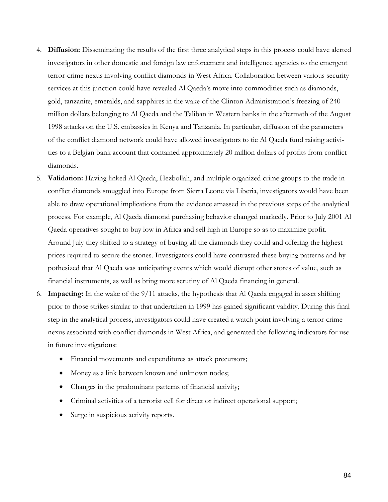- 4. **Diffusion:** Disseminating the results of the first three analytical steps in this process could have alerted investigators in other domestic and foreign law enforcement and intelligence agencies to the emergent terror-crime nexus involving conflict diamonds in West Africa. Collaboration between various security services at this junction could have revealed Al Qaeda's move into commodities such as diamonds, gold, tanzanite, emeralds, and sapphires in the wake of the Clinton Administration's freezing of 240 million dollars belonging to Al Qaeda and the Taliban in Western banks in the aftermath of the August 1998 attacks on the U.S. embassies in Kenya and Tanzania. In particular, diffusion of the parameters of the conflict diamond network could have allowed investigators to tie Al Qaeda fund raising activities to a Belgian bank account that contained approximately 20 million dollars of profits from conflict diamonds.
- 5. **Validation:** Having linked Al Qaeda, Hezbollah, and multiple organized crime groups to the trade in conflict diamonds smuggled into Europe from Sierra Leone via Liberia, investigators would have been able to draw operational implications from the evidence amassed in the previous steps of the analytical process. For example, Al Qaeda diamond purchasing behavior changed markedly. Prior to July 2001 Al Qaeda operatives sought to buy low in Africa and sell high in Europe so as to maximize profit. Around July they shifted to a strategy of buying all the diamonds they could and offering the highest prices required to secure the stones. Investigators could have contrasted these buying patterns and hypothesized that Al Qaeda was anticipating events which would disrupt other stores of value, such as financial instruments, as well as bring more scrutiny of Al Qaeda financing in general.
- 6. **Impacting:** In the wake of the 9/11 attacks, the hypothesis that Al Qaeda engaged in asset shifting prior to those strikes similar to that undertaken in 1999 has gained significant validity. During this final step in the analytical process, investigators could have created a watch point involving a terror-crime nexus associated with conflict diamonds in West Africa, and generated the following indicators for use in future investigations:
	- Financial movements and expenditures as attack precursors;
	- Money as a link between known and unknown nodes;
	- Changes in the predominant patterns of financial activity;
	- Criminal activities of a terrorist cell for direct or indirect operational support;
	- Surge in suspicious activity reports.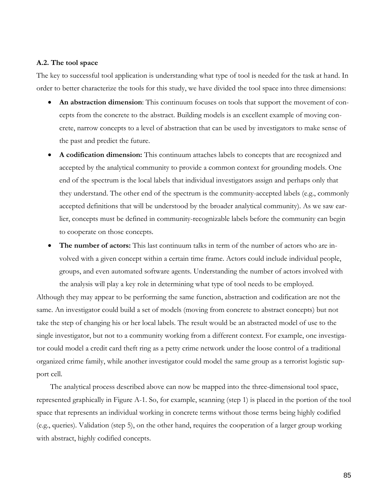# **A.2. The tool space**

The key to successful tool application is understanding what type of tool is needed for the task at hand. In order to better characterize the tools for this study, we have divided the tool space into three dimensions:

- **An abstraction dimension**: This continuum focuses on tools that support the movement of concepts from the concrete to the abstract. Building models is an excellent example of moving concrete, narrow concepts to a level of abstraction that can be used by investigators to make sense of the past and predict the future.
- **A codification dimension:** This continuum attaches labels to concepts that are recognized and accepted by the analytical community to provide a common context for grounding models. One end of the spectrum is the local labels that individual investigators assign and perhaps only that they understand. The other end of the spectrum is the community-accepted labels (e.g., commonly accepted definitions that will be understood by the broader analytical community). As we saw earlier, concepts must be defined in community-recognizable labels before the community can begin to cooperate on those concepts.
- **The number of actors:** This last continuum talks in term of the number of actors who are involved with a given concept within a certain time frame. Actors could include individual people, groups, and even automated software agents. Understanding the number of actors involved with the analysis will play a key role in determining what type of tool needs to be employed.

Although they may appear to be performing the same function, abstraction and codification are not the same. An investigator could build a set of models (moving from concrete to abstract concepts) but not take the step of changing his or her local labels. The result would be an abstracted model of use to the single investigator, but not to a community working from a different context. For example, one investigator could model a credit card theft ring as a petty crime network under the loose control of a traditional organized crime family, while another investigator could model the same group as a terrorist logistic support cell.

The analytical process described above can now be mapped into the three-dimensional tool space, represented graphically in Figure A-1. So, for example, scanning (step 1) is placed in the portion of the tool space that represents an individual working in concrete terms without those terms being highly codified (e.g., queries). Validation (step 5), on the other hand, requires the cooperation of a larger group working with abstract, highly codified concepts.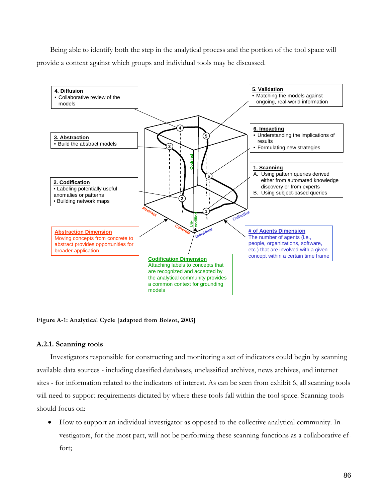Being able to identify both the step in the analytical process and the portion of the tool space will provide a context against which groups and individual tools may be discussed.



#### **Figure A-1: Analytical Cycle [adapted from Boisot, 2003]**

## **A.2.1. Scanning tools**

Investigators responsible for constructing and monitoring a set of indicators could begin by scanning available data sources - including classified databases, unclassified archives, news archives, and internet sites - for information related to the indicators of interest. As can be seen from exhibit 6, all scanning tools will need to support requirements dictated by where these tools fall within the tool space. Scanning tools should focus on:

• How to support an individual investigator as opposed to the collective analytical community. Investigators, for the most part, will not be performing these scanning functions as a collaborative effort;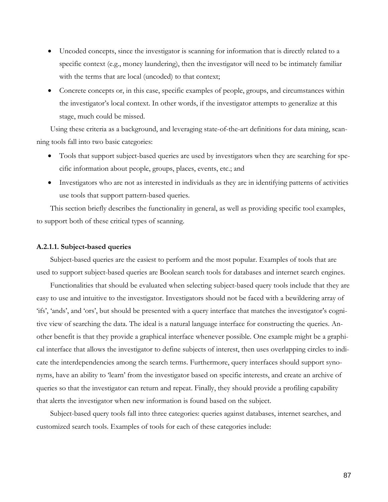- Uncoded concepts, since the investigator is scanning for information that is directly related to a specific context (e.g., money laundering), then the investigator will need to be intimately familiar with the terms that are local (uncoded) to that context;
- Concrete concepts or, in this case, specific examples of people, groups, and circumstances within the investigator's local context. In other words, if the investigator attempts to generalize at this stage, much could be missed.

Using these criteria as a background, and leveraging state-of-the-art definitions for data mining, scanning tools fall into two basic categories:

- Tools that support subject-based queries are used by investigators when they are searching for specific information about people, groups, places, events, etc.; and
- Investigators who are not as interested in individuals as they are in identifying patterns of activities use tools that support pattern-based queries.

This section briefly describes the functionality in general, as well as providing specific tool examples, to support both of these critical types of scanning.

#### **A.2.1.1. Subject-based queries**

Subject-based queries are the easiest to perform and the most popular. Examples of tools that are used to support subject-based queries are Boolean search tools for databases and internet search engines.

Functionalities that should be evaluated when selecting subject-based query tools include that they are easy to use and intuitive to the investigator. Investigators should not be faced with a bewildering array of 'ifs', 'ands', and 'ors', but should be presented with a query interface that matches the investigator's cognitive view of searching the data. The ideal is a natural language interface for constructing the queries. Another benefit is that they provide a graphical interface whenever possible. One example might be a graphical interface that allows the investigator to define subjects of interest, then uses overlapping circles to indicate the interdependencies among the search terms. Furthermore, query interfaces should support synonyms, have an ability to 'learn' from the investigator based on specific interests, and create an archive of queries so that the investigator can return and repeat. Finally, they should provide a profiling capability that alerts the investigator when new information is found based on the subject.

Subject-based query tools fall into three categories: queries against databases, internet searches, and customized search tools. Examples of tools for each of these categories include: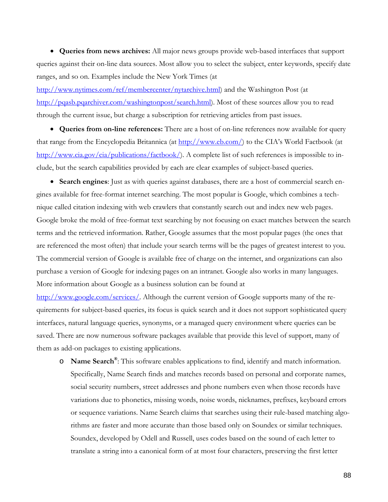• **Queries from news archives:** All major news groups provide web-based interfaces that support queries against their on-line data sources. Most allow you to select the subject, enter keywords, specify date ranges, and so on. Examples include the New York Times (at

[http://www.nytimes.com/ref/membercenter/nytarchive.html\)](http://www.nytimes.com/ref/membercenter/nytarchive.html) and the Washington Post (at [http://pqasb.pqarchiver.com/washingtonpost/search.html\)](http://pqasb.pqarchiver.com/washingtonpost/search.html). Most of these sources allow you to read through the current issue, but charge a subscription for retrieving articles from past issues.

• **Queries from on-line references:** There are a host of on-line references now available for query that range from the Encyclopedia Britannica (at <http://www.eb.com/>) to the CIA's World Factbook (at [http://www.cia.gov/cia/publications/factbook/\)](http://www.cia.gov/cia/publications/factbook/). A complete list of such references is impossible to include, but the search capabilities provided by each are clear examples of subject-based queries.

• **Search engines**: Just as with queries against databases, there are a host of commercial search engines available for free-format internet searching. The most popular is Google, which combines a technique called citation indexing with web crawlers that constantly search out and index new web pages. Google broke the mold of free-format text searching by not focusing on exact matches between the search terms and the retrieved information. Rather, Google assumes that the most popular pages (the ones that are referenced the most often) that include your search terms will be the pages of greatest interest to you. The commercial version of Google is available free of charge on the internet, and organizations can also purchase a version of Google for indexing pages on an intranet. Google also works in many languages. More information about Google as a business solution can be found at

[http://www.google.com/services/.](http://www.google.com/services/) Although the current version of Google supports many of the requirements for subject-based queries, its focus is quick search and it does not support sophisticated query interfaces, natural language queries, synonyms, or a managed query environment where queries can be saved. There are now numerous software packages available that provide this level of support, many of them as add-on packages to existing applications.

o **Name Search®**: This software enables applications to find, identify and match information. Specifically, Name Search finds and matches records based on personal and corporate names, social security numbers, street addresses and phone numbers even when those records have variations due to phonetics, missing words, noise words, nicknames, prefixes, keyboard errors or sequence variations. Name Search claims that searches using their rule-based matching algorithms are faster and more accurate than those based only on Soundex or similar techniques. Soundex, developed by Odell and Russell, uses codes based on the sound of each letter to translate a string into a canonical form of at most four characters, preserving the first letter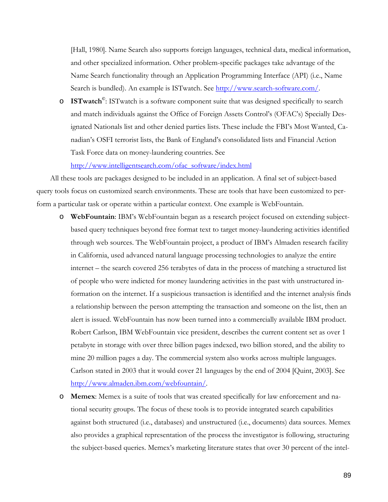[Hall, 1980]. Name Search also supports foreign languages, technical data, medical information, and other specialized information. Other problem-specific packages take advantage of the Name Search functionality through an Application Programming Interface (API) (i.e., Name Search is bundled). An example is ISTwatch. See [http://www.search-software.com/.](http://www.search-software.com/)

o **ISTwatch©**: ISTwatch is a software component suite that was designed specifically to search and match individuals against the Office of Foreign Assets Control's (OFAC's) Specially Designated Nationals list and other denied parties lists. These include the FBI's Most Wanted, Canadian's OSFI terrorist lists, the Bank of England's consolidated lists and Financial Action Task Force data on money-laundering countries. See

[http://www.intelligentsearch.com/ofac\\_software/index.html](http://www.intelligentsearch.com/ofac_software/index.html)

All these tools are packages designed to be included in an application. A final set of subject-based query tools focus on customized search environments. These are tools that have been customized to perform a particular task or operate within a particular context. One example is WebFountain.

- o **WebFountain**: IBM's WebFountain began as a research project focused on extending subjectbased query techniques beyond free format text to target money-laundering activities identified through web sources. The WebFountain project, a product of IBM's Almaden research facility in California, used advanced natural language processing technologies to analyze the entire internet – the search covered 256 terabytes of data in the process of matching a structured list of people who were indicted for money laundering activities in the past with unstructured information on the internet. If a suspicious transaction is identified and the internet analysis finds a relationship between the person attempting the transaction and someone on the list, then an alert is issued. WebFountain has now been turned into a commercially available IBM product. Robert Carlson, IBM WebFountain vice president, describes the current content set as over 1 petabyte in storage with over three billion pages indexed, two billion stored, and the ability to mine 20 million pages a day. The commercial system also works across multiple languages. Carlson stated in 2003 that it would cover 21 languages by the end of 2004 [Quint, 2003]. See <http://www.almaden.ibm.com/webfountain/>.
- o **Memex**: Memex is a suite of tools that was created specifically for law enforcement and national security groups. The focus of these tools is to provide integrated search capabilities against both structured (i.e., databases) and unstructured (i.e., documents) data sources. Memex also provides a graphical representation of the process the investigator is following, structuring the subject-based queries. Memex's marketing literature states that over 30 percent of the intel-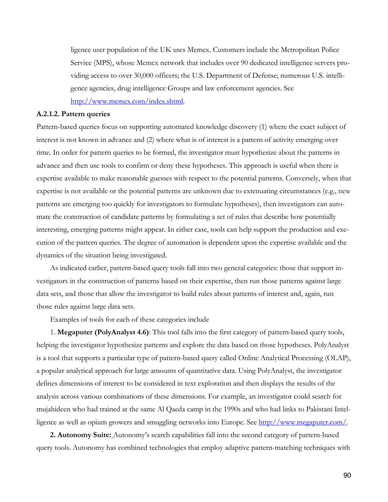ligence user population of the UK uses Memex. Customers include the Metropolitan Police Service (MPS), whose Memex network that includes over 90 dedicated intelligence servers providing access to over 30,000 officers; the U.S. Department of Defense; numerous U.S. intelligence agencies, drug intelligence Groups and law enforcement agencies. See <http://www.memex.com/index.shtml>.

#### **A.2.1.2. Pattern queries**

Pattern-based queries focus on supporting automated knowledge discovery (1) where the exact subject of interest is not known in advance and (2) where what is of interest is a pattern of activity emerging over time. In order for pattern queries to be formed, the investigator must hypothesize about the patterns in advance and then use tools to confirm or deny these hypotheses. This approach is useful when there is expertise available to make reasonable guesses with respect to the potential patterns. Conversely, when that expertise is not available or the potential patterns are unknown due to extenuating circumstances (e.g., new patterns are emerging too quickly for investigators to formulate hypotheses), then investigators can automate the construction of candidate patterns by formulating a set of rules that describe how potentially interesting, emerging patterns might appear. In either case, tools can help support the production and execution of the pattern queries. The degree of automation is dependent upon the expertise available and the dynamics of the situation being investigated.

As indicated earlier, pattern-based query tools fall into two general categories: those that support investigators in the construction of patterns based on their expertise, then run those patterns against large data sets, and those that allow the investigator to build rules about patterns of interest and, again, run those rules against large data sets.

Examples of tools for each of these categories include

1. **Megaputer (PolyAnalyst 4.6)**: This tool falls into the first category of pattern-based query tools, helping the investigator hypothesize patterns and explore the data based on those hypotheses. PolyAnalyst is a tool that supports a particular type of pattern-based query called Online Analytical Processing (OLAP), a popular analytical approach for large amounts of quantitative data. Using PolyAnalyst, the investigator defines dimensions of interest to be considered in text exploration and then displays the results of the analysis across various combinations of these dimensions. For example, an investigator could search for mujahideen who had trained at the same Al Qaeda camp in the 1990s and who had links to Pakistani Intelligence as well as opium growers and smuggling networks into Europe. See [http://www.megaputer.com/.](http://www.megaputer.com/)

**2. Autonomy Suite:** Autonomy's search capabilities fall into the second category of pattern-based query tools. Autonomy has combined technologies that employ adaptive pattern-matching techniques with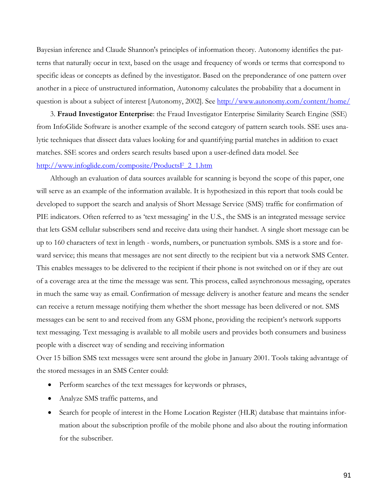Bayesian inference and Claude Shannon's principles of information theory. Autonomy identifies the patterns that naturally occur in text, based on the usage and frequency of words or terms that correspond to specific ideas or concepts as defined by the investigator. Based on the preponderance of one pattern over another in a piece of unstructured information, Autonomy calculates the probability that a document in question is about a subject of interest [Autonomy, 2002]. See http://www.autonomy.com/content/home/

 3. **Fraud Investigator Enterprise**: the Fraud Investigator Enterprise Similarity Search Engine (SSE) from InfoGlide Software is another example of the second category of pattern search tools. SSE uses analytic techniques that dissect data values looking for and quantifying partial matches in addition to exact matches. SSE scores and orders search results based upon a user-defined data model. See

# [http://www.infoglide.com/composite/ProductsF\\_2\\_1.htm](http://www.infoglide.com/composite/ProductsF_2_1.htm)

Although an evaluation of data sources available for scanning is beyond the scope of this paper, one will serve as an example of the information available. It is hypothesized in this report that tools could be developed to support the search and analysis of Short Message Service (SMS) traffic for confirmation of PIE indicators. Often referred to as 'text messaging' in the U.S., the SMS is an integrated message service that lets GSM cellular subscribers send and receive data using their handset. A single short message can be up to 160 characters of text in length - words, numbers, or punctuation symbols. SMS is a store and forward service; this means that messages are not sent directly to the recipient but via a network SMS Center. This enables messages to be delivered to the recipient if their phone is not switched on or if they are out of a coverage area at the time the message was sent. This process, called asynchronous messaging, operates in much the same way as email. Confirmation of message delivery is another feature and means the sender can receive a return message notifying them whether the short message has been delivered or not. SMS messages can be sent to and received from any GSM phone, providing the recipient's network supports text messaging. Text messaging is available to all mobile users and provides both consumers and business people with a discreet way of sending and receiving information

Over 15 billion SMS text messages were sent around the globe in January 2001. Tools taking advantage of the stored messages in an SMS Center could:

- Perform searches of the text messages for keywords or phrases,
- Analyze SMS traffic patterns, and
- Search for people of interest in the Home Location Register (HLR) database that maintains information about the subscription profile of the mobile phone and also about the routing information for the subscriber.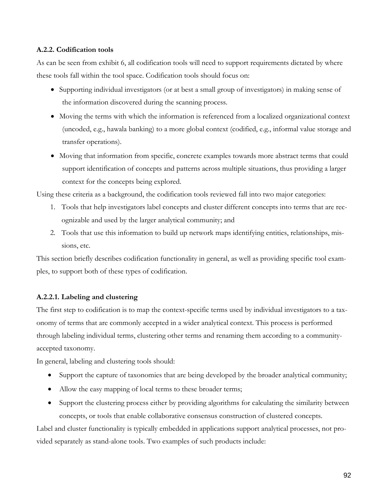# **A.2.2. Codification tools**

As can be seen from exhibit 6, all codification tools will need to support requirements dictated by where these tools fall within the tool space. Codification tools should focus on:

- Supporting individual investigators (or at best a small group of investigators) in making sense of the information discovered during the scanning process.
- Moving the terms with which the information is referenced from a localized organizational context (uncoded, e.g., hawala banking) to a more global context (codified, e.g., informal value storage and transfer operations).
- Moving that information from specific, concrete examples towards more abstract terms that could support identification of concepts and patterns across multiple situations, thus providing a larger context for the concepts being explored.

Using these criteria as a background, the codification tools reviewed fall into two major categories:

- 1. Tools that help investigators label concepts and cluster different concepts into terms that are recognizable and used by the larger analytical community; and
- 2. Tools that use this information to build up network maps identifying entities, relationships, missions, etc.

This section briefly describes codification functionality in general, as well as providing specific tool examples, to support both of these types of codification.

# **A.2.2.1. Labeling and clustering**

The first step to codification is to map the context-specific terms used by individual investigators to a taxonomy of terms that are commonly accepted in a wider analytical context. This process is performed through labeling individual terms, clustering other terms and renaming them according to a communityaccepted taxonomy.

In general, labeling and clustering tools should:

- Support the capture of taxonomies that are being developed by the broader analytical community;
- Allow the easy mapping of local terms to these broader terms;
- Support the clustering process either by providing algorithms for calculating the similarity between concepts, or tools that enable collaborative consensus construction of clustered concepts.

Label and cluster functionality is typically embedded in applications support analytical processes, not provided separately as stand-alone tools. Two examples of such products include: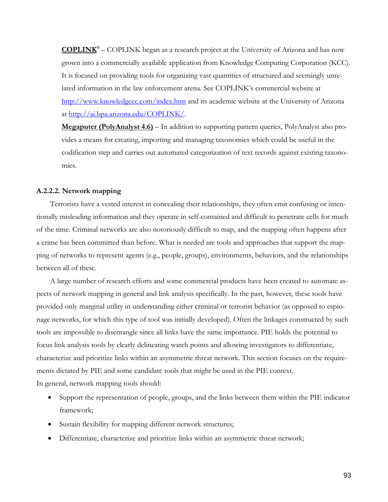**COPLINK**® – COPLINK began as a research project at the University of Arizona and has now grown into a commercially available application from Knowledge Computing Corporation (KCC). It is focused on providing tools for organizing vast quantities of structured and seemingly unrelated information in the law enforcement arena. See COPLINK's commercial website at <http://www.knowledgecc.com/index.htm>and its academic website at the University of Arizona at [http://ai.bpa.arizona.edu/COPLINK/.](http://ai.bpa.arizona.edu/COPLINK/)

**Megaputer (PolyAnalyst 4.6)** – In addition to supporting pattern queries, PolyAnalyst also provides a means for creating, importing and managing taxonomies which could be useful in the codification step and carries out automated categorization of text records against existing taxonomies.

### **A.2.2.2. Network mapping**

Terrorists have a vested interest in concealing their relationships, they often emit confusing or intentionally misleading information and they operate in self-contained and difficult to penetrate cells for much of the time. Criminal networks are also notoriously difficult to map, and the mapping often happens after a crime has been committed than before. What is needed are tools and approaches that support the mapping of networks to represent agents (e.g., people, groups), environments, behaviors, and the relationships between all of these.

A large number of research efforts and some commercial products have been created to automate aspects of network mapping in general and link analysis specifically. In the past, however, these tools have provided only marginal utility in understanding either criminal or terrorist behavior (as opposed to espionage networks, for which this type of tool was initially developed). Often the linkages constructed by such tools are impossible to disentangle since all links have the same importance. PIE holds the potential to focus link analysis tools by clearly delineating watch points and allowing investigators to differentiate, characterize and prioritize links within an asymmetric threat network. This section focuses on the requirements dictated by PIE and some candidate tools that might be used in the PIE context. In general, network mapping tools should:

- Support the representation of people, groups, and the links between them within the PIE indicator framework;
- Sustain flexibility for mapping different network structures;
- Differentiate, characterize and prioritize links within an asymmetric threat network;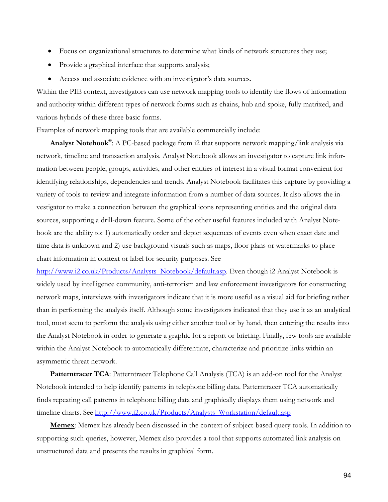- Focus on organizational structures to determine what kinds of network structures they use;
- Provide a graphical interface that supports analysis;
- Access and associate evidence with an investigator's data sources.

Within the PIE context, investigators can use network mapping tools to identify the flows of information and authority within different types of network forms such as chains, hub and spoke, fully matrixed, and various hybrids of these three basic forms.

Examples of network mapping tools that are available commercially include:

**Analyst Notebook®**: A PC-based package from i2 that supports network mapping/link analysis via network, timeline and transaction analysis. Analyst Notebook allows an investigator to capture link information between people, groups, activities, and other entities of interest in a visual format convenient for identifying relationships, dependencies and trends. Analyst Notebook facilitates this capture by providing a variety of tools to review and integrate information from a number of data sources. It also allows the investigator to make a connection between the graphical icons representing entities and the original data sources, supporting a drill-down feature. Some of the other useful features included with Analyst Notebook are the ability to: 1) automatically order and depict sequences of events even when exact date and time data is unknown and 2) use background visuals such as maps, floor plans or watermarks to place chart information in context or label for security purposes. See

[http://www.i2.co.uk/Products/Analysts\\_Notebook/default.asp.](http://www.i2.co.uk/Products/Analysts_Notebook/default.asp) Even though i2 Analyst Notebook is widely used by intelligence community, anti-terrorism and law enforcement investigators for constructing network maps, interviews with investigators indicate that it is more useful as a visual aid for briefing rather than in performing the analysis itself. Although some investigators indicated that they use it as an analytical tool, most seem to perform the analysis using either another tool or by hand, then entering the results into the Analyst Notebook in order to generate a graphic for a report or briefing. Finally, few tools are available within the Analyst Notebook to automatically differentiate, characterize and prioritize links within an asymmetric threat network.

**Patterntracer TCA**: Patterntracer Telephone Call Analysis (TCA) is an add-on tool for the Analyst Notebook intended to help identify patterns in telephone billing data. Patterntracer TCA automatically finds repeating call patterns in telephone billing data and graphically displays them using network and timeline charts. See [http://www.i2.co.uk/Products/Analysts\\_Workstation/default.asp](http://www.i2.co.uk/Products/Analysts_Workstation/default.asp)

**Memex**: Memex has already been discussed in the context of subject-based query tools. In addition to supporting such queries, however, Memex also provides a tool that supports automated link analysis on unstructured data and presents the results in graphical form.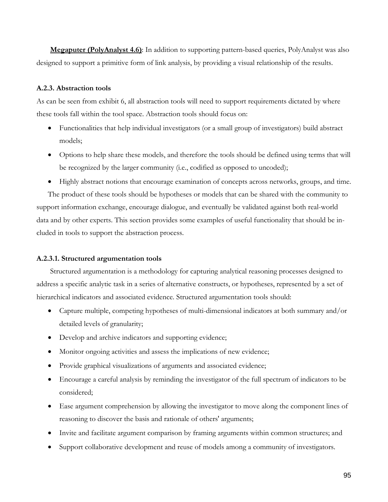**Megaputer (PolyAnalyst 4.6)**: In addition to supporting pattern-based queries, PolyAnalyst was also designed to support a primitive form of link analysis, by providing a visual relationship of the results.

## **A.2.3. Abstraction tools**

As can be seen from exhibit 6, all abstraction tools will need to support requirements dictated by where these tools fall within the tool space. Abstraction tools should focus on:

- Functionalities that help individual investigators (or a small group of investigators) build abstract models;
- Options to help share these models, and therefore the tools should be defined using terms that will be recognized by the larger community (i.e., codified as opposed to uncoded);
- Highly abstract notions that encourage examination of concepts across networks, groups, and time.

The product of these tools should be hypotheses or models that can be shared with the community to support information exchange, encourage dialogue, and eventually be validated against both real-world data and by other experts. This section provides some examples of useful functionality that should be included in tools to support the abstraction process.

## **A.2.3.1. Structured argumentation tools**

Structured argumentation is a methodology for capturing analytical reasoning processes designed to address a specific analytic task in a series of alternative constructs, or hypotheses, represented by a set of hierarchical indicators and associated evidence. Structured argumentation tools should:

- Capture multiple, competing hypotheses of multi-dimensional indicators at both summary and/or detailed levels of granularity;
- Develop and archive indicators and supporting evidence;
- Monitor ongoing activities and assess the implications of new evidence;
- Provide graphical visualizations of arguments and associated evidence;
- Encourage a careful analysis by reminding the investigator of the full spectrum of indicators to be considered;
- Ease argument comprehension by allowing the investigator to move along the component lines of reasoning to discover the basis and rationale of others' arguments;
- Invite and facilitate argument comparison by framing arguments within common structures; and
- Support collaborative development and reuse of models among a community of investigators.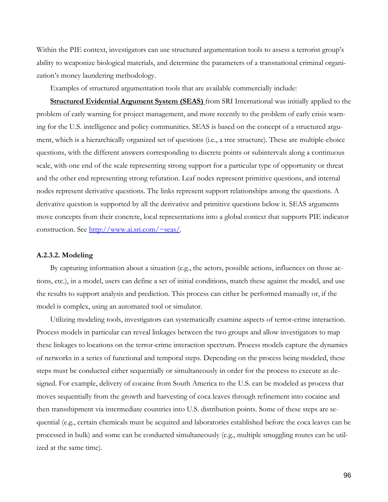Within the PIE context, investigators can use structured argumentation tools to assess a terrorist group's ability to weaponize biological materials, and determine the parameters of a transnational criminal organization's money laundering methodology.

Examples of structured argumentation tools that are available commercially include:

**Structured Evidential Argument System (SEAS)** from SRI International was initially applied to the problem of early warning for project management, and more recently to the problem of early crisis warning for the U.S. intelligence and policy communities. SEAS is based on the concept of a structured argument, which is a hierarchically organized set of questions (i.e., a tree structure). These are multiple-choice questions, with the different answers corresponding to discrete points or subintervals along a continuous scale, with one end of the scale representing strong support for a particular type of opportunity or threat and the other end representing strong refutation. Leaf nodes represent primitive questions, and internal nodes represent derivative questions. The links represent support relationships among the questions. A derivative question is supported by all the derivative and primitive questions below it. SEAS arguments move concepts from their concrete, local representations into a global context that supports PIE indicator construction. See [http://www.ai.sri.com/~seas/.](http://www.ai.sri.com/~seas/)

#### **A.2.3.2. Modeling**

By capturing information about a situation (e.g., the actors, possible actions, influences on those actions, etc.), in a model, users can define a set of initial conditions, match these against the model, and use the results to support analysis and prediction. This process can either be performed manually or, if the model is complex, using an automated tool or simulator.

Utilizing modeling tools, investigators can systematically examine aspects of terror-crime interaction. Process models in particular can reveal linkages between the two groups and allow investigators to map these linkages to locations on the terror-crime interaction spectrum. Process models capture the dynamics of networks in a series of functional and temporal steps. Depending on the process being modeled, these steps must be conducted either sequentially or simultaneously in order for the process to execute as designed. For example, delivery of cocaine from South America to the U.S. can be modeled as process that moves sequentially from the growth and harvesting of coca leaves through refinement into cocaine and then transshipment via intermediate countries into U.S. distribution points. Some of these steps are sequential (e.g., certain chemicals must be acquired and laboratories established before the coca leaves can be processed in bulk) and some can be conducted simultaneously (e.g., multiple smuggling routes can be utilized at the same time).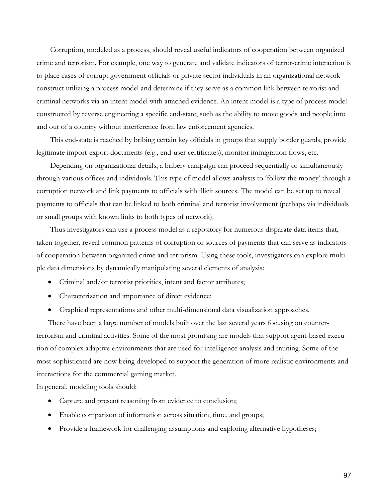Corruption, modeled as a process, should reveal useful indicators of cooperation between organized crime and terrorism. For example, one way to generate and validate indicators of terror-crime interaction is to place cases of corrupt government officials or private sector individuals in an organizational network construct utilizing a process model and determine if they serve as a common link between terrorist and criminal networks via an intent model with attached evidence. An intent model is a type of process model constructed by reverse engineering a specific end-state, such as the ability to move goods and people into and out of a country without interference from law enforcement agencies.

This end-state is reached by bribing certain key officials in groups that supply border guards, provide legitimate import-export documents (e.g., end-user certificates), monitor immigration flows, etc.

Depending on organizational details, a bribery campaign can proceed sequentially or simultaneously through various offices and individuals. This type of model allows analysts to 'follow the money' through a corruption network and link payments to officials with illicit sources. The model can be set up to reveal payments to officials that can be linked to both criminal and terrorist involvement (perhaps via individuals or small groups with known links to both types of network).

Thus investigators can use a process model as a repository for numerous disparate data items that, taken together, reveal common patterns of corruption or sources of payments that can serve as indicators of cooperation between organized crime and terrorism. Using these tools, investigators can explore multiple data dimensions by dynamically manipulating several elements of analysis:

- Criminal and/or terrorist priorities, intent and factor attributes;
- Characterization and importance of direct evidence;
- Graphical representations and other multi-dimensional data visualization approaches.

There have been a large number of models built over the last several years focusing on counterterrorism and criminal activities. Some of the most promising are models that support agent-based execution of complex adaptive environments that are used for intelligence analysis and training. Some of the most sophisticated are now being developed to support the generation of more realistic environments and interactions for the commercial gaming market.

In general, modeling tools should:

- Capture and present reasoning from evidence to conclusion;
- Enable comparison of information across situation, time, and groups;
- Provide a framework for challenging assumptions and exploring alternative hypotheses;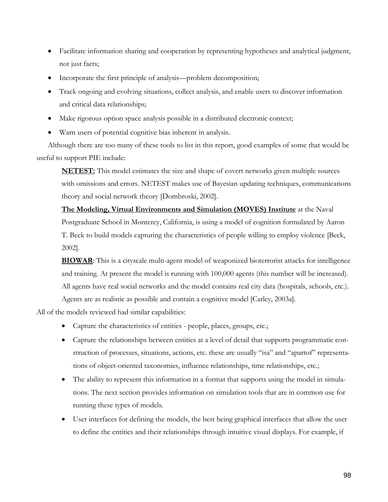- Facilitate information sharing and cooperation by representing hypotheses and analytical judgment, not just facts;
- Incorporate the first principle of analysis—problem decomposition;
- Track ongoing and evolving situations, collect analysis, and enable users to discover information and critical data relationships;
- Make rigorous option space analysis possible in a distributed electronic context;
- Warn users of potential cognitive bias inherent in analysis.

Although there are too many of these tools to list in this report, good examples of some that would be useful to support PIE include:

**NETEST:** This model estimates the size and shape of covert networks given multiple sources with omissions and errors. NETEST makes use of Bayesian updating techniques, communications theory and social network theory [Dombroski, 2002].

**The Modeling, Virtual Environments and Simulation (MOVES) Institute** at the Naval Postgraduate School in Monterey, California, is using a model of cognition formulated by Aaron T. Beck to build models capturing the characteristics of people willing to employ violence [Beck, 2002].

**BIOWAR**: This is a cityscale multi-agent model of weaponized bioterrorist attacks for intelligence and training. At present the model is running with 100,000 agents (this number will be increased). All agents have real social networks and the model contains real city data (hospitals, schools, etc.). Agents are as realistic as possible and contain a cognitive model [Carley, 2003a].

All of the models reviewed had similar capabilities:

- Capture the characteristics of entities people, places, groups, etc.;
- Capture the relationships between entities at a level of detail that supports programmatic construction of processes, situations, actions, etc. these are usually "isa" and "apartof" representations of object-oriented taxonomies, influence relationships, time relationships, etc.;
- The ability to represent this information in a format that supports using the model in simulations. The next section provides information on simulation tools that are in common use for running these types of models.
- User interfaces for defining the models, the best being graphical interfaces that allow the user to define the entities and their relationships through intuitive visual displays. For example, if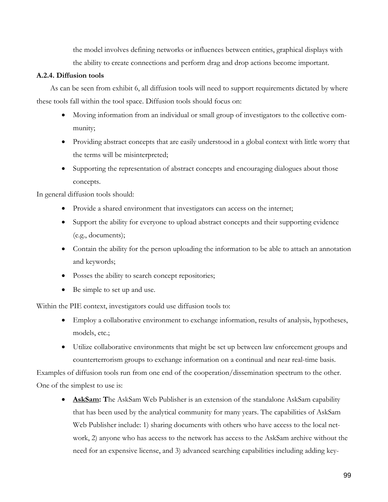the model involves defining networks or influences between entities, graphical displays with the ability to create connections and perform drag and drop actions become important.

# **A.2.4. Diffusion tools**

As can be seen from exhibit 6, all diffusion tools will need to support requirements dictated by where these tools fall within the tool space. Diffusion tools should focus on:

- Moving information from an individual or small group of investigators to the collective community;
- Providing abstract concepts that are easily understood in a global context with little worry that the terms will be misinterpreted;
- Supporting the representation of abstract concepts and encouraging dialogues about those concepts.

In general diffusion tools should:

- Provide a shared environment that investigators can access on the internet;
- Support the ability for everyone to upload abstract concepts and their supporting evidence (e.g., documents);
- Contain the ability for the person uploading the information to be able to attach an annotation and keywords;
- Posses the ability to search concept repositories;
- Be simple to set up and use.

Within the PIE context, investigators could use diffusion tools to:

- Employ a collaborative environment to exchange information, results of analysis, hypotheses, models, etc.;
- Utilize collaborative environments that might be set up between law enforcement groups and counterterrorism groups to exchange information on a continual and near real-time basis.

Examples of diffusion tools run from one end of the cooperation/dissemination spectrum to the other. One of the simplest to use is:

• **AskSam:** The AskSam Web Publisher is an extension of the standalone AskSam capability that has been used by the analytical community for many years. The capabilities of AskSam Web Publisher include: 1) sharing documents with others who have access to the local network, 2) anyone who has access to the network has access to the AskSam archive without the need for an expensive license, and 3) advanced searching capabilities including adding key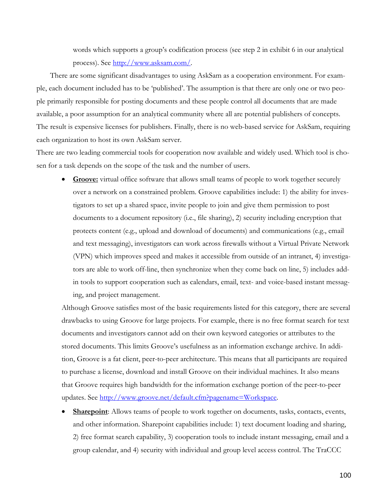words which supports a group's codification process (see step 2 in exhibit 6 in our analytical process). See [http://www.asksam.com/.](http://www.asksam.com/)

There are some significant disadvantages to using AskSam as a cooperation environment. For example, each document included has to be 'published'. The assumption is that there are only one or two people primarily responsible for posting documents and these people control all documents that are made available, a poor assumption for an analytical community where all are potential publishers of concepts. The result is expensive licenses for publishers. Finally, there is no web-based service for AskSam, requiring each organization to host its own AskSam server.

There are two leading commercial tools for cooperation now available and widely used. Which tool is chosen for a task depends on the scope of the task and the number of users.

**Groove:** virtual office software that allows small teams of people to work together securely over a network on a constrained problem. Groove capabilities include: 1) the ability for investigators to set up a shared space, invite people to join and give them permission to post documents to a document repository (i.e., file sharing), 2) security including encryption that protects content (e.g., upload and download of documents) and communications (e.g., email and text messaging), investigators can work across firewalls without a Virtual Private Network (VPN) which improves speed and makes it accessible from outside of an intranet, 4) investigators are able to work off-line, then synchronize when they come back on line, 5) includes addin tools to support cooperation such as calendars, email, text- and voice-based instant messaging, and project management.

Although Groove satisfies most of the basic requirements listed for this category, there are several drawbacks to using Groove for large projects. For example, there is no free format search for text documents and investigators cannot add on their own keyword categories or attributes to the stored documents. This limits Groove's usefulness as an information exchange archive. In addition, Groove is a fat client, peer-to-peer architecture. This means that all participants are required to purchase a license, download and install Groove on their individual machines. It also means that Groove requires high bandwidth for the information exchange portion of the peer-to-peer updates. See [http://www.groove.net/default.cfm?pagename=Workspace.](http://www.groove.net/default.cfm?pagename=Workspace)

• **Sharepoint:** Allows teams of people to work together on documents, tasks, contacts, events, and other information. Sharepoint capabilities include: 1) text document loading and sharing, 2) free format search capability, 3) cooperation tools to include instant messaging, email and a group calendar, and 4) security with individual and group level access control. The TraCCC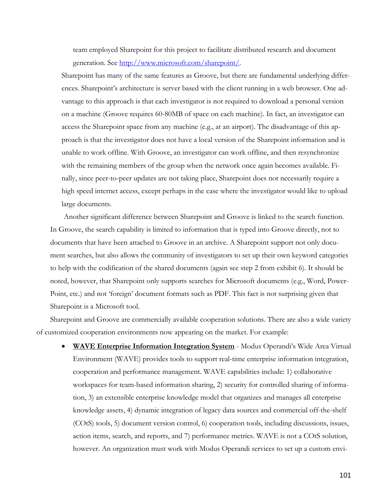team employed Sharepoint for this project to facilitate distributed research and document generation. See [http://www.microsoft.com/sharepoint/.](http://www.microsoft.com/sharepoint/)

Sharepoint has many of the same features as Groove, but there are fundamental underlying differences. Sharepoint's architecture is server based with the client running in a web browser. One advantage to this approach is that each investigator is not required to download a personal version on a machine (Groove requires 60-80MB of space on each machine). In fact, an investigator can access the Sharepoint space from any machine (e.g., at an airport). The disadvantage of this approach is that the investigator does not have a local version of the Sharepoint information and is unable to work offline. With Groove, an investigator can work offline, and then resynchronize with the remaining members of the group when the network once again becomes available. Finally, since peer-to-peer updates are not taking place, Sharepoint does not necessarily require a high speed internet access, except perhaps in the case where the investigator would like to upload large documents.

Another significant difference between Sharepoint and Groove is linked to the search function. In Groove, the search capability is limited to information that is typed into Groove directly, not to documents that have been attached to Groove in an archive. A Sharepoint support not only document searches, but also allows the community of investigators to set up their own keyword categories to help with the codification of the shared documents (again see step 2 from exhibit 6). It should be noted, however, that Sharepoint only supports searches for Microsoft documents (e.g., Word, Power-Point, etc.) and not 'foreign' document formats such as PDF. This fact is not surprising given that Sharepoint is a Microsoft tool.

Sharepoint and Groove are commercially available cooperation solutions. There are also a wide variety of customized cooperation environments now appearing on the market. For example:

• **WAVE Enterprise Information Integration System** - Modus Operandi's Wide Area Virtual Environment (WAVE) provides tools to support real-time enterprise information integration, cooperation and performance management. WAVE capabilities include: 1) collaborative workspaces for team-based information sharing, 2) security for controlled sharing of information, 3) an extensible enterprise knowledge model that organizes and manages all enterprise knowledge assets, 4) dynamic integration of legacy data sources and commercial off-the-shelf (COtS) tools, 5) document version control, 6) cooperation tools, including discussions, issues, action items, search, and reports, and 7) performance metrics. WAVE is not a COtS solution, however. An organization must work with Modus Operandi services to set up a custom envi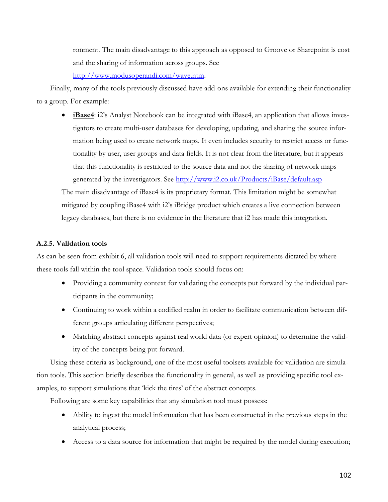ronment. The main disadvantage to this approach as opposed to Groove or Sharepoint is cost and the sharing of information across groups. See <http://www.modusoperandi.com/wave.htm>.

Finally, many of the tools previously discussed have add-ons available for extending their functionality to a group. For example:

• **iBase4**: i2's Analyst Notebook can be integrated with iBase4, an application that allows investigators to create multi-user databases for developing, updating, and sharing the source information being used to create network maps. It even includes security to restrict access or functionality by user, user groups and data fields. It is not clear from the literature, but it appears that this functionality is restricted to the source data and not the sharing of network maps generated by the investigators. See <http://www.i2.co.uk/Products/iBase/default.asp>

The main disadvantage of iBase4 is its proprietary format. This limitation might be somewhat mitigated by coupling iBase4 with i2's iBridge product which creates a live connection between legacy databases, but there is no evidence in the literature that i2 has made this integration.

# **A.2.5. Validation tools**

As can be seen from exhibit 6, all validation tools will need to support requirements dictated by where these tools fall within the tool space. Validation tools should focus on:

- Providing a community context for validating the concepts put forward by the individual participants in the community;
- Continuing to work within a codified realm in order to facilitate communication between different groups articulating different perspectives;
- Matching abstract concepts against real world data (or expert opinion) to determine the validity of the concepts being put forward.

Using these criteria as background, one of the most useful toolsets available for validation are simulation tools. This section briefly describes the functionality in general, as well as providing specific tool examples, to support simulations that 'kick the tires' of the abstract concepts.

Following are some key capabilities that any simulation tool must possess:

- Ability to ingest the model information that has been constructed in the previous steps in the analytical process;
- Access to a data source for information that might be required by the model during execution;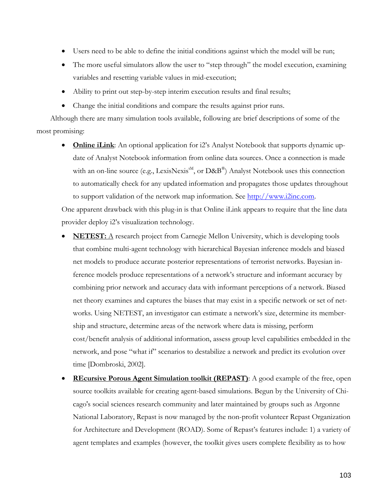- Users need to be able to define the initial conditions against which the model will be run;
- The more useful simulators allow the user to "step through" the model execution, examining variables and resetting variable values in mid-execution;
- Ability to print out step-by-step interim execution results and final results;
- Change the initial conditions and compare the results against prior runs.

Although there are many simulation tools available, following are brief descriptions of some of the most promising:

**Online iLink**: An optional application for i2's Analyst Notebook that supports dynamic update of Analyst Notebook information from online data sources. Once a connection is made with an on-line source (e.g., LexisNexis<sup>tM</sup>, or  $D\&B^{\circledast}$ ) Analyst Notebook uses this connection to automatically check for any updated information and propagates those updates throughout to support validation of the network map information. See [http://www.i2inc.com](http://www.i2inc.com/).

One apparent drawback with this plug-in is that Online iLink appears to require that the line data provider deploy i2's visualization technology.

- **NETEST:** A research project from Carnegie Mellon University, which is developing tools that combine multi-agent technology with hierarchical Bayesian inference models and biased net models to produce accurate posterior representations of terrorist networks. Bayesian inference models produce representations of a network's structure and informant accuracy by combining prior network and accuracy data with informant perceptions of a network. Biased net theory examines and captures the biases that may exist in a specific network or set of networks. Using NETEST, an investigator can estimate a network's size, determine its membership and structure, determine areas of the network where data is missing, perform cost/benefit analysis of additional information, assess group level capabilities embedded in the network, and pose "what if" scenarios to destabilize a network and predict its evolution over time [Dombroski, 2002].
- **REcursive Porous Agent Simulation toolkit (REPAST):** A good example of the free, open source toolkits available for creating agent-based simulations. Begun by the University of Chicago's social sciences research community and later maintained by groups such as Argonne National Laboratory, Repast is now managed by the non-profit volunteer Repast Organization for Architecture and Development (ROAD). Some of Repast's features include: 1) a variety of agent templates and examples (however, the toolkit gives users complete flexibility as to how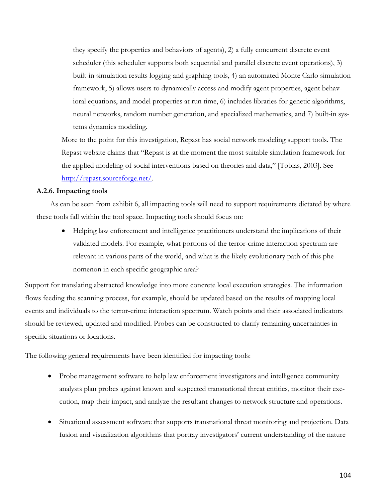they specify the properties and behaviors of agents), 2) a fully concurrent discrete event scheduler (this scheduler supports both sequential and parallel discrete event operations), 3) built-in simulation results logging and graphing tools, 4) an automated Monte Carlo simulation framework, 5) allows users to dynamically access and modify agent properties, agent behavioral equations, and model properties at run time, 6) includes libraries for genetic algorithms, neural networks, random number generation, and specialized mathematics, and 7) built-in systems dynamics modeling.

More to the point for this investigation, Repast has social network modeling support tools. The Repast website claims that "Repast is at the moment the most suitable simulation framework for the applied modeling of social interventions based on theories and data," [Tobias, 2003]. See [http://repast.sourceforge.net/.](http://repast.sourceforge.net/)

# **A.2.6. Impacting tools**

As can be seen from exhibit 6, all impacting tools will need to support requirements dictated by where these tools fall within the tool space. Impacting tools should focus on:

• Helping law enforcement and intelligence practitioners understand the implications of their validated models. For example, what portions of the terror-crime interaction spectrum are relevant in various parts of the world, and what is the likely evolutionary path of this phenomenon in each specific geographic area?

Support for translating abstracted knowledge into more concrete local execution strategies. The information flows feeding the scanning process, for example, should be updated based on the results of mapping local events and individuals to the terror-crime interaction spectrum. Watch points and their associated indicators should be reviewed, updated and modified. Probes can be constructed to clarify remaining uncertainties in specific situations or locations.

The following general requirements have been identified for impacting tools:

- Probe management software to help law enforcement investigators and intelligence community analysts plan probes against known and suspected transnational threat entities, monitor their execution, map their impact, and analyze the resultant changes to network structure and operations.
- Situational assessment software that supports transnational threat monitoring and projection. Data fusion and visualization algorithms that portray investigators' current understanding of the nature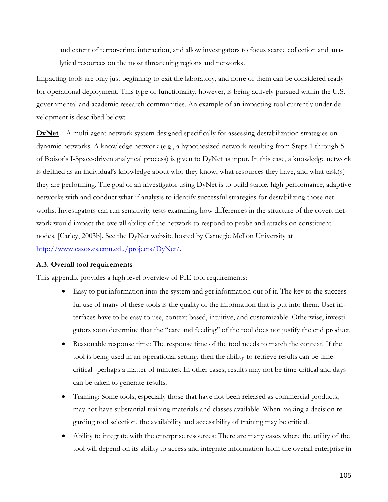and extent of terror-crime interaction, and allow investigators to focus scarce collection and analytical resources on the most threatening regions and networks.

Impacting tools are only just beginning to exit the laboratory, and none of them can be considered ready for operational deployment. This type of functionality, however, is being actively pursued within the U.S. governmental and academic research communities. An example of an impacting tool currently under development is described below:

**DyNet** – A multi-agent network system designed specifically for assessing destabilization strategies on dynamic networks. A knowledge network (e.g., a hypothesized network resulting from Steps 1 through 5 of Boisot's I-Space-driven analytical process) is given to DyNet as input. In this case, a knowledge network is defined as an individual's knowledge about who they know, what resources they have, and what task(s) they are performing. The goal of an investigator using DyNet is to build stable, high performance, adaptive networks with and conduct what-if analysis to identify successful strategies for destabilizing those networks. Investigators can run sensitivity tests examining how differences in the structure of the covert network would impact the overall ability of the network to respond to probe and attacks on constituent nodes. [Carley, 2003b]. See the DyNet website hosted by Carnegie Mellon University at [http://www.casos.cs.cmu.edu/projects/DyNet/.](http://www.casos.cs.cmu.edu/projects/DyNet/)

# **A.3. Overall tool requirements**

This appendix provides a high level overview of PIE tool requirements:

- Easy to put information into the system and get information out of it. The key to the successful use of many of these tools is the quality of the information that is put into them. User interfaces have to be easy to use, context based, intuitive, and customizable. Otherwise, investigators soon determine that the "care and feeding" of the tool does not justify the end product.
- Reasonable response time: The response time of the tool needs to match the context. If the tool is being used in an operational setting, then the ability to retrieve results can be timecritical--perhaps a matter of minutes. In other cases, results may not be time-critical and days can be taken to generate results.
- Training: Some tools, especially those that have not been released as commercial products, may not have substantial training materials and classes available. When making a decision regarding tool selection, the availability and accessibility of training may be critical.
- Ability to integrate with the enterprise resources: There are many cases where the utility of the tool will depend on its ability to access and integrate information from the overall enterprise in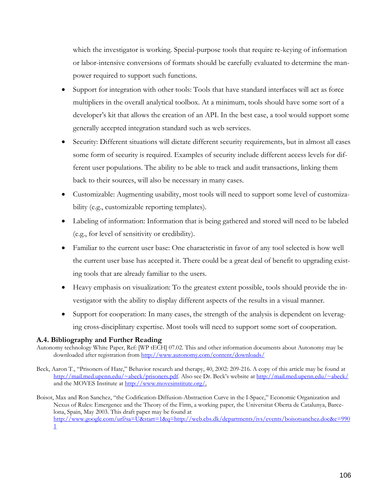which the investigator is working. Special-purpose tools that require re-keying of information or labor-intensive conversions of formats should be carefully evaluated to determine the manpower required to support such functions.

- Support for integration with other tools: Tools that have standard interfaces will act as force multipliers in the overall analytical toolbox. At a minimum, tools should have some sort of a developer's kit that allows the creation of an API. In the best case, a tool would support some generally accepted integration standard such as web services.
- Security: Different situations will dictate different security requirements, but in almost all cases some form of security is required. Examples of security include different access levels for different user populations. The ability to be able to track and audit transactions, linking them back to their sources, will also be necessary in many cases.
- Customizable: Augmenting usability, most tools will need to support some level of customizability (e.g., customizable reporting templates).
- Labeling of information: Information that is being gathered and stored will need to be labeled (e.g., for level of sensitivity or credibility).
- Familiar to the current user base: One characteristic in favor of any tool selected is how well the current user base has accepted it. There could be a great deal of benefit to upgrading existing tools that are already familiar to the users.
- Heavy emphasis on visualization: To the greatest extent possible, tools should provide the investigator with the ability to display different aspects of the results in a visual manner.
- Support for cooperation: In many cases, the strength of the analysis is dependent on leveraging cross-disciplinary expertise. Most tools will need to support some sort of cooperation.

# **A.4. Bibliography and Further Reading**

- Autonomy technology White Paper, Ref: [WP tECH] 07.02. This and other information documents about Autonomy may be downloaded after registration from <http://www.autonomy.com/content/downloads/>
- Beck, Aaron T., "Prisoners of Hate," Behavior research and therapy, 40, 2002: 209-216. A copy of this article may be found at <http://mail.med.upenn.edu/~abeck/prisoners.pdf>. Also see Dr. Beck's website at <http://mail.med.upenn.edu/~abeck/> and the MOVES Institute at <http://www.movesinstitute.org/>.
- Boisot, Max and Ron Sanchez, "the Codification-Diffusion-Abstraction Curve in the I-Space," Economic Organization and Nexus of Rules: Emergence and the Theory of the Firm, a working paper, the Universitat Oberta de Catalunya, Barcelona, Spain, May 2003. This draft paper may be found at [http://www.google.com/url?sa=U&start=1&q=http://web.cbs.dk/departments/ivs/events/boisotsanchez.doc&e=990](http://www.google.com/url?sa=U&start=1&q=http://web.cbs.dk/departments/ivs/events/boisotsanchez.doc&e=9901) [1](http://www.google.com/url?sa=U&start=1&q=http://web.cbs.dk/departments/ivs/events/boisotsanchez.doc&e=9901)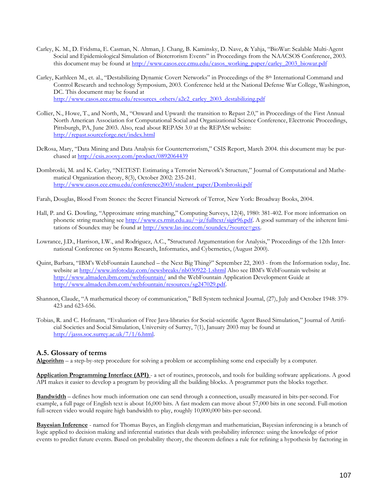- Carley, K. M., D. Fridsma, E. Casman, N. Altman, J. Chang, B. Kaminsky, D. Nave, & Yahja, "BioWar: Scalable Multi-Agent Social and Epidemiological Simulation of Bioterrorism Events" in Proceedings from the NAACSOS Conference, 2003. this document may be found at [http://www.casos.ece.cmu.edu/casos\\_working\\_paper/carley\\_2003\\_biowar.pdf](http://www.casos.ece.cmu.edu/casos_working_paper/carley_2003_biowar.pdf)
- Carley, Kathleen M., et. al., "Destabilizing Dynamic Covert Networks" in Proceedings of the 8<sup>th</sup> International Command and Control Research and technology Symposium, 2003. Conference held at the National Defense War College, Washington, DC. This document may be found at [http://www.casos.ece.cmu.edu/resources\\_others/a2c2\\_carley\\_2003\\_destabilizing.pdf](http://www.darpa.mil/leaving.asp?url=http://www.casos.ece.cmu.edu/resources_others/a2c2_carley_2003_destabilizing.pdf)
- Collier, N., Howe, T., and North, M., "Onward and Upward: the transition to Repast 2.0," in Proceedings of the First Annual North American Association for Computational Social and Organizational Science Conference, Electronic Proceedings, Pittsburgh, PA, June 2003. Also, read about REPASt 3.0 at the REPASt website: <http://repast.sourceforge.net/index.html>
- DeRosa, Mary, "Data Mining and Data Analysis for Counterterrorism," CSIS Report, March 2004. this document may be purchased at <http://csis.zoovy.com/product/0892064439>
- Dombroski, M. and K. Carley, "NETEST: Estimating a Terrorist Network's Structure," Journal of Computational and Mathematical Organization theory, 8(3), October 2002: 235-241. [http://www.casos.ece.cmu.edu/conference2003/student\\_paper/Dombroski.pdf](http://www.casos.ece.cmu.edu/conference2003/student_paper/Dombroski.pdf)
- Farah, Douglas, Blood From Stones: the Secret Financial Network of Terror, New York: Broadway Books, 2004.
- Hall, P. and G. Dowling, "Approximate string matching," Computing Surveys, 12(4), 1980: 381-402. For more information on phonetic string matching see [http://www.cs.rmit.edu.au/~jz/fulltext/sigir96.pdf.](http://www.cs.rmit.edu.au/~jz/fulltext/sigir96.pdf) A good summary of the inherent limitations of Soundex may be found at [http://www.las-inc.com/soundex/?source=gsx.](http://www.las-inc.com/soundex/?source=gsx)
- Lowrance, J.D., Harrison, I.W., and Rodriguez, A.C., "Structured Argumentation for Analysis," Proceedings of the 12th International Conference on Systems Research, Informatics, and Cybernetics, (August 2000).
- Quint, Barbara, "IBM's WebFountain Launched the Next Big Thing?" September 22, 2003 from the Information today, Inc. website at <http://www.infotoday.com/newsbreaks/nb030922-1.shtml>Also see IBM's WebFountain website at <http://www.almaden.ibm.com/webfountain/>and the WebFountain Application Development Guide at [http://www.almaden.ibm.com/webfountain/resources/sg247029.pdf.](http://www.almaden.ibm.com/webfountain/resources/sg247029.pdf)
- Shannon, Claude, "A mathematical theory of communication," Bell System technical Journal, (27), July and October 1948: 379- 423 and 623-656.
- Tobias, R. and C. Hofmann, "Evaluation of Free Java-libraries for Social-scientific Agent Based Simulation," Journal of Artificial Societies and Social Simulation, University of Surrey, 7(1), January 2003 may be found at <http://jasss.soc.surrey.ac.uk/7/1/6.html>.

## **A.5. Glossary of terms**

**Algorithm** – a step-by-step procedure for solving a problem or accomplishing some end especially by a computer.

**Application Programming Interface (API)** - a set of routines, protocols, and tools for building software applications. A good API makes it easier to develop a program by providing all the building blocks. A programmer puts the blocks together.

**Bandwidth** – defines how much information one can send through a connection, usually measured in bits-per-second. For example, a full page of English text is about 16,000 bits. A fast modem can move about 57,000 bits in one second. Full-motion full-screen video would require high bandwidth to play, roughly 10,000,000 bits-per-second.

**Bayesian Inference** - named for Thomas Bayes, an English clergyman and mathematician, Bayesian inferencing is a branch of logic applied to decision making and inferential statistics that deals with probability inference: using the knowledge of prior events to predict future events. Based on probability theory, the theorem defines a rule for refining a hypothesis by factoring in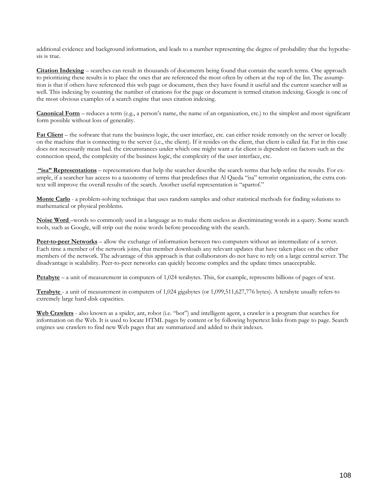additional evidence and background information, and leads to a number representing the degree of probability that the hypothesis is true.

**Citation Indexing** – searches can result in thousands of documents being found that contain the search terms. One approach to prioritizing these results is to place the ones that are referenced the most often by others at the top of the list. The assumption is that if others have referenced this web page or document, then they have found it useful and the current searcher will as well. This indexing by counting the number of citations for the page or document is termed citation indexing. Google is one of the most obvious examples of a search engine that uses citation indexing.

**Canonical Form** – reduces a term (e.g., a person's name, the name of an organization, etc.) to the simplest and most significant form possible without loss of generality.

**Fat Client** – the software that runs the business logic, the user interface, etc. can either reside remotely on the server or locally on the machine that is connecting to the server (i.e., the client). If it resides on the client, that client is called fat. Fat in this case does not necessarily mean bad. the circumstances under which one might want a fat client is dependent on factors such as the connection speed, the complexity of the business logic, the complexity of the user interface, etc.

 **"isa" Representations** – representations that help the searcher describe the search terms that help refine the results. For example, if a searcher has access to a taxonomy of terms that predefines that Al Qaeda "isa" terrorist organization, the extra context will improve the overall results of the search. Another useful representation is "apartof."

**Monte Carlo** - a problem-solving technique that uses random samples and other statistical methods for finding solutions to mathematical or physical problems.

**Noise Word** –words so commonly used in a language as to make them useless as discriminating words in a query. Some search tools, such as Google, will strip out the noise words before proceeding with the search.

**Peer-to-peer Networks** – allow the exchange of information between two computers without an intermediate of a server. Each time a member of the network joins, that member downloads any relevant updates that have taken place on the other members of the network. The advantage of this approach is that collaborators do not have to rely on a large central server. The disadvantage is scalability. Peer-to-peer networks can quickly become complex and the update times unacceptable.

**Petabyte** – a unit of measurement in computers of 1,024 terabytes. This, for example, represents billions of pages of text.

**Terabyte** - a unit of measurement in computers of 1,024 gigabytes (or 1,099,511,627,776 bytes). A terabyte usually refers to extremely large hard-disk capacities.

**Web Crawlers** - also known as a spider, ant, robot (i.e. "bot") and intelligent agent, a crawler is a program that searches for information on the Web. It is used to locate HTML pages by content or by following hypertext links from page to page. Search engines use crawlers to find new Web pages that are summarized and added to their indexes.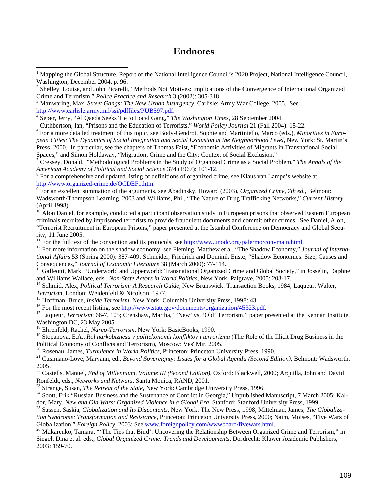## **Endnotes**

 Manwaring, Max, *Street Gangs: The New Urban Insurgency*, Carlisle: Army War College, 2005. See <http://www.carlisle.army.mil/ssi/pdffiles/PUB597.pdf>.

<sup>5</sup> Cuthbertson, Ian, "Prisons and the Education of Terrorists," *World Policy Journal* 21 (Fall 2004): 15-22.

For a more detailed treatment of this topic, see Body-Gendrot, Sophie and Martiniello, Marco (eds.), *Minorities in Euro-*

*pean Cities: The Dynamics of Social Integration and Social Exclusion at the Neighborhood Level*, New York: St. Martin's Press, 2000. In particular, see the chapters of Thomas Faist, "Economic Activities of Migrants in Transnational Social Spaces," and Simon Holdaway, "Migration, Crime and the City: Context of Social Exclusion." 7

 Cressey, Donald. "Methodological Problems in the Study of Organized Crime as a Social Problem," *The Annals of the American Academy of Political and Social Science* 374 (1967): 101-12. <sup>8</sup>

<sup>8</sup> For a comprehensive and updated listing of definitions of organized crime, see Klaus van Lampe's website at

[http://www.organized-crime.de/OCDEF1.htm.](http://www.organized-crime.de/OCDEF1.htm) [9](http://www.organized-crime.de/OCDEF1.htm) For an excellent summation of the arguments, see Abadinsky, Howard (2003), *Organized Crime, 7th ed.*, Belmont: Wadsworth/Thompson Learning, 2003 and Williams, Phil, "The Nature of Drug Trafficking Networks," *Current History* (April 1998).<br><sup>10</sup> Alon Daniel, for example, conducted a participant observation study in European prisons that observed Eastern European

criminals recruited by imprisoned terrorists to provide fraudulent documents and commit other crimes. See Daniel, Alon, "Terrorist Recruitment in European Prisons," paper presented at the Istanbul Conference on Democracy and Global Security, 11 June 2005.<br><sup>11</sup> For the full text of the convention and its protocols, see <u><http://www.unodc.org/palermo/convmain.html></u>.<br><sup>12</sup> For more information on the shadow economy, see Fleming, Matthew et al, "The Shadow Eco

*tional Affairs* 53 (Spring 2000): 387-409; Schneider, Friedrich and Dominik Enste, "Shadow Economies: Size, Causes and Consequences," *Journal of Economic Literature* 38 (March 2000): 77-114.<br><sup>13</sup> Galleotti, Mark, "Underworld and Upperworld: Transnational Organized Crime and Global Society," in Josselin, Daphne

and Williams Wallace, eds., Non-State Actors in World Politics, New York: Palgrave, 2005: 203-17.<br><sup>14</sup> Schmid, Alex, Political Terrorism: A Research Guide, New Brunswick: Transaction Books, 1984; Laqueur, Walter,

*Terrorism*, London: Weidenfeld & Nicolson, 1977.<br><sup>15</sup> Hoffman, Bruce, *Inside Terrorism*, New York: Columbia University Press, 1998: 43.<br><sup>16</sup> For the most recent listing, see http://www.state.gov/documents/organization/45

Washington DC, 23 May 2005.<br><sup>18</sup> Ehrenfeld, Rachel, *Narco-Terrorism*, New York: BasicBooks, 1990.<br><sup>19</sup> Stepanova, E.A., *Rol narkobiznesa v politekonomii konfliktov i terrorizma* (The Role of the Illicit Drug Business in

<sup>20</sup> Rosenau, James, *Turbulence in World Politics*, Princeton: Princeton University Press, 1990.<br><sup>21</sup> Cusimano-Love, Maryann, ed., *Beyond Sovereignty: Issues for a Global Agenda (Second Edition)*, Belmont: Wadsworth, 2005. 22 Castells, Manuel, *End of Millennium, Volume III (Second Edition),* Oxford: Blackwell, 2000; Arquilla, John and David

Ronfeldt, eds., *Networks and Netwars*, Santa Monica, RAND, 2001.<br><sup>23</sup> Strange, Susan, *The Retreat of the State*, New York: Cambridge University Press, 1996.<br><sup>24</sup> Scott, Erik "Russian Business and the Sustenance of Confli

dor, Mary, New and Old Wars: Organized Violence in a Global Era, Stanford: Stanford University Press, 1999.<br><sup>25</sup> Sassen, Saskia, Globalization and Its Discontents, New York: The New Press, 1998; Mittelman, James, The Globa

*tion Syndrome: Transformation and Resistance*, Princeton: Princeton University Press, 2000; Naim, Moises, "Five Wars of

Globalization." *Foreign Policy*, 2003: See [www.foreignpolicy.com/wwwboard/fivewars.html.](http://www.foreignpolicy.com/wwwboard/fivewars.html)<br><sup>26</sup> Makarenko, Tamara, "'The Ties that Bind': Uncovering the Relationship Between Organized Crime and Terrorism," in Siegel, Dina et al. eds., *Global Organized Crime: Trends and Developments*, Dordrecht: Kluwer Academic Publishers, 2003: 159-70.

 $\frac{1}{1}$  Mapping the Global Structure, Report of the National Intelligence Council's 2020 Project, National Intelligence Council, Washington, December 2004, p. 96. 2

<sup>&</sup>lt;sup>2</sup> Shelley, Louise, and John Picarelli, "Methods Not Motives: Implications of the Convergence of International Organized Crime and Terrorism," *Police Practice and Research* 3 (2002): 305-318.

Seper, Jerry, "Al Qaeda Seeks Tie to Local Gang," *The Washington Times*, 28 September 2004. 5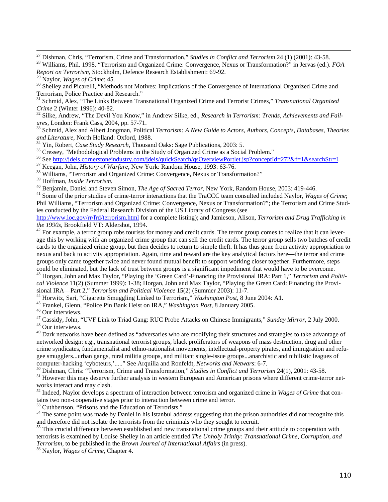Terrorism, Police Practice and Research."<br><sup>31</sup> Schmid, Alex, "The Links Between Transnational Organized Crime and Terrorist Crimes," *Transnational Organized Crime* 2 (Winter 1996): 40-82.

<sup>32</sup> Silke, Andrew, "The Devil You Know," in Andrew Silke, ed., *Research in Terrorism: Trends, Achievements and Fail-*<br>*ures*, London: Frank Cass, 2004, pp. 57-71.

<sup>33</sup> Schmid, Alex and Albert Jongman, Political *Terrorism: A New Guide to Actors, Authors, Concepts, Databases, Theories and Literature, North Holland: Oxford, 1988.* 

<sup>34</sup> Yin, Robert, *Case Study Research*, Thousand Oaks: Sage Publications, 2003: 5.<br><sup>35</sup> Cressey, "Methodological Problems in the Study of Organized Crime as a Social Problem."<br><sup>36</sup> See <u>http://jdeis.cornerstoneindustry.c</u>

<sup>40</sup> Benjamin, Daniel and Steven Simon, *The Age of Sacred Terror*, New York, Random House, 2003: 419-446.<br><sup>41</sup> Some of the prior studies of crime-terror interactions that the TraCCC team consulted included Naylor, *Wages* Phil Williams, "Terrorism and Organized Crime: Convergence, Nexus or Transformation?"; the Terrorism and Crime Studies conducted by the Federal Research Division of the US Library of Congress (see

<http://www.loc.gov/rr/frd/terrorism.html>for a complete listing); and Jamieson, Alison, *Terrorism and Drug Trafficking in*

<sup>42</sup> For example, a terror group robs tourists for money and credit cards. The terror group comes to realize that it can leverage this by working with an organized crime group that can sell the credit cards. The terror group sells two batches of credit cards to the organized crime group, but then decides to return to simple theft. It has thus gone from activity appropriation to nexus and back to activity appropriation. Again, time and reward are the key analytical factors here—the terror and crime groups only came together twice and never found mutual benefit to support working closer together. Furthermore, steps could be eliminated, but the lack of trust between groups is a significant impediment that would have to

<sup>43</sup> Horgan, John and Max Taylor, "Playing the 'Green Card'-Financing the Provisional IRA: Part 1," Terrorism and Politi*cal Violence* 11(2) (Summer 1999): 1-38; Horgan, John and Max Taylor, "Playing the Green Card: Financing the Provi-

sional IRA—Part 2," *Terrorism and Political Violence* 15(2) (Summer 2003): 11-7.<br><sup>44</sup> Horwitz, Sari, "Cigarette Smuggling Linked to Terrorism," *Washington Post*, 8 June 2004: A1.<br><sup>45</sup> Frankel, Glenn, "Police Pin Bank Hei

 $49$  Dark networks have been defined as "adversaries who are modifying their structures and strategies to take advantage of networked design: e.g., transnational terrorist groups, black proliferators of weapons of mass destruction, drug and other crime syndicates, fundamentalist and ethno-nationalist movements, intellectual-property pirates, and immigration and refugee smugglers...urban gangs, rural militia groups, and militant single-issue groups...anarchistic and nihilistic leagues of computer-hacking 'cyboteurs,'....." See Arquilla and Ronfeldt, Networks and Netwars: 6-7.

<sup>50</sup> Dishman, Chris: "Terrorism, Crime and Transformation," *Studies in Conflict and Terrorism* 24(1), 2001: 43-58.<br><sup>51</sup> However this may deserve further analysis in western European and American prisons where different c

works interact and may clash.<br><sup>52</sup> Indeed, Naylor develops a spectrum of interaction between terrorism and organized crime in *Wages of Crime* that con-<br>tains two non-cooperative stages prior to interaction between crime a

 $53$  Cuthbertson, "Prisons and the Education of Terrorists."<br> $54$  The same point was made by Daniel in his Istanbul address suggesting that the prison authorities did not recognize this<br>and therefore did not isolate the t

 $55$  This crucial difference between established and new transnational crime groups and their attitude to cooperation with terrorists is examined by Louise Shelley in an article entitled *The Unholy Trinity: Transnational Crime, Corruption, and Terrorism*, to be published in the *Brown Journal of International Affairs* (in press). 56 Naylor, *Wages of Crime*, Chapter 4.

<sup>&</sup>lt;sup>27</sup> Dishman, Chris, "Terrorism, Crime and Transformation," *Studies in Conflict and Terrorism* 24 (1) (2001): 43-58.<br><sup>28</sup> Williams, Phil. 1998. "Terrorism and Organized Crime: Convergence, Nexus or Transformation?" in Je Report on Terrorism, Stockholm, Defence Research Establishment: 69-92.<br><sup>29</sup> Naylor, *Wages of Crime*: 45.<br><sup>30</sup> Shelley and Picarelli, "Methods not Motives: Implications of the Convergence of International Organized Crime a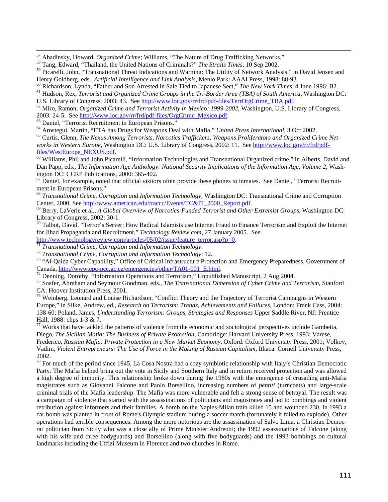<sup>57</sup> Abadinsky, Howard, *Organized Crime*; Williams, "The Nature of Drug Trafficking Networks."<br><sup>58</sup> Tang, Edward, "Thailand, the United Nations of Criminals?" *The Straits Times*, 10 Sep 2002.<br><sup>59</sup> Picarelli, John, "Tran

<sup>60</sup> Richardson, Lynda, "Father and Son Arrested in Sale Tied to Japanese Sect," *The New York Times*, 4 June 1996: B2.<br><sup>61</sup> Hudson, Rex, *Terrorist and Organized Crime Groups in the Tri-Border Area (TBA) of South America* 

<sup>63</sup> Daniel, "Terrorist Recruitment in European Prisons."<br><sup>64</sup> Arostegui, Martin, "ETA has Drugs for Weapons Deal with Mafia," *United Press International*, 3 Oct 2002.<br><sup>65</sup> Curtis, Glenn, *The Nexus Among Terrorists, Narc* 

Dan Papp, eds., *The Information Age Anthology: National Security Implications of the Information Age, Volume 2*, Wash-

 $\frac{67}{2}$  Daniel, for example, noted that official visitors often provide these phones to inmates. See Daniel, "Terrorist Recruit-<br>ment in European Prisons."

<sup>68</sup> *Transnational Crime, Corruption and Information Technology*, Washington DC: Transnational Crime and Corruption Center, 2000. See http://www.american.edu/traccc/Events/TC&IT 2000 Report.pdf.

<sup>69</sup> Berry, LaVerle et al., *A Global Overview of Narcotics-Funded Terrorist and Other Extremist Groups*, Washington DC:<br>Library of Congress, 2002: 30-1.

 $\frac{70}{10}$  Talbot, David, "Terror's Server: How Radical Islamists use Internet Fraud to Finance Terrorism and Exploit the Internet for Jihad Propaganda and Recruitment," *Technology Review.com*, 27 January 2005. See

Transnational Crime, Corruption and Information Technology.<br>
<sup>72</sup> Transnational Crime, Corruption and Information Technology: 12.<br>
<sup>73</sup> "Al-Qaida Cyber Capability," Office of Critical Infrastructure Protection and Emergenc

<sup>74</sup> Denning, Dorothy, "Information Operations and Terrorism," Unpublished Manuscript, 2 Aug 2004.<br><sup>75</sup> Soafer, Abraham and Seymour Goodman, eds., *The Transnational Dimension of Cyber Crime and Terrorism*, Stanford CA: Hoover Institution Press, 2001.<br><sup>76</sup> Weinberg, Leonard and Louise Richardson, "Conflict Theory and the Trajectory of Terrorist Campaigns in Western

Europe," in Silke, Andrew, ed., *Research on Terrorism: Trends, Achievements and Failures,* London: Frank Cass, 2004: 138-60; Poland, James, *Understanding Terrorism: Groups, Strategies and Responses* Upper Saddle River, NJ: Prentice Hall, 1988: chps 1-3 & 7.<br><sup>77</sup> Works that have tackled the patterns of violence from the economic and sociological perspectives include Gambetta,

Diego, *The Sicilian Mafia: The Business of Private Protection,* Cambridge: Harvard University Press, 1993; Varese, Frederico, *Russian Mafia: Private Protection in a New Market Economy*, Oxford: Oxford University Press, 2001; Volkov, Vadim, *Violent Entrepreneurs: The Use of Force in the Making of Russian Capitalism,* Ithaca: Cornell University Press, 2002.<br><sup>78</sup> For much of the period since 1945, La Cosa Nostra had a cozy symbiotic relationship with Italy's Christian Democratic

Party. The Mafia helped bring out the vote in Sicily and Southern Italy and in return received protection and was allowed a high degree of impunity. This relationship broke down during the 1980s with the emergence of crusading anti-Mafia magistrates such as Giovanni Falcone and Paolo Borsellino, increasing numbers of *pentiti* (turncoats) and large-scale criminal trials of the Mafia leadership. The Mafia was more vulnerable and felt a strong sense of betrayal. The result was a campaign of violence that started with the assassinations of politicians and magistrates and led to bombings and violent retribution against informers and their families. A bomb on the Naples-Milan train killed 15 and wounded 230. In 1993 a car bomb was planted in front of Rome's Olympic stadium during a soccer match (fortunately it failed to explode). Other operations had terrible consequences. Among the more notorious are the assassination of Salvo Lima, a Christian Democrat politician from Sicily who was a close ally of Prime Minister Andreotti; the 1992 assassinations of Falcone (along with his wife and three bodyguards) and Borsellino (along with five bodyguards) and the 1993 bombings on cultural landmarks including the Uffizi Museum in Florence and two churches in Rome.

<sup>&</sup>lt;sup>62</sup> Miro, Ramon, *Organized Crime and Terrorist Activity in Mexico: 1999-2002*, Washington, U.S. Library of Congress, 2003: 24-5. See http://www.loc.gov/rr/frd/pdf-files/OrgCrime\_Mexico.pdf.

*works in Western Europe*, Washington DC: U.S. Library of Congress, 2002: 11. See [http://www.loc.gov/rr/frd/pdf](http://www.loc.gov/rr/frd/pdf-files/WestEurope_NEXUS.pdf)[files/WestEurope\\_NEXUS.pdf](http://www.loc.gov/rr/frd/pdf-files/WestEurope_NEXUS.pdf).<br><sup>[66](http://www.loc.gov/rr/frd/pdf-files/WestEurope_NEXUS.pdf)</sup> Williams, Phil and John Picarelli, "Information Technologies and Transnational Organized crime," in Alberts, David and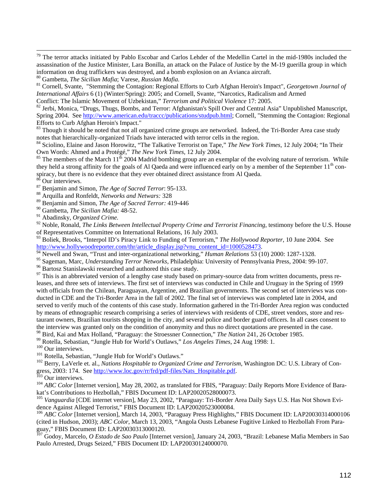<sup>79</sup> The terror attacks initiated by Pablo Escobar and Carlos Lehder of the Medellin Cartel in the mid-1980s included the assassination of the Justice Minister, Lara Bonilla, an attack on the Palace of Justice by the M-19 guerilla group in which information on drug traffickers was destroyed, and a bomb explosion on an Avianca aircraft.<br><sup>80</sup> Gambetta, *The Sicilian Mafia*; Varese, *Russian Mafia*.<br><sup>81</sup> Cornell, Svante, "Stemming the Contagion: Regional Efforts to C

*International Affairs* 6 (1) (Winter/Spring): 2005; and Cornell, Svante, "Narcotics, Radicalism and Armed

<sup>82</sup> Jerbi, Monica, "Drugs, Thugs, Bombs, and Terror: Afghanistan's Spill Over and Central Asia" Unpublished Manuscript, Spring 2004. See<http://www.american.edu/traccc/publications/studpub.html>; Cornell, "Stemming the Contagion: Regional Efforts to Curb Afghan Heroin's Impact."

<sup>83</sup> Though it should be noted that not all organized crime groups are networked. Indeed, the Tri-Border Area case study notes that hierarchically-organized Triads have interacted with terror cells in the region.

<sup>84</sup> Sciolino, Elaine and Jason Horowitz, "The Talkative Terrorist on Tape," *The New York Times*, 12 July 2004; "In Their Own Words: Ahmed and a Protégé," *The New York Times*, 12 July 2004.

<sup>85</sup> The members of the March 11<sup>th</sup> 2004 Madrid bombing group are an exemplar of the evolving nature of terrorism. While they held a strong affinity for the goals of Al Qaeda and were influenced early on by a member of the September  $11<sup>th</sup>$  conspiracy, but there is no evidence that they ever obtained direct assistance from Al Qaeda.<br><sup>86</sup> Our interviews.<br><sup>87</sup> Benjamin and Simon, *The Age of Sacred Terror*: 95-133.<br><sup>87</sup> Arquilla and Ronfeldt, *Networks and Netwars* 

89 Benjamin and Simon, *The Age of Sacred Terror:* 419-446

90 Gambetta, *The Sicilian Mafia:* 48-52.

91 Abadinsky, *Organized Crime.*

<sup>92</sup> Noble, Ronald, *The Links Between Intellectual Property Crime and Terrorist Financing*, testimony before the U.S. House of Representatives Committee on International Relations, 16 July 2003.

93 Boliek, Brooks, "Interpol ID's Piracy Link to Funding of Terrorism," *The Hollywood Reporter*, 10 June 2004. See [http://www.hollywoodreporter.com/thr/article\\_display.jsp?vnu\\_content\\_id=1000528473.](http://www.hollywoodreporter.com/thr/article_display.jsp?vnu_content_id=1000528473)<br><sup>[94](http://www.hollywoodreporter.com/thr/article_display.jsp?vnu_content_id=1000528473)</sup> Newell and Swan, "Trust and inter-organizational networking," *Human Relations* 53 (10) 2000: 1287-1328.<br><sup>95</sup> Sageman, Marc, *Underst* 

leases, and three sets of interviews. The first set of interviews was conducted in Chile and Uruguay in the Spring of 1999 with officials from the Chilean, Paraguayan, Argentine, and Brazilian governments. The second set of interviews was conducted in CDE and the Tri-Border Area in the fall of 2002. The final set of interviews was completed late in 2004, and served to verify much of the contents of this case study. Information gathered in the Tri-Border Area region was conducted by means of ethnographic research comprising a series of interviews with residents of CDE, street vendors, store and restaurant owners, Brazilian tourists shopping in the city, and several police and border guard officers. In all cases consent to the interview was granted only on the condition of anonymity and thus no direct quotations are presented in the case.<br><sup>98</sup> Bird, Kai and Max Holland, "Paraguay: the Stroessner Connection," *The Nation* 241, 26 October 1985

<sup>99</sup> Rotella, Sebastian, "Jungle Hub for World's Outlaws," *Los Angeles Times*, 24 Aug 1998: 1.<br><sup>100</sup> Our interviews.<br><sup>101</sup> Rotella, Sebastian, "Jungle Hub for World's Outlaws."<br><sup>102</sup> Berry, LaVerle et. al., *Nations Hosp* 

gress, 2003: 174. See [http://www.loc.gov/rr/frd/pdf-files/Nats\\_Hospitable.pdf.](http://www.loc.gov/rr/frd/pdf-files/Nats_Hospitable.pdf)<br>
<sup>103</sup> Our interviews.<br>
<sup>104</sup> ABC Color [Internet version], May 28, 2002, as translated for FBIS, "Paraguay: Daily Reports More Evidence of Bar

<sup>105</sup> Vanguardia [CDE internet version], May 23, 2002, "Paraguay: Tri-Border Area Daily Says U.S. Has Not Shown Evi-<br>dence Against Alleged Terrorist," FBIS Document ID: LAP20020523000084.

<sup>106</sup> ABC Color [Internet version], March 14, 2003, "Paraguay Press Highlights," FBIS Document ID: LAP20030314000106 (cited in Hudson, 2003); *ABC Color*, March 13, 2003, "Angola Ousts Lebanese Fugitive Linked to Hezbollah From Paraguay," FBIS Document ID: LAP20030313000120.<br><sup>107</sup> Godoy, Marcelo, *O Estado de Sao Paulo* [Internet version], January 24, 2003, "Brazil: Lebanese Mafia Members in Sao

Paulo Arrested, Drugs Seized," FBIS Document ID: LAP20030124000070.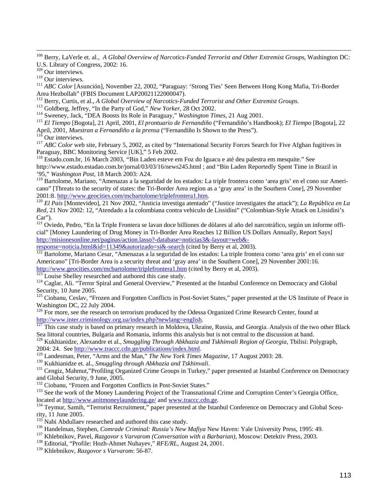108 Berry, LaVerle et. al., *A Global Overview of Narcotics-Funded Terrorist and Other Extremist Groups*, Washington DC:

U.S. Library of Congress, 2002: 16.<br><sup>109</sup> Our interviews.<br><sup>110</sup> Our interviews.<br><sup>111</sup> *ABC Color* [Asunción], November 22, 2002, "Paraguay: 'Strong Ties' Seen Between Hong Kong Mafia, Tri-Border<br>Area Hezbollah" (FBIS Docum

<sup>112</sup> Berry, Curtis, et al., *A Global Overview of Narcotics-Funded Terrorist and Other Extremist Groups.*<br><sup>113</sup> Goldberg, Jeffrey, "In the Party of God," *New Yorker*, 28 Oct 2002.<br><sup>114</sup> Sweeney, Jack, "DEA Boosts Its Rol

<sup>116</sup> Our interviews.<br><sup>117</sup> *ABC Color* web site, February 5, 2002, as cited by "International Security Forces Search for Five Afghan fugitives in Paraguay, BBC Monitoring Service [UK]," 5 Feb 2002.<br><sup>118</sup> Estado.com.br, 16 March 2003, *"Bin Laden esteve em Foz do Iguacu e até deu palestra em mesquite." See* 

http://www.estado.estadao.com.br/jornal/03/03/16/news245.html ; and "Bin Laden Reportedly Spent Time in Brazil in '95," *Washington Post*, 18 March 2003: A24.

119 Bartolome, Mariano, "Amenazas a la seguridad de los estados: La triple frontera como 'area gris' en el cono sur Americano" [Threats to the security of states: the Tri-Border Area region as a 'gray area' in the Southern Cone], 29 November 2001:8. [http://www.geocities.com/mcbartolome/triplefrontera1.htm.](http://www.geocities.com/mcbartolome/triplefrontera1.htm) 120 *El Pais* [Montevideo], 21 Nov 2002, "Justicia investiga atentado" ("Justice investigates the attack"); *La República en La*

*Red*, 21 Nov 2002: 12, "Atendado a la colombiana contra vehiculo de Lissidini" ("Colombian-Style Attack on Lissidini's Car").

<sup>121</sup> Oviedo, Pedro, "En la Triple Frontera se lavan doce billiones de dòlares al año del narcotráfico, según un informe official" [Money Laundering of Drug Money in Tri-Border Area Reaches 12 Billion US Dollars Annually, Report Says] [http://misionesonline.net/paginas/action.lasso?-database=noticias3&-layout=web&-](http://misionesonline.net/paginas/action.lasso?-database=noticias3&-layout=web&-response=noticia.html&id=11349&autorizado=si&-search)<br>response=noticia.html&id=11349&autorizado=si&-search (cited by Berry et al, 2003).

 $\frac{122}{122}$  $\frac{122}{122}$  $\frac{122}{122}$  Bartolome, Mariano Cesar, "Amenazas a la seguridad de los estados: La triple frontera como 'area gris' en el cono sur Americano" [Tri-Border Area is a security threat and 'gray area' in the Southern Cone], 29 November 2001:16.<br>http://www.geocities.com/mcbartolome/triplefrontera1.htm (cited by Berry et al, 2003).

<sup>[123](http://www.geocities.com/mcbartolome/triplefrontera1.htm)</sup> Louise Shelley researched and authored this case study.<br><sup>124</sup> Caglar, Ali. "Terror Spiral and General Overview," Presented at the Istanbul Conference on Democracy and Global<br>Security, 10 June 2005.

<sup>125</sup> Ciobanu, Ceslav, "Frozen and Forgotten Conflicts in Post-Soviet States," paper presented at the US Institute of Peace in Washington DC, 22 July 2004.<br><sup>126</sup> For more, see the research on terrorism produced by the Odessa Organized Crime Research Center, found at

<http://www.inter.criminology.org.ua/index.php?newlang=english>.<br><sup>[127](http://www.inter.criminology.org.ua/index.php?newlang=english)</sup> This case study is based on primary research in Moldova, Ukraine, Russia, and Georgia. Analysis of the two other Black<br>Sea littoral countries, Bulgaria a

<sup>128</sup> Kukhianidze, Alexandre et al., *Smuggling Through Abkhazia and Tskhinvali Region of Georgia*, Tbilisi: Polygraph, 2004: 24. See http://www.traccc.cdn.ge/publications/index.html.

<sup>129</sup> Landesman, Peter, "Arms and the Man," *The New York Times Magazine*, 17 August 2003: 28.<br><sup>130</sup> Kukhianidze et. al., *Smuggling through Abkhazia and Tskhinvali*.<br><sup>131</sup> Cengiz, Mahmut, "Profiling Organized Crime Group

and Global Security, 9 June, 2005.<br>
<sup>132</sup> Ciobanu, "Frozen and Forgotten Conflicts in Post-Soviet States."<br>
<sup>132</sup> See the work of the Money Laundering Project of the Transnational Crime and Corruption Center's Georgia Offi

 $\frac{134}{T}$  Teymur, Samih, "Terrorist Recruitment," paper presented at the Istanbul Conference on Democracy and Global Sceurity, 11 June 2005.<br><sup>135</sup> Nabi Abdullaev researched and authored this case study.<br><sup>136</sup> Handelman, Stephen, *Comrade Criminal: Russia's New Mafiya* New Haven: Yale University Press, 1995: 49.<br><sup>136</sup> Khlebnikov, Pavel, *Razg*